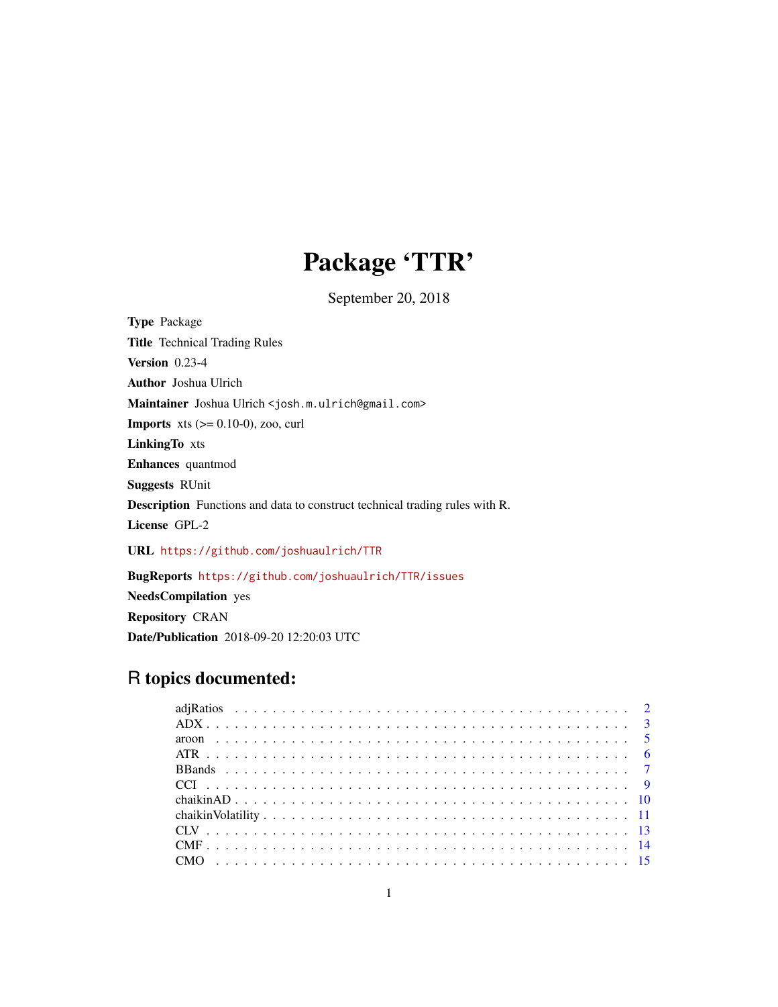# Package 'TTR'

September 20, 2018

Type Package Title Technical Trading Rules Version 0.23-4 Author Joshua Ulrich Maintainer Joshua Ulrich <josh.m.ulrich@gmail.com> **Imports** xts  $(>= 0.10-0)$ , zoo, curl LinkingTo xts Enhances quantmod Suggests RUnit Description Functions and data to construct technical trading rules with R. License GPL-2 URL <https://github.com/joshuaulrich/TTR> BugReports <https://github.com/joshuaulrich/TTR/issues>

NeedsCompilation yes Repository CRAN Date/Publication 2018-09-20 12:20:03 UTC

# R topics documented: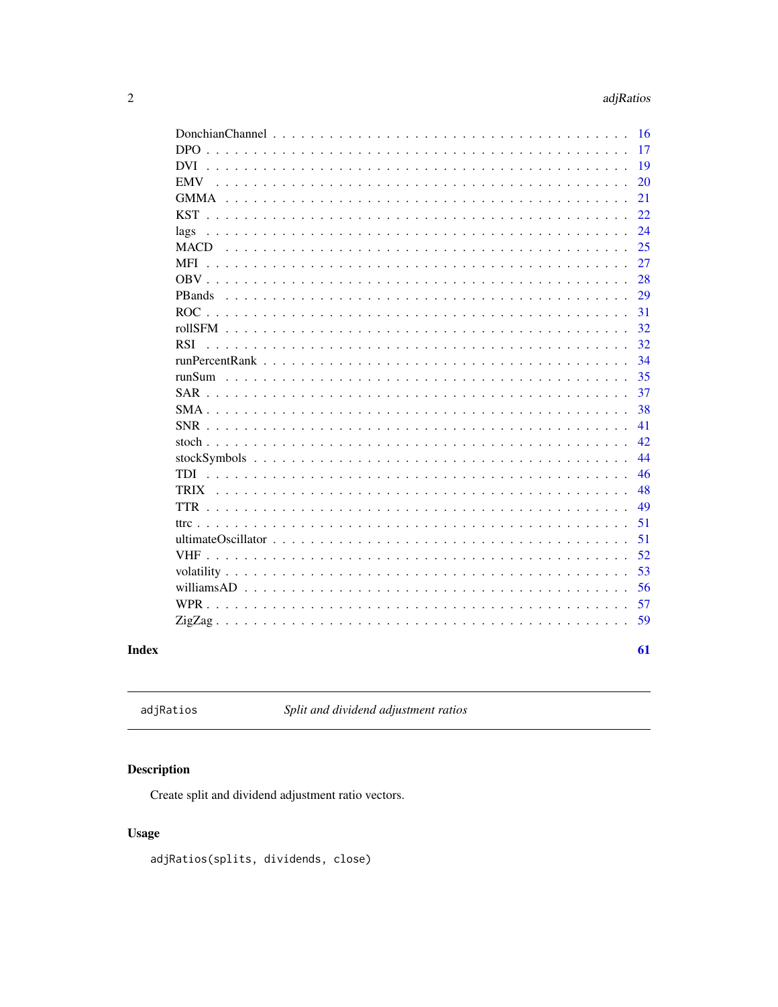<span id="page-1-0"></span>

|                                                                                                                                      | 16 |
|--------------------------------------------------------------------------------------------------------------------------------------|----|
| D <sub>PO</sub><br><u>. A series de la caractería de la caractería de la caractería de la caractería de la caractería de la cara</u> | 17 |
| <b>DVI</b>                                                                                                                           | 19 |
| <b>EMV</b>                                                                                                                           | 20 |
|                                                                                                                                      | 21 |
|                                                                                                                                      | 22 |
| lags                                                                                                                                 | 24 |
| <b>MACD</b>                                                                                                                          | 25 |
| MFI                                                                                                                                  | 27 |
|                                                                                                                                      | 28 |
| PBands                                                                                                                               | 29 |
|                                                                                                                                      | 31 |
|                                                                                                                                      | 32 |
| <b>RSI</b>                                                                                                                           | 32 |
|                                                                                                                                      | 34 |
|                                                                                                                                      | 35 |
|                                                                                                                                      | 37 |
|                                                                                                                                      | 38 |
|                                                                                                                                      | 41 |
|                                                                                                                                      | 42 |
|                                                                                                                                      | 44 |
|                                                                                                                                      | 46 |
|                                                                                                                                      | 48 |
|                                                                                                                                      | 49 |
|                                                                                                                                      | 51 |
|                                                                                                                                      | 51 |
|                                                                                                                                      | 52 |
|                                                                                                                                      | 53 |
|                                                                                                                                      | 56 |
|                                                                                                                                      | 57 |
|                                                                                                                                      | 59 |
|                                                                                                                                      |    |
|                                                                                                                                      | 61 |

# **Index**

adjRatios

Split and dividend adjustment ratios

# **Description**

Create split and dividend adjustment ratio vectors.

# **Usage**

adjRatios(splits, dividends, close)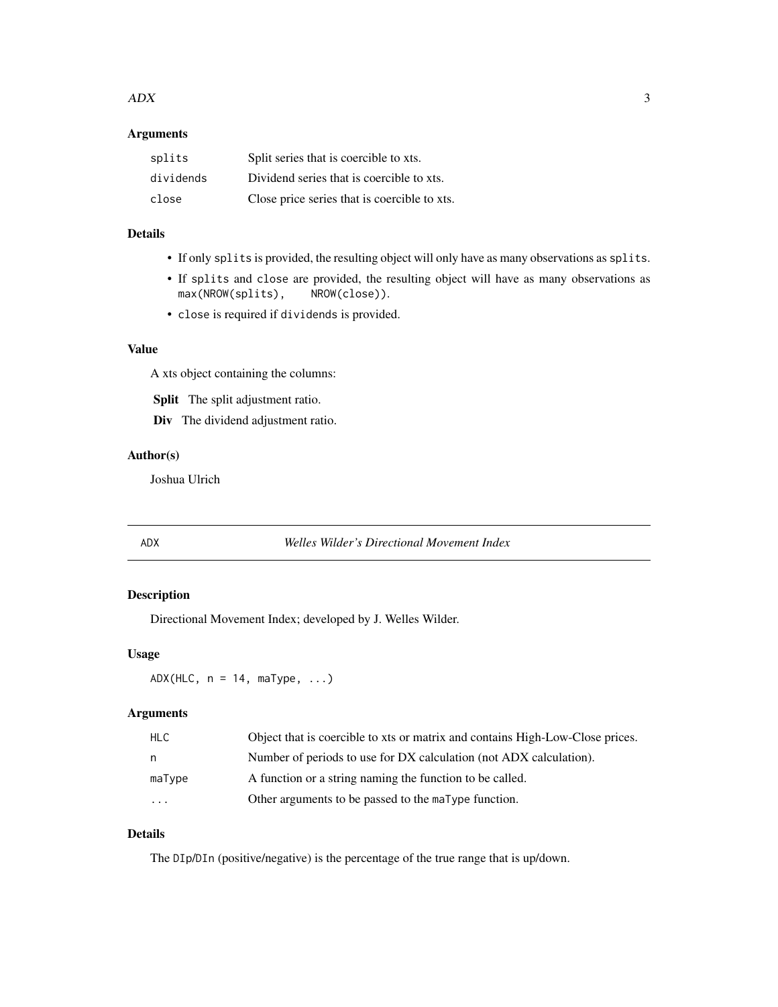#### <span id="page-2-0"></span> $ADX$  3

# Arguments

| splits    | Split series that is coercible to xts.       |
|-----------|----------------------------------------------|
| dividends | Dividend series that is coercible to xts.    |
| close     | Close price series that is coercible to xts. |

# Details

- If only splits is provided, the resulting object will only have as many observations as splits.
- If splits and close are provided, the resulting object will have as many observations as max(NROW(splits), NROW(close)).
- close is required if dividends is provided.

## Value

A xts object containing the columns:

Split The split adjustment ratio.

Div The dividend adjustment ratio.

# Author(s)

Joshua Ulrich

<span id="page-2-1"></span>

ADX *Welles Wilder's Directional Movement Index*

# <span id="page-2-2"></span>Description

Directional Movement Index; developed by J. Welles Wilder.

#### Usage

 $ADX(HLC, n = 14, maType, ...)$ 

# Arguments

| HLC.      | Object that is coercible to xts or matrix and contains High-Low-Close prices. |
|-----------|-------------------------------------------------------------------------------|
| n         | Number of periods to use for DX calculation (not ADX calculation).            |
| maType    | A function or a string naming the function to be called.                      |
| $\ddotsc$ | Other arguments to be passed to the maType function.                          |

# Details

The DIp/DIn (positive/negative) is the percentage of the true range that is up/down.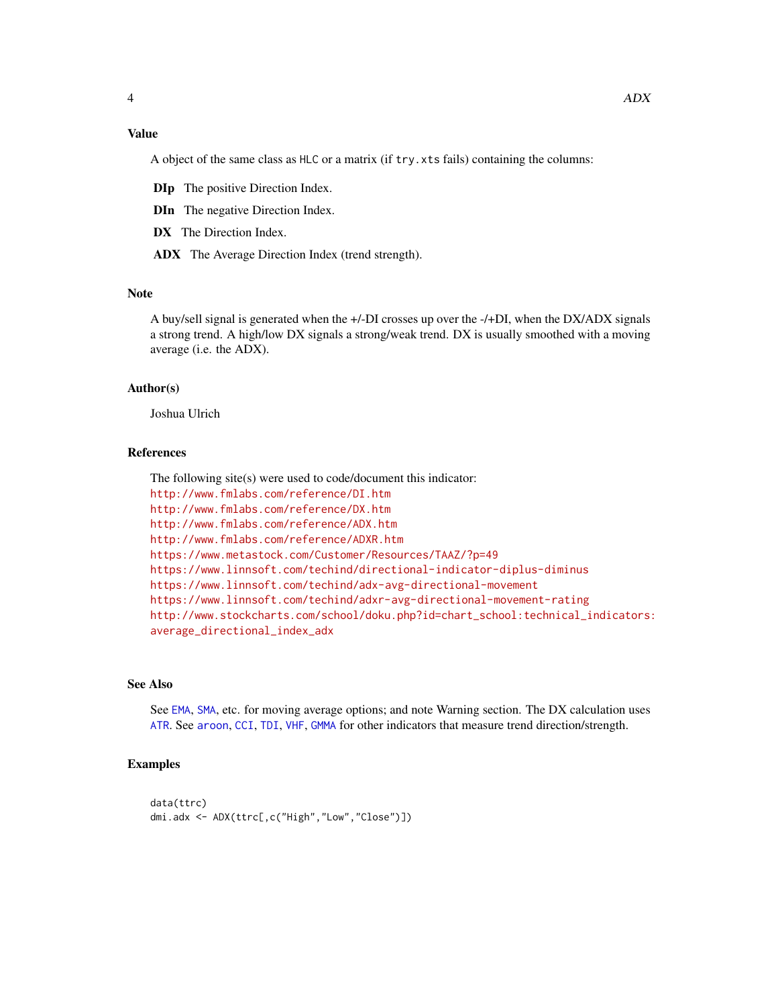# <span id="page-3-0"></span>Value

A object of the same class as HLC or a matrix (if try.xts fails) containing the columns:

DIp The positive Direction Index.

DIn The negative Direction Index.

DX The Direction Index.

ADX The Average Direction Index (trend strength).

# Note

A buy/sell signal is generated when the +/-DI crosses up over the -/+DI, when the DX/ADX signals a strong trend. A high/low DX signals a strong/weak trend. DX is usually smoothed with a moving average (i.e. the ADX).

#### Author(s)

Joshua Ulrich

#### References

The following site(s) were used to code/document this indicator: <http://www.fmlabs.com/reference/DI.htm> <http://www.fmlabs.com/reference/DX.htm> <http://www.fmlabs.com/reference/ADX.htm> <http://www.fmlabs.com/reference/ADXR.htm> <https://www.metastock.com/Customer/Resources/TAAZ/?p=49> <https://www.linnsoft.com/techind/directional-indicator-diplus-diminus> <https://www.linnsoft.com/techind/adx-avg-directional-movement> <https://www.linnsoft.com/techind/adxr-avg-directional-movement-rating> [http://www.stockcharts.com/school/doku.php?id=chart\\_school:technical\\_indicators:](http://www.stockcharts.com/school/doku.php?id=chart_school:technical_indicators:average_directional_index_adx) [average\\_directional\\_index\\_adx](http://www.stockcharts.com/school/doku.php?id=chart_school:technical_indicators:average_directional_index_adx)

# See Also

See [EMA](#page-37-1), [SMA](#page-37-2), etc. for moving average options; and note Warning section. The DX calculation uses [ATR](#page-5-1). See [aroon](#page-4-1), [CCI](#page-8-1), [TDI](#page-45-1), [VHF](#page-51-1), [GMMA](#page-20-1) for other indicators that measure trend direction/strength.

#### Examples

```
data(ttrc)
dmi.adx <- ADX(ttrc[,c("High","Low","Close")])
```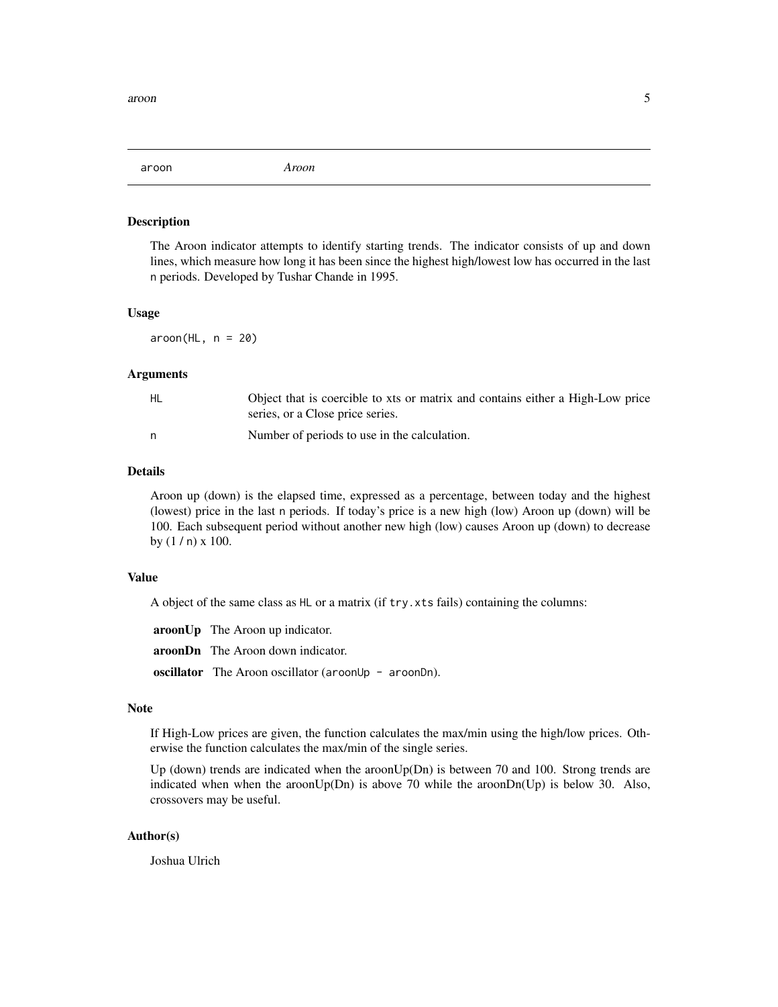<span id="page-4-1"></span><span id="page-4-0"></span>aroon *Aroon*

#### Description

The Aroon indicator attempts to identify starting trends. The indicator consists of up and down lines, which measure how long it has been since the highest high/lowest low has occurred in the last n periods. Developed by Tushar Chande in 1995.

#### Usage

 $aroon(HL, n = 20)$ 

#### **Arguments**

| HL | Object that is coercible to xts or matrix and contains either a High-Low price<br>series, or a Close price series. |
|----|--------------------------------------------------------------------------------------------------------------------|
|    | Number of periods to use in the calculation.                                                                       |

# Details

Aroon up (down) is the elapsed time, expressed as a percentage, between today and the highest (lowest) price in the last n periods. If today's price is a new high (low) Aroon up (down) will be 100. Each subsequent period without another new high (low) causes Aroon up (down) to decrease by (1 / n) x 100.

#### Value

A object of the same class as HL or a matrix (if try.xts fails) containing the columns:

| <b>aroonUp</b> The Aroon up indicator.                      |
|-------------------------------------------------------------|
| <b>aroonDn</b> The Aroon down indicator.                    |
| <b>oscillator</b> The Aroon oscillator (aroonUp - aroonDn). |

#### Note

If High-Low prices are given, the function calculates the max/min using the high/low prices. Otherwise the function calculates the max/min of the single series.

Up (down) trends are indicated when the aroonUp(Dn) is between 70 and 100. Strong trends are indicated when when the aroon $Up(Dn)$  is above 70 while the aroon $Dn(Up)$  is below 30. Also, crossovers may be useful.

### Author(s)

Joshua Ulrich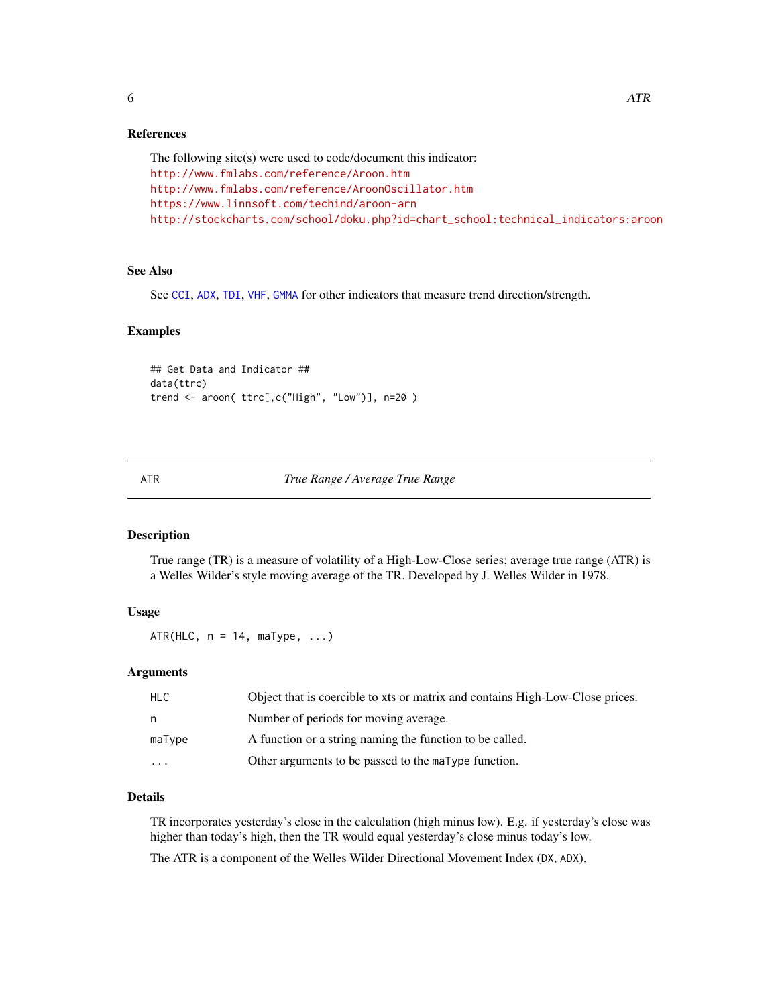#### <span id="page-5-0"></span>References

```
The following site(s) were used to code/document this indicator:
http://www.fmlabs.com/reference/Aroon.htm
http://www.fmlabs.com/reference/AroonOscillator.htm
https://www.linnsoft.com/techind/aroon-arn
http://stockcharts.com/school/doku.php?id=chart_school:technical_indicators:aroon
```
#### See Also

See [CCI](#page-8-1), [ADX](#page-2-1), [TDI](#page-45-1), [VHF](#page-51-1), [GMMA](#page-20-1) for other indicators that measure trend direction/strength.

#### Examples

```
## Get Data and Indicator ##
data(ttrc)
trend <- aroon( ttrc[,c("High", "Low")], n=20 )
```
<span id="page-5-1"></span>

#### ATR *True Range / Average True Range*

#### <span id="page-5-2"></span>Description

True range (TR) is a measure of volatility of a High-Low-Close series; average true range (ATR) is a Welles Wilder's style moving average of the TR. Developed by J. Welles Wilder in 1978.

#### Usage

 $ATR(HLC, n = 14, maType, ...)$ 

#### Arguments

| <b>HLC</b>              | Object that is coercible to xts or matrix and contains High-Low-Close prices. |
|-------------------------|-------------------------------------------------------------------------------|
| n.                      | Number of periods for moving average.                                         |
| maType                  | A function or a string naming the function to be called.                      |
| $\cdot$ $\cdot$ $\cdot$ | Other arguments to be passed to the maType function.                          |

# Details

TR incorporates yesterday's close in the calculation (high minus low). E.g. if yesterday's close was higher than today's high, then the TR would equal yesterday's close minus today's low.

The ATR is a component of the Welles Wilder Directional Movement Index (DX, ADX).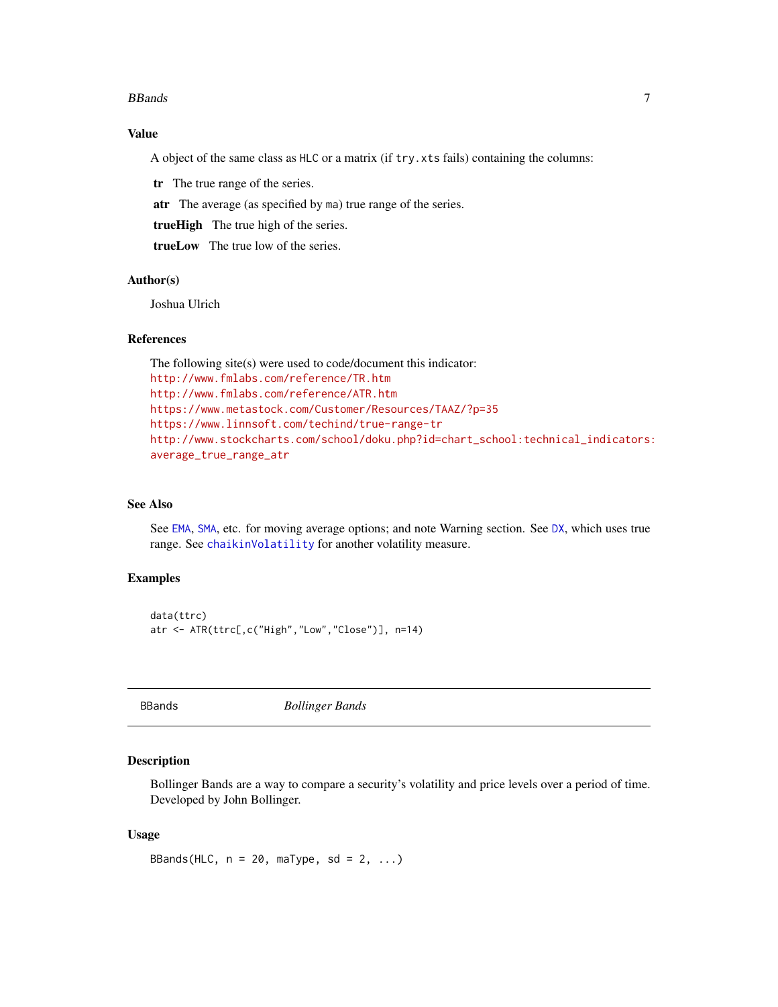#### <span id="page-6-0"></span>BBands 7 and 7 and 7 and 7 and 7 and 7 and 7 and 7 and 7 and 7 and 7 and 7 and 7 and 7 and 7 and 7 and 7 and 7

# Value

A object of the same class as HLC or a matrix (if try.xts fails) containing the columns:

tr The true range of the series.

atr The average (as specified by ma) true range of the series.

trueHigh The true high of the series.

trueLow The true low of the series.

# Author(s)

Joshua Ulrich

#### References

The following site(s) were used to code/document this indicator: <http://www.fmlabs.com/reference/TR.htm> <http://www.fmlabs.com/reference/ATR.htm> <https://www.metastock.com/Customer/Resources/TAAZ/?p=35> <https://www.linnsoft.com/techind/true-range-tr> [http://www.stockcharts.com/school/doku.php?id=chart\\_school:technical\\_indicators:](http://www.stockcharts.com/school/doku.php?id=chart_school:technical_indicators:average_true_range_atr) [average\\_true\\_range\\_atr](http://www.stockcharts.com/school/doku.php?id=chart_school:technical_indicators:average_true_range_atr)

# See Also

See [EMA](#page-37-1), [SMA](#page-37-2), etc. for moving average options; and note Warning section. See [DX](#page-2-2), which uses true range. See [chaikinVolatility](#page-10-1) for another volatility measure.

# Examples

```
data(ttrc)
atr <- ATR(ttrc[,c("High","Low","Close")], n=14)
```
<span id="page-6-1"></span>BBands *Bollinger Bands*

#### Description

Bollinger Bands are a way to compare a security's volatility and price levels over a period of time. Developed by John Bollinger.

### Usage

BBands(HLC,  $n = 20$ , maType, sd = 2, ...)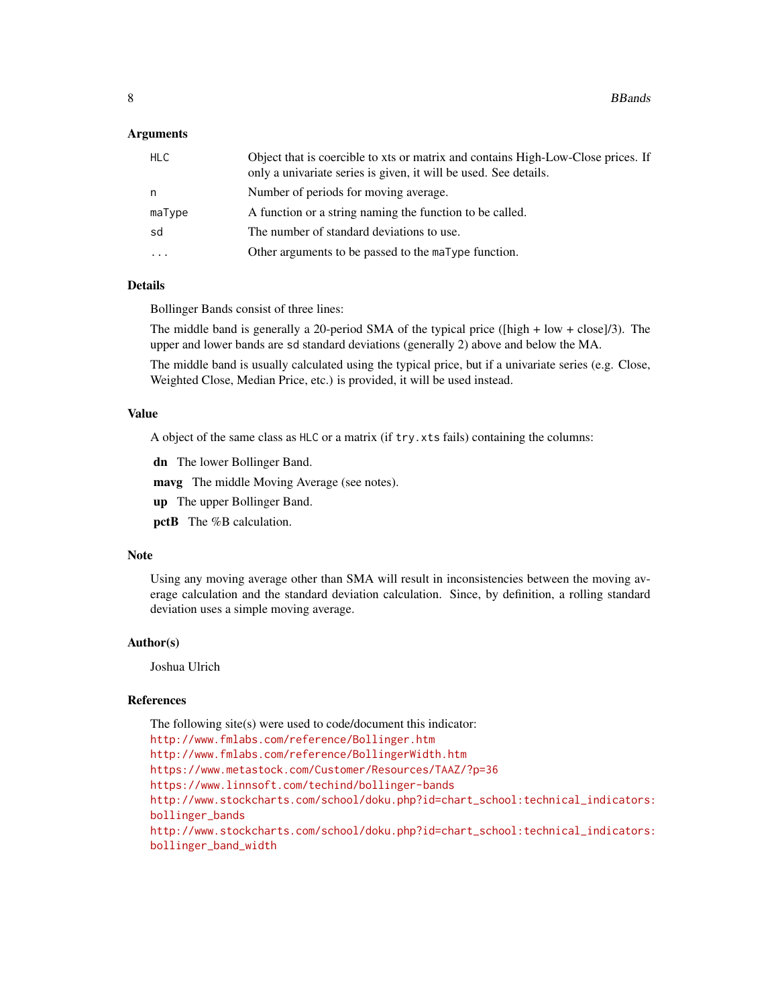#### **Arguments**

| <b>HLC</b> | Object that is coercible to xts or matrix and contains High-Low-Close prices. If<br>only a univariate series is given, it will be used. See details. |
|------------|------------------------------------------------------------------------------------------------------------------------------------------------------|
| n          | Number of periods for moving average.                                                                                                                |
| maType     | A function or a string naming the function to be called.                                                                                             |
| sd         | The number of standard deviations to use.                                                                                                            |
| $\cdots$   | Other arguments to be passed to the maType function.                                                                                                 |
|            |                                                                                                                                                      |

# Details

Bollinger Bands consist of three lines:

The middle band is generally a 20-period SMA of the typical price ( $\left[\text{high} + \text{low} + \text{close}\right]$ /3). The upper and lower bands are sd standard deviations (generally 2) above and below the MA.

The middle band is usually calculated using the typical price, but if a univariate series (e.g. Close, Weighted Close, Median Price, etc.) is provided, it will be used instead.

# Value

A object of the same class as HLC or a matrix (if try.xts fails) containing the columns:

dn The lower Bollinger Band.

mavg The middle Moving Average (see notes).

up The upper Bollinger Band.

pctB The %B calculation.

#### Note

Using any moving average other than SMA will result in inconsistencies between the moving average calculation and the standard deviation calculation. Since, by definition, a rolling standard deviation uses a simple moving average.

#### Author(s)

Joshua Ulrich

#### References

The following site(s) were used to code/document this indicator:

<http://www.fmlabs.com/reference/Bollinger.htm>

<http://www.fmlabs.com/reference/BollingerWidth.htm>

<https://www.metastock.com/Customer/Resources/TAAZ/?p=36>

<https://www.linnsoft.com/techind/bollinger-bands>

[http://www.stockcharts.com/school/doku.php?id=chart\\_school:technical\\_indicators:](http://www.stockcharts.com/school/doku.php?id=chart_school:technical_indicators:bollinger_bands) [bollinger\\_bands](http://www.stockcharts.com/school/doku.php?id=chart_school:technical_indicators:bollinger_bands)

[http://www.stockcharts.com/school/doku.php?id=chart\\_school:technical\\_indicators:](http://www.stockcharts.com/school/doku.php?id=chart_school:technical_indicators:bollinger_band_width) [bollinger\\_band\\_width](http://www.stockcharts.com/school/doku.php?id=chart_school:technical_indicators:bollinger_band_width)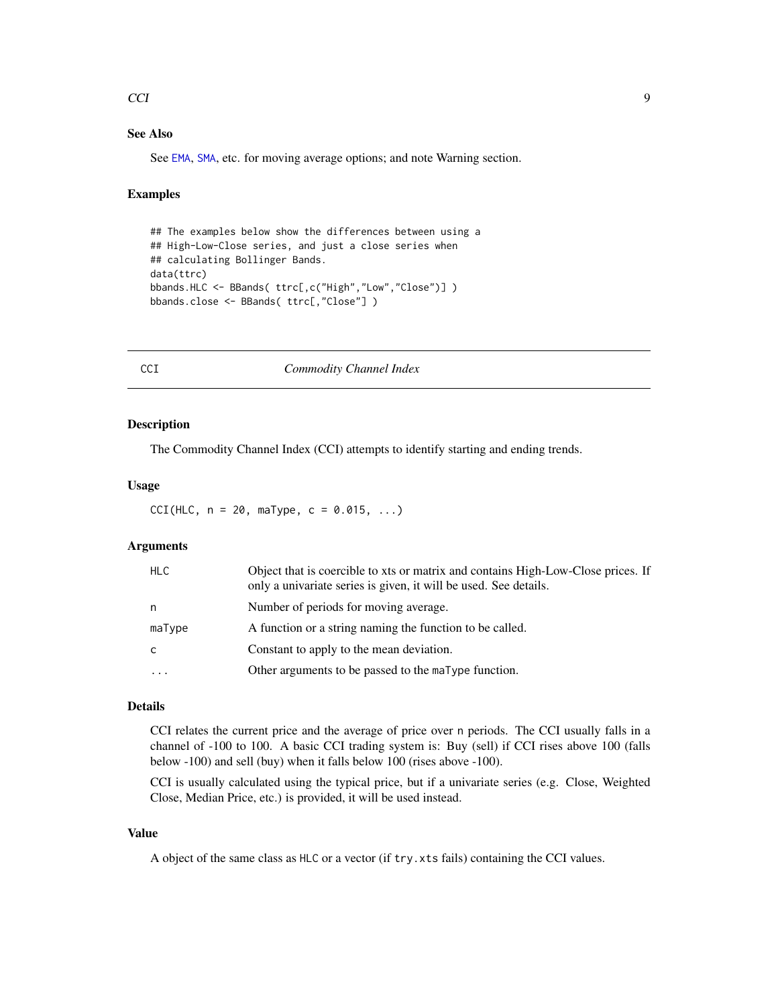#### <span id="page-8-0"></span> $\overline{C}$ CI 9

# See Also

See [EMA](#page-37-1), [SMA](#page-37-2), etc. for moving average options; and note Warning section.

#### Examples

```
## The examples below show the differences between using a
## High-Low-Close series, and just a close series when
## calculating Bollinger Bands.
data(ttrc)
bbands.HLC <- BBands( ttrc[,c("High","Low","Close")] )
bbands.close <- BBands( ttrc[,"Close"] )
```
<span id="page-8-1"></span>CCI *Commodity Channel Index*

#### Description

The Commodity Channel Index (CCI) attempts to identify starting and ending trends.

#### Usage

 $CCI(HLC, n = 20, m=Type, c = 0.015, ...)$ 

# Arguments

| <b>HLC</b> | Object that is coercible to xts or matrix and contains High-Low-Close prices. If<br>only a univariate series is given, it will be used. See details. |
|------------|------------------------------------------------------------------------------------------------------------------------------------------------------|
| n          | Number of periods for moving average.                                                                                                                |
| maType     | A function or a string naming the function to be called.                                                                                             |
| C          | Constant to apply to the mean deviation.                                                                                                             |
| $\cdots$   | Other arguments to be passed to the maType function.                                                                                                 |

# Details

CCI relates the current price and the average of price over n periods. The CCI usually falls in a channel of -100 to 100. A basic CCI trading system is: Buy (sell) if CCI rises above 100 (falls below -100) and sell (buy) when it falls below 100 (rises above -100).

CCI is usually calculated using the typical price, but if a univariate series (e.g. Close, Weighted Close, Median Price, etc.) is provided, it will be used instead.

# Value

A object of the same class as HLC or a vector (if try.xts fails) containing the CCI values.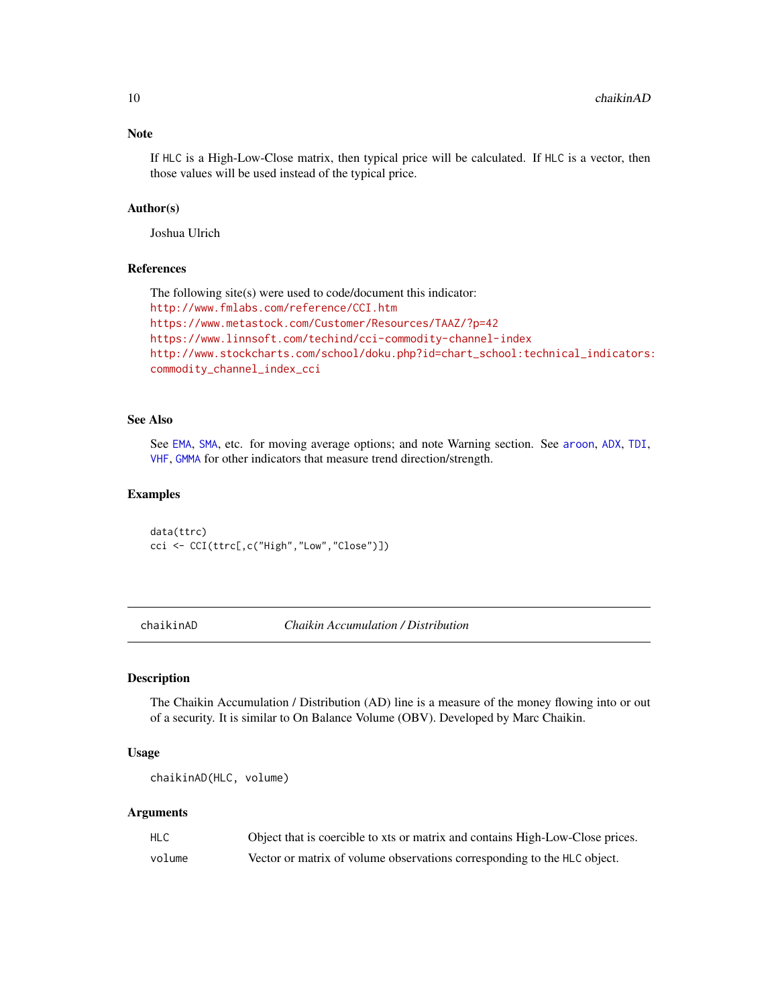#### <span id="page-9-0"></span>Note

If HLC is a High-Low-Close matrix, then typical price will be calculated. If HLC is a vector, then those values will be used instead of the typical price.

# Author(s)

Joshua Ulrich

#### References

```
The following site(s) were used to code/document this indicator:
http://www.fmlabs.com/reference/CCI.htm
https://www.metastock.com/Customer/Resources/TAAZ/?p=42
https://www.linnsoft.com/techind/cci-commodity-channel-index
http://www.stockcharts.com/school/doku.php?id=chart_school:technical_indicators:
commodity_channel_index_cci
```
#### See Also

See [EMA](#page-37-1), [SMA](#page-37-2), etc. for moving average options; and note Warning section. See [aroon](#page-4-1), [ADX](#page-2-1), [TDI](#page-45-1), [VHF](#page-51-1), [GMMA](#page-20-1) for other indicators that measure trend direction/strength.

#### Examples

data(ttrc) cci <- CCI(ttrc[,c("High","Low","Close")])

<span id="page-9-1"></span>chaikinAD *Chaikin Accumulation / Distribution*

#### **Description**

The Chaikin Accumulation / Distribution (AD) line is a measure of the money flowing into or out of a security. It is similar to On Balance Volume (OBV). Developed by Marc Chaikin.

#### Usage

```
chaikinAD(HLC, volume)
```
#### Arguments

| <b>HLC</b> | Object that is coercible to xts or matrix and contains High-Low-Close prices. |
|------------|-------------------------------------------------------------------------------|
| volume     | Vector or matrix of volume observations corresponding to the HLC object.      |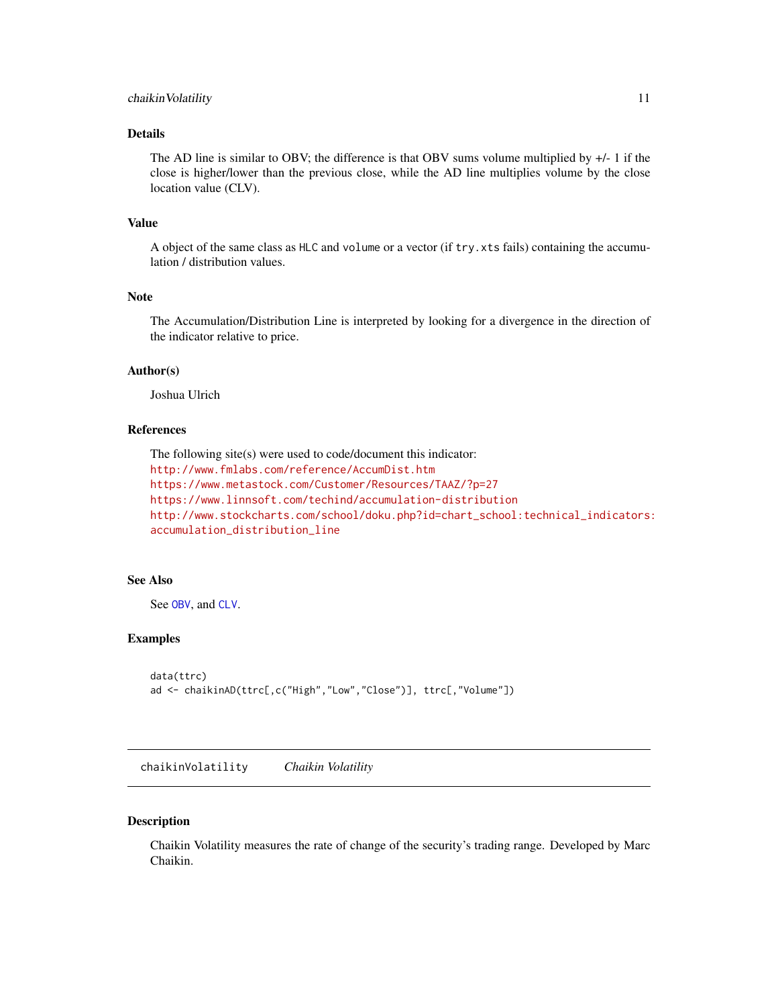# <span id="page-10-0"></span>chaikin Volatility 11

# Details

The AD line is similar to OBV; the difference is that OBV sums volume multiplied by +/- 1 if the close is higher/lower than the previous close, while the AD line multiplies volume by the close location value (CLV).

# Value

A object of the same class as HLC and volume or a vector (if try.xts fails) containing the accumulation / distribution values.

# Note

The Accumulation/Distribution Line is interpreted by looking for a divergence in the direction of the indicator relative to price.

# Author(s)

Joshua Ulrich

# References

```
The following site(s) were used to code/document this indicator:
http://www.fmlabs.com/reference/AccumDist.htm
https://www.metastock.com/Customer/Resources/TAAZ/?p=27
https://www.linnsoft.com/techind/accumulation-distribution
http://www.stockcharts.com/school/doku.php?id=chart_school:technical_indicators:
accumulation_distribution_line
```
#### See Also

See [OBV](#page-27-1), and [CLV](#page-12-1).

#### Examples

```
data(ttrc)
ad <- chaikinAD(ttrc[,c("High","Low","Close")], ttrc[,"Volume"])
```
<span id="page-10-1"></span>chaikinVolatility *Chaikin Volatility*

#### Description

Chaikin Volatility measures the rate of change of the security's trading range. Developed by Marc Chaikin.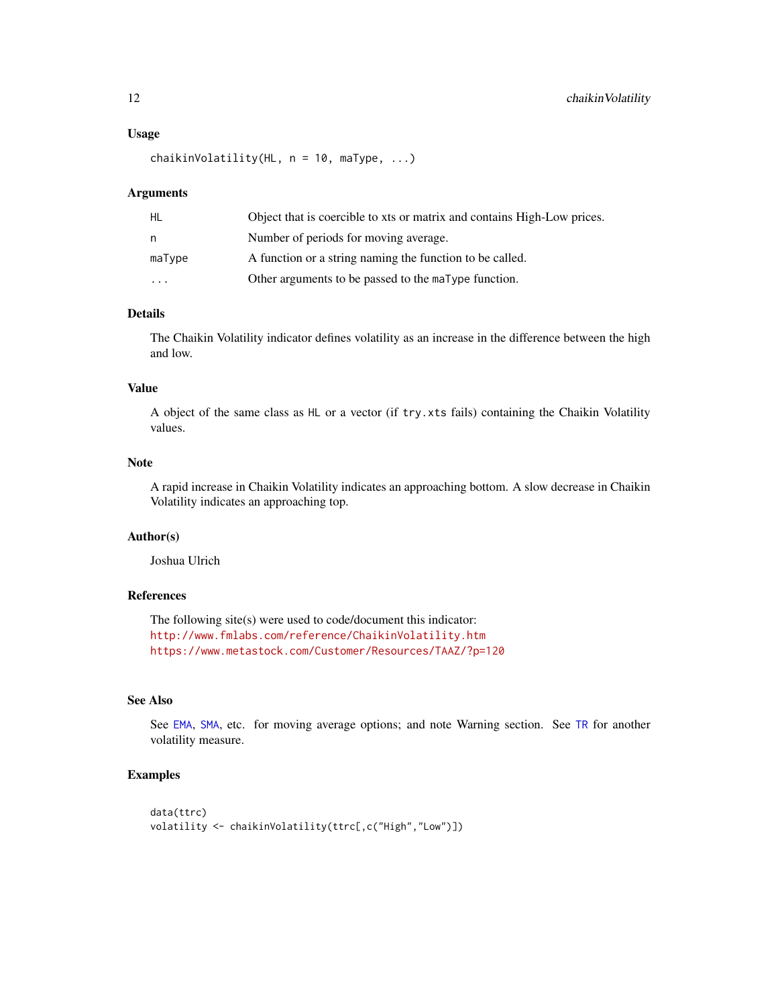#### <span id="page-11-0"></span>Usage

```
chaikinVolatility(HL, n = 10, maType, ...)
```
#### Arguments

| HL      | Object that is coercible to xts or matrix and contains High-Low prices. |
|---------|-------------------------------------------------------------------------|
| n       | Number of periods for moving average.                                   |
| maType  | A function or a string naming the function to be called.                |
| $\cdot$ | Other arguments to be passed to the maType function.                    |

# Details

The Chaikin Volatility indicator defines volatility as an increase in the difference between the high and low.

# Value

A object of the same class as HL or a vector (if try.xts fails) containing the Chaikin Volatility values.

# Note

A rapid increase in Chaikin Volatility indicates an approaching bottom. A slow decrease in Chaikin Volatility indicates an approaching top.

### Author(s)

Joshua Ulrich

# References

The following site(s) were used to code/document this indicator: <http://www.fmlabs.com/reference/ChaikinVolatility.htm> <https://www.metastock.com/Customer/Resources/TAAZ/?p=120>

# See Also

See [EMA](#page-37-1), [SMA](#page-37-2), etc. for moving average options; and note Warning section. See [TR](#page-5-2) for another volatility measure.

# Examples

```
data(ttrc)
volatility <- chaikinVolatility(ttrc[,c("High","Low")])
```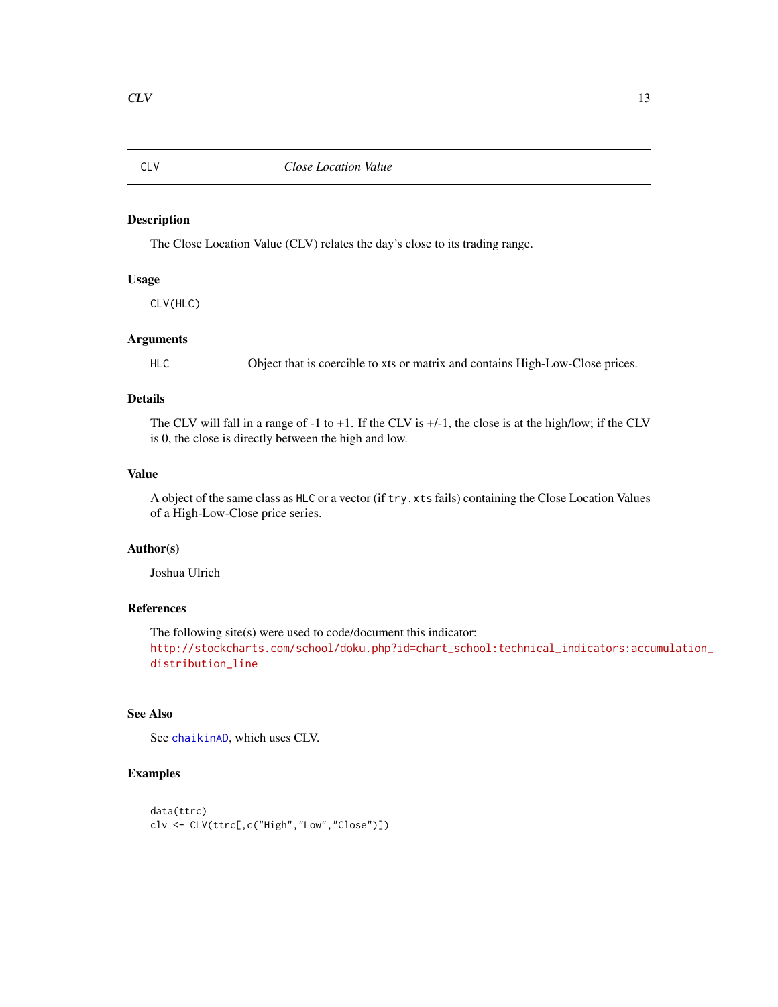<span id="page-12-1"></span><span id="page-12-0"></span>

# Description

The Close Location Value (CLV) relates the day's close to its trading range.

# Usage

CLV(HLC)

#### Arguments

HLC Object that is coercible to xts or matrix and contains High-Low-Close prices.

# Details

The CLV will fall in a range of -1 to +1. If the CLV is +/-1, the close is at the high/low; if the CLV is 0, the close is directly between the high and low.

#### Value

A object of the same class as HLC or a vector (if try.xts fails) containing the Close Location Values of a High-Low-Close price series.

# Author(s)

Joshua Ulrich

# References

The following site(s) were used to code/document this indicator: [http://stockcharts.com/school/doku.php?id=chart\\_school:technical\\_indicators:accu](http://stockcharts.com/school/doku.php?id=chart_school:technical_indicators:accumulation_distribution_line)mulation\_ [distribution\\_line](http://stockcharts.com/school/doku.php?id=chart_school:technical_indicators:accumulation_distribution_line)

# See Also

See [chaikinAD](#page-9-1), which uses CLV.

# Examples

```
data(ttrc)
clv <- CLV(ttrc[,c("High","Low","Close")])
```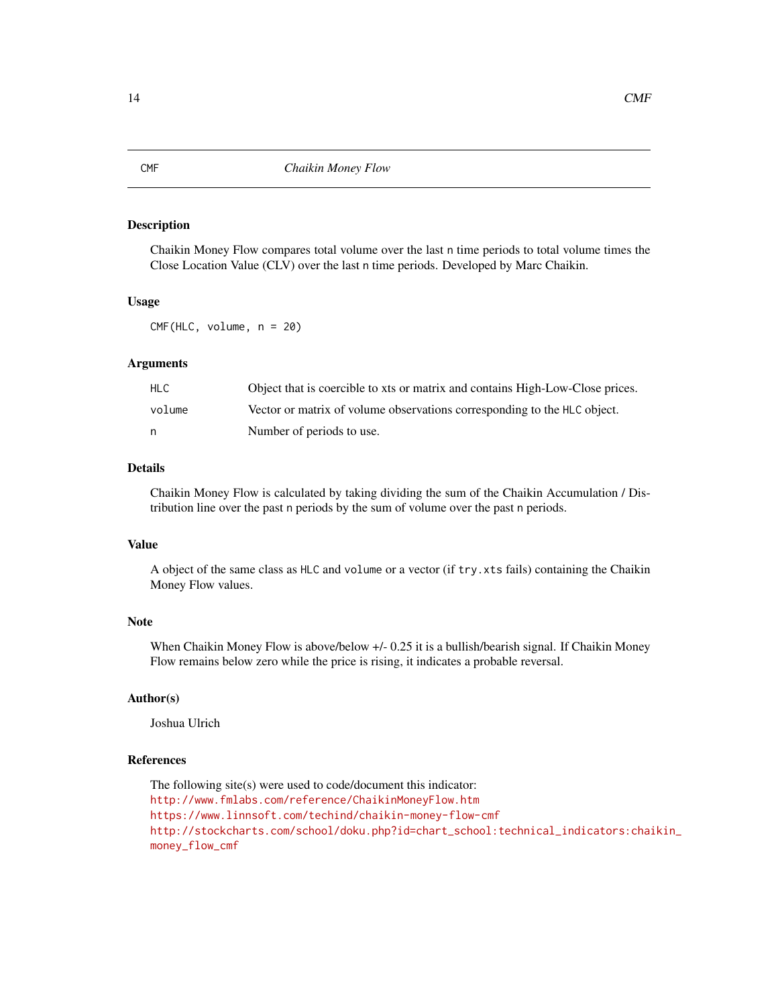# Description

Chaikin Money Flow compares total volume over the last n time periods to total volume times the Close Location Value (CLV) over the last n time periods. Developed by Marc Chaikin.

#### Usage

CMF(HLC, volume, n = 20)

# Arguments

| HLC.   | Object that is coercible to xts or matrix and contains High-Low-Close prices. |
|--------|-------------------------------------------------------------------------------|
| volume | Vector or matrix of volume observations corresponding to the HLC object.      |
| n      | Number of periods to use.                                                     |

# Details

Chaikin Money Flow is calculated by taking dividing the sum of the Chaikin Accumulation / Distribution line over the past n periods by the sum of volume over the past n periods.

# Value

A object of the same class as HLC and volume or a vector (if try.xts fails) containing the Chaikin Money Flow values.

# Note

When Chaikin Money Flow is above/below +/- 0.25 it is a bullish/bearish signal. If Chaikin Money Flow remains below zero while the price is rising, it indicates a probable reversal.

# Author(s)

Joshua Ulrich

# References

The following site(s) were used to code/document this indicator: <http://www.fmlabs.com/reference/ChaikinMoneyFlow.htm> <https://www.linnsoft.com/techind/chaikin-money-flow-cmf> [http://stockcharts.com/school/doku.php?id=chart\\_school:technical\\_indicators:chai](http://stockcharts.com/school/doku.php?id=chart_school:technical_indicators:chaikin_money_flow_cmf)kin\_ [money\\_flow\\_cmf](http://stockcharts.com/school/doku.php?id=chart_school:technical_indicators:chaikin_money_flow_cmf)

<span id="page-13-1"></span><span id="page-13-0"></span>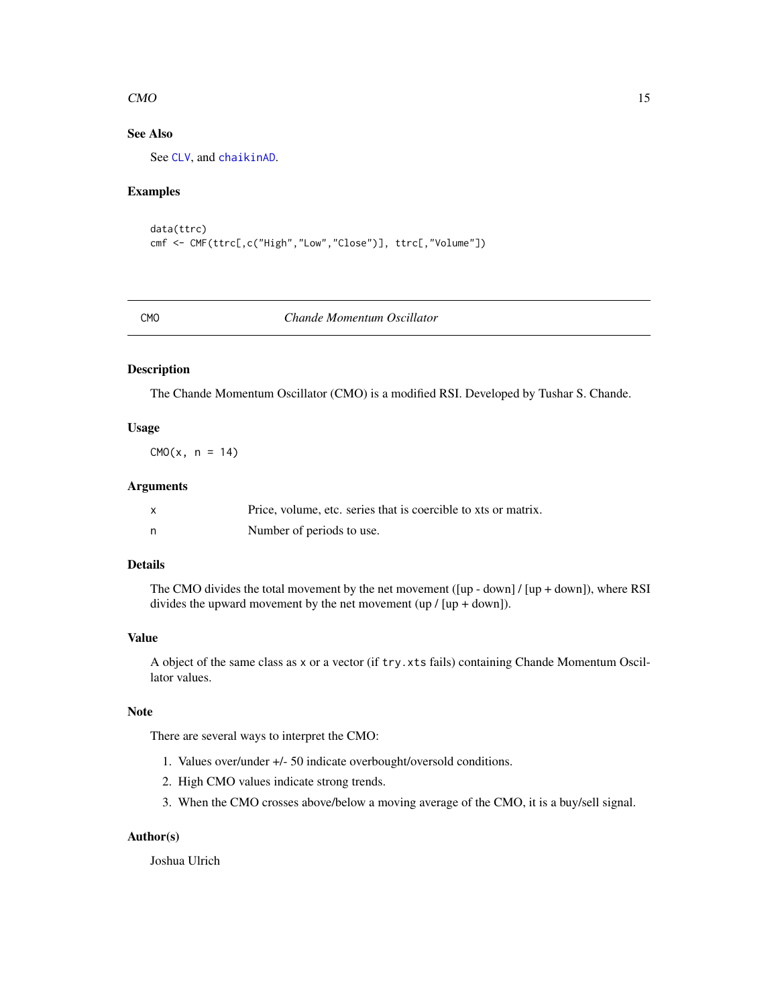#### <span id="page-14-0"></span> $CMO$  15

# See Also

See [CLV](#page-12-1), and [chaikinAD](#page-9-1).

# Examples

```
data(ttrc)
cmf <- CMF(ttrc[,c("High","Low","Close")], ttrc[,"Volume"])
```
<span id="page-14-1"></span>

#### CMO *Chande Momentum Oscillator*

# Description

The Chande Momentum Oscillator (CMO) is a modified RSI. Developed by Tushar S. Chande.

# Usage

 $CMO(x, n = 14)$ 

#### Arguments

| Price, volume, etc. series that is coercible to xts or matrix. |
|----------------------------------------------------------------|
| Number of periods to use.                                      |

# Details

The CMO divides the total movement by the net movement  $([up - down]/[up + down])$ , where RSI divides the upward movement by the net movement  $\text{(up / [up + down]})$ .

# Value

A object of the same class as x or a vector (if try.xts fails) containing Chande Momentum Oscillator values.

# Note

There are several ways to interpret the CMO:

- 1. Values over/under +/- 50 indicate overbought/oversold conditions.
- 2. High CMO values indicate strong trends.
- 3. When the CMO crosses above/below a moving average of the CMO, it is a buy/sell signal.

# Author(s)

Joshua Ulrich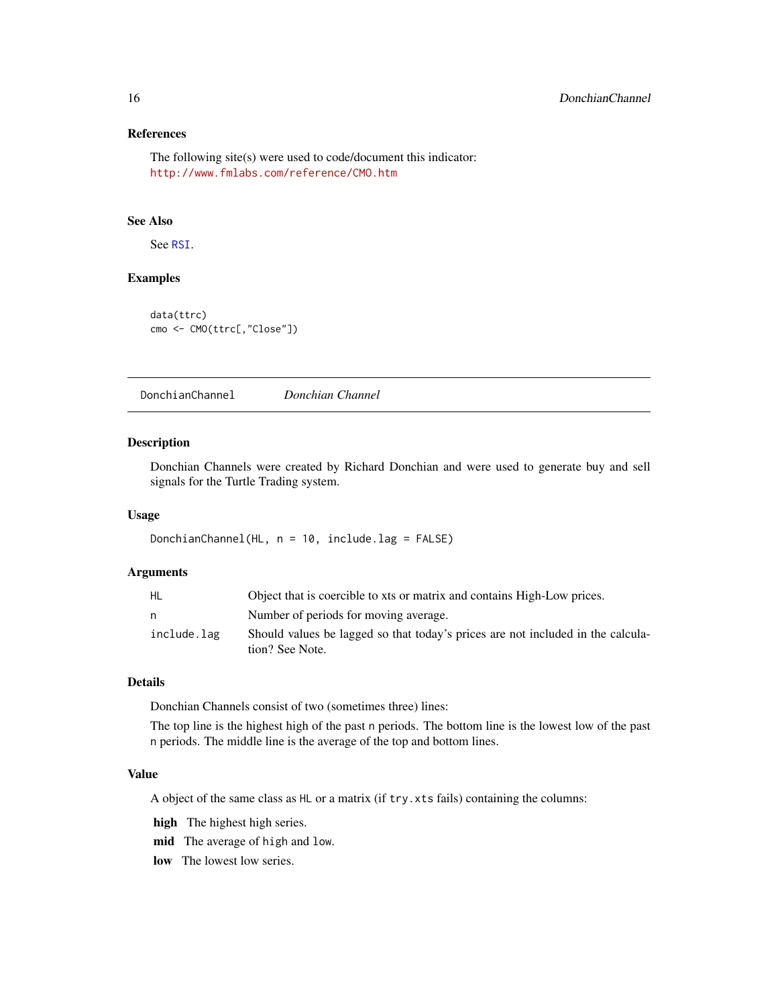# <span id="page-15-0"></span>References

The following site(s) were used to code/document this indicator: <http://www.fmlabs.com/reference/CMO.htm>

#### See Also

See [RSI](#page-31-1).

#### Examples

```
data(ttrc)
cmo <- CMO(ttrc[,"Close"])
```
DonchianChannel *Donchian Channel*

#### Description

Donchian Channels were created by Richard Donchian and were used to generate buy and sell signals for the Turtle Trading system.

#### Usage

DonchianChannel(HL, n = 10, include.lag = FALSE)

# Arguments

| HL          | Object that is coercible to xts or matrix and contains High-Low prices.                            |
|-------------|----------------------------------------------------------------------------------------------------|
| n           | Number of periods for moving average.                                                              |
| include.lag | Should values be lagged so that today's prices are not included in the calcula-<br>tion? See Note. |

# Details

Donchian Channels consist of two (sometimes three) lines:

The top line is the highest high of the past n periods. The bottom line is the lowest low of the past n periods. The middle line is the average of the top and bottom lines.

#### Value

A object of the same class as HL or a matrix (if try.xts fails) containing the columns:

high The highest high series.

mid The average of high and low.

low The lowest low series.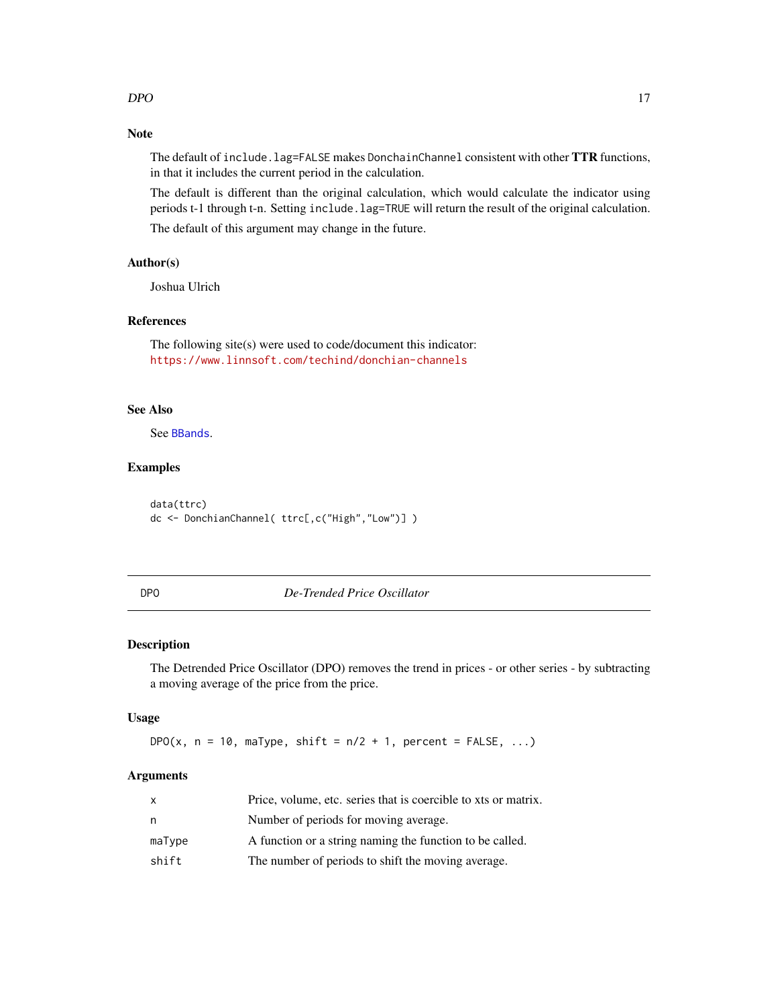# <span id="page-16-0"></span>Note

The default of include.lag=FALSE makes DonchainChannel consistent with other TTR functions, in that it includes the current period in the calculation.

The default is different than the original calculation, which would calculate the indicator using periods t-1 through t-n. Setting include.lag=TRUE will return the result of the original calculation.

The default of this argument may change in the future.

# Author(s)

Joshua Ulrich

# References

The following site(s) were used to code/document this indicator: <https://www.linnsoft.com/techind/donchian-channels>

#### See Also

See [BBands](#page-6-1).

# Examples

data(ttrc) dc <- DonchianChannel( ttrc[,c("High","Low")] )

DPO *De-Trended Price Oscillator*

# Description

The Detrended Price Oscillator (DPO) removes the trend in prices - or other series - by subtracting a moving average of the price from the price.

#### Usage

DPO(x,  $n = 10$ , maType, shift =  $n/2 + 1$ , percent = FALSE, ...)

# Arguments

| x      | Price, volume, etc. series that is coercible to xts or matrix. |
|--------|----------------------------------------------------------------|
| n      | Number of periods for moving average.                          |
| maType | A function or a string naming the function to be called.       |
| shift  | The number of periods to shift the moving average.             |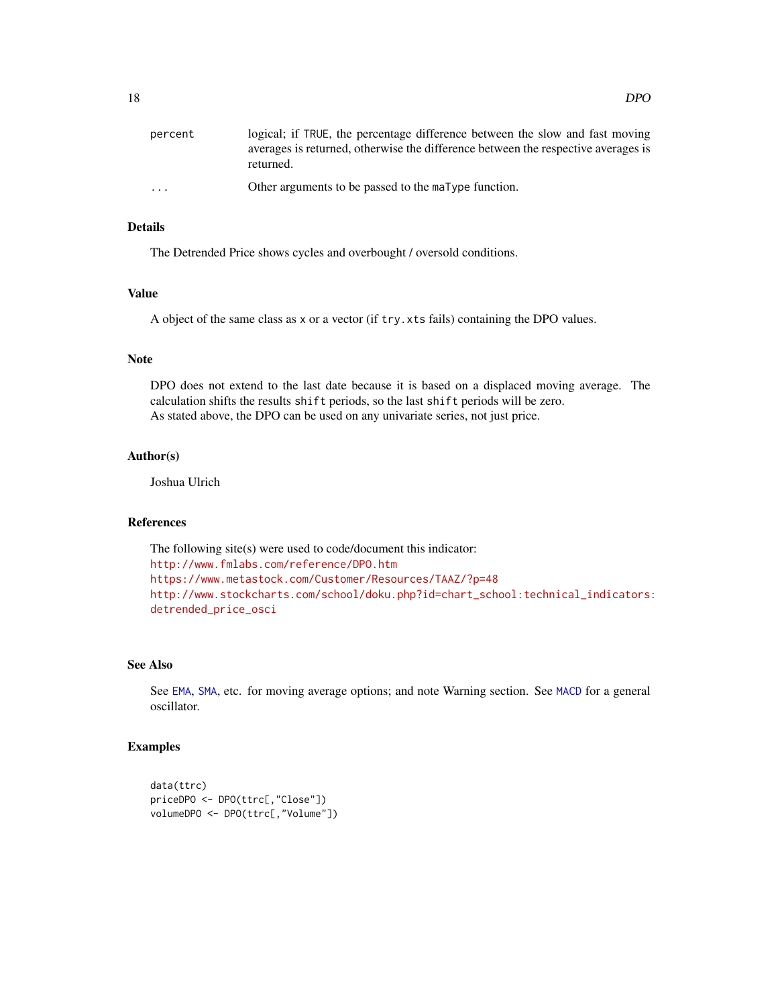<span id="page-17-0"></span>

| percent                 | logical; if TRUE, the percentage difference between the slow and fast moving<br>averages is returned, otherwise the difference between the respective averages is<br>returned. |
|-------------------------|--------------------------------------------------------------------------------------------------------------------------------------------------------------------------------|
| $\cdot$ $\cdot$ $\cdot$ | Other arguments to be passed to the maType function.                                                                                                                           |

# Details

The Detrended Price shows cycles and overbought / oversold conditions.

# Value

A object of the same class as x or a vector (if try.xts fails) containing the DPO values.

#### Note

DPO does not extend to the last date because it is based on a displaced moving average. The calculation shifts the results shift periods, so the last shift periods will be zero. As stated above, the DPO can be used on any univariate series, not just price.

#### Author(s)

Joshua Ulrich

#### References

The following site(s) were used to code/document this indicator: <http://www.fmlabs.com/reference/DPO.htm> <https://www.metastock.com/Customer/Resources/TAAZ/?p=48> [http://www.stockcharts.com/school/doku.php?id=chart\\_school:technical\\_indicators:](http://www.stockcharts.com/school/doku.php?id=chart_school:technical_indicators:detrended_price_osci) [detrended\\_price\\_osci](http://www.stockcharts.com/school/doku.php?id=chart_school:technical_indicators:detrended_price_osci)

# See Also

See [EMA](#page-37-1), [SMA](#page-37-2), etc. for moving average options; and note Warning section. See [MACD](#page-24-1) for a general oscillator.

#### Examples

```
data(ttrc)
priceDPO <- DPO(ttrc[,"Close"])
volumeDPO <- DPO(ttrc[,"Volume"])
```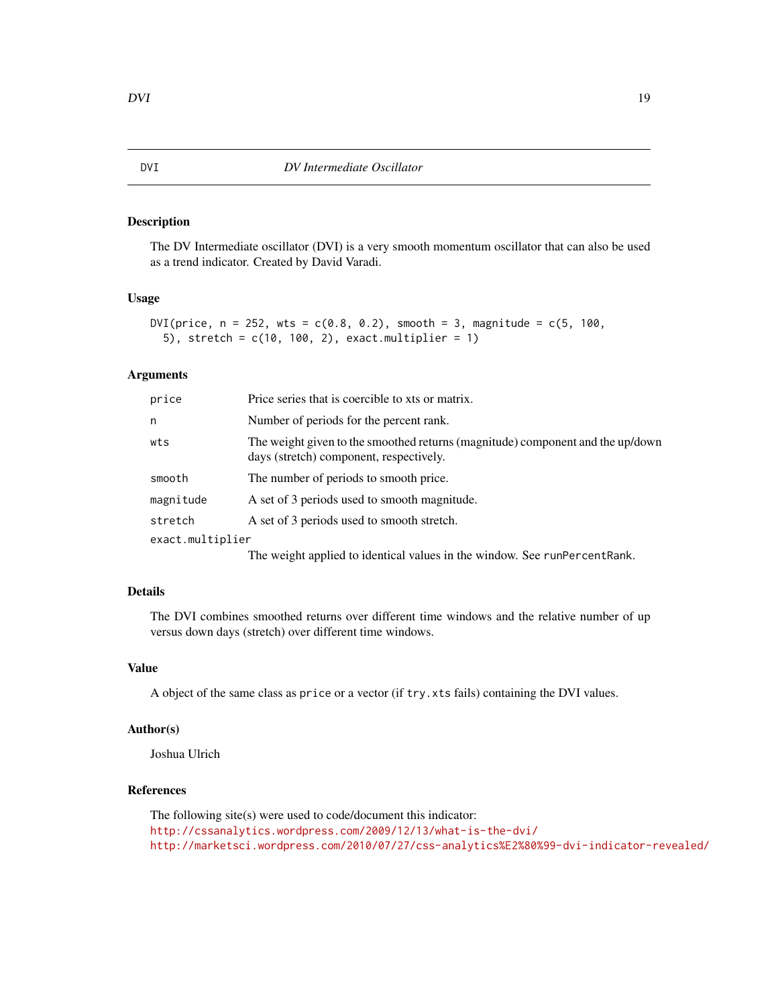#### <span id="page-18-0"></span>Description

The DV Intermediate oscillator (DVI) is a very smooth momentum oscillator that can also be used as a trend indicator. Created by David Varadi.

# Usage

```
DVI(price, n = 252, wts = c(0.8, 0.2), smooth = 3, magnitude = c(5, 100,
  5), stretch = c(10, 100, 2), exact.multiplier = 1)
```
#### Arguments

| price            | Price series that is coercible to xts or matrix.                                                                          |
|------------------|---------------------------------------------------------------------------------------------------------------------------|
| n                | Number of periods for the percent rank.                                                                                   |
| wts              | The weight given to the smoothed returns (magnitude) component and the up/down<br>days (stretch) component, respectively. |
| smooth           | The number of periods to smooth price.                                                                                    |
| magnitude        | A set of 3 periods used to smooth magnitude.                                                                              |
| stretch          | A set of 3 periods used to smooth stretch.                                                                                |
| exact.multiplier |                                                                                                                           |
|                  |                                                                                                                           |

The weight applied to identical values in the window. See runPercentRank.

# Details

The DVI combines smoothed returns over different time windows and the relative number of up versus down days (stretch) over different time windows.

#### Value

A object of the same class as price or a vector (if try.xts fails) containing the DVI values.

# Author(s)

Joshua Ulrich

# References

The following site(s) were used to code/document this indicator: <http://cssanalytics.wordpress.com/2009/12/13/what-is-the-dvi/> <http://marketsci.wordpress.com/2010/07/27/css-analytics%E2%80%99-dvi-indicator-revealed/>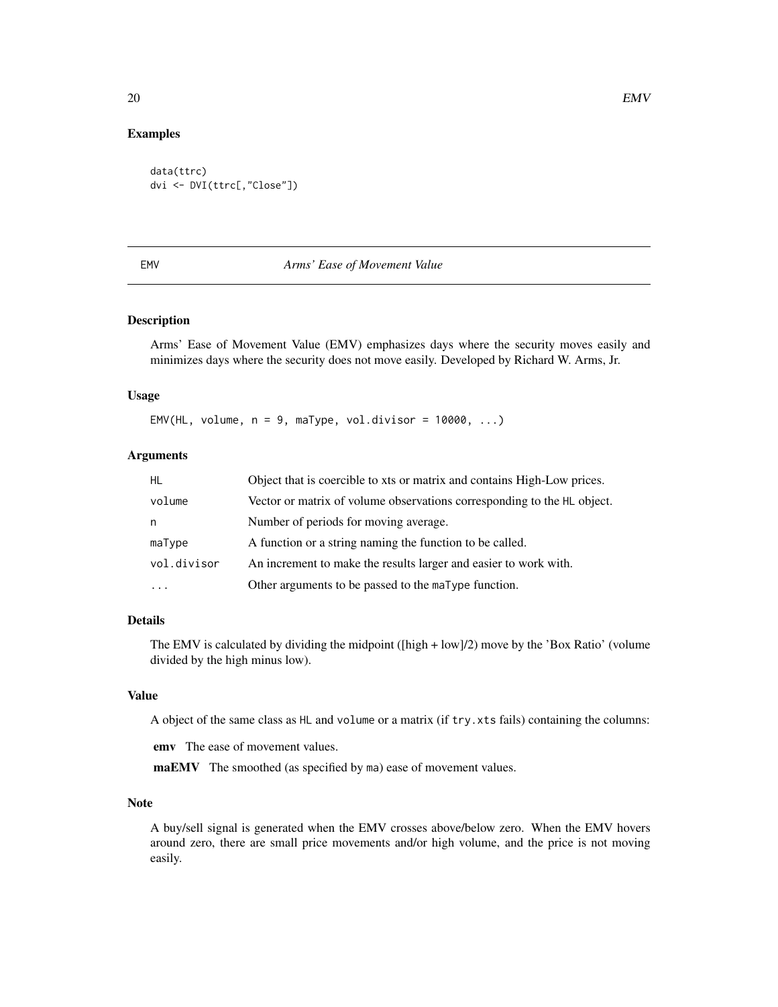#### Examples

```
data(ttrc)
dvi <- DVI(ttrc[,"Close"])
```
#### EMV *Arms' Ease of Movement Value*

#### Description

Arms' Ease of Movement Value (EMV) emphasizes days where the security moves easily and minimizes days where the security does not move easily. Developed by Richard W. Arms, Jr.

#### Usage

EMV(HL, volume,  $n = 9$ , maType, vol.divisor = 10000, ...)

#### Arguments

| HL.         | Object that is coercible to xts or matrix and contains High-Low prices. |
|-------------|-------------------------------------------------------------------------|
| volume      | Vector or matrix of volume observations corresponding to the HL object. |
| n           | Number of periods for moving average.                                   |
| maType      | A function or a string naming the function to be called.                |
| vol.divisor | An increment to make the results larger and easier to work with.        |
|             | Other arguments to be passed to the maType function.                    |

#### Details

The EMV is calculated by dividing the midpoint  $([high + low]/2)$  move by the 'Box Ratio' (volume divided by the high minus low).

## Value

A object of the same class as HL and volume or a matrix (if try.xts fails) containing the columns:

emv The ease of movement values.

maEMV The smoothed (as specified by ma) ease of movement values.

#### Note

A buy/sell signal is generated when the EMV crosses above/below zero. When the EMV hovers around zero, there are small price movements and/or high volume, and the price is not moving easily.

<span id="page-19-0"></span>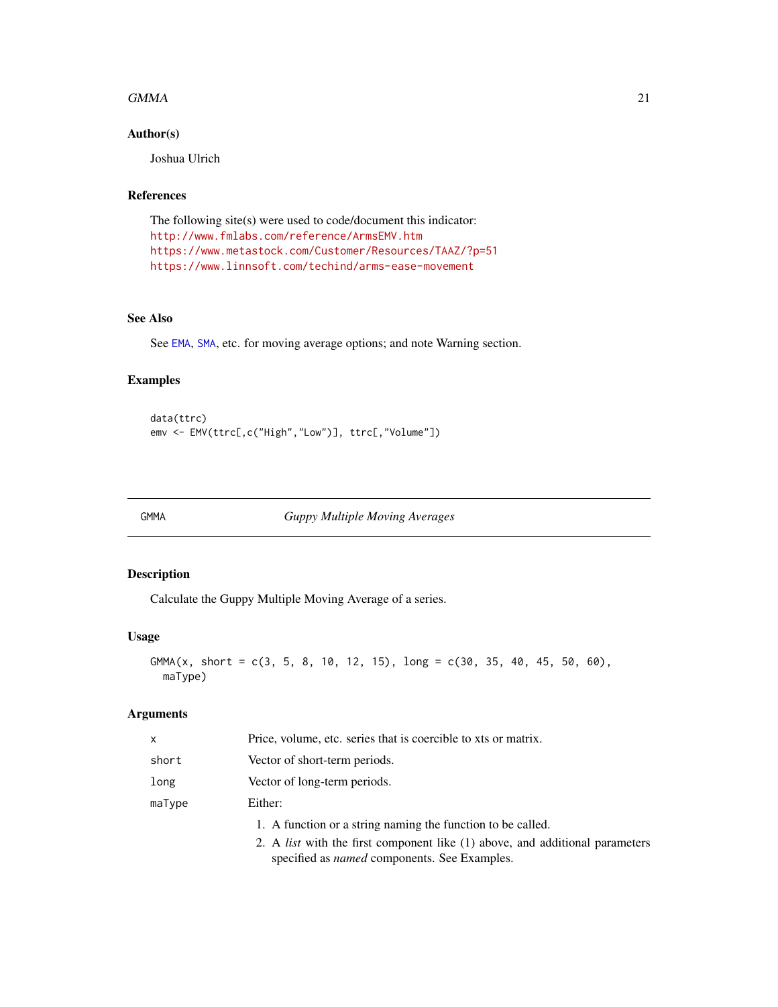#### <span id="page-20-0"></span> $GMMA$  21

# Author(s)

Joshua Ulrich

# References

The following site(s) were used to code/document this indicator: <http://www.fmlabs.com/reference/ArmsEMV.htm> <https://www.metastock.com/Customer/Resources/TAAZ/?p=51> <https://www.linnsoft.com/techind/arms-ease-movement>

# See Also

See [EMA](#page-37-1), [SMA](#page-37-2), etc. for moving average options; and note Warning section.

### Examples

```
data(ttrc)
emv <- EMV(ttrc[,c("High","Low")], ttrc[,"Volume"])
```
<span id="page-20-1"></span>GMMA *Guppy Multiple Moving Averages*

# Description

Calculate the Guppy Multiple Moving Average of a series.

#### Usage

```
GMMA(x, short = c(3, 5, 8, 10, 12, 15), long = c(30, 35, 40, 45, 50, 60),maType)
```
# Arguments

| x      | Price, volume, etc. series that is coercible to xts or matrix.                                                                             |
|--------|--------------------------------------------------------------------------------------------------------------------------------------------|
| short  | Vector of short-term periods.                                                                                                              |
| long   | Vector of long-term periods.                                                                                                               |
| maType | Either:                                                                                                                                    |
|        | 1. A function or a string naming the function to be called.                                                                                |
|        | 2. A <i>list</i> with the first component like (1) above, and additional parameters<br>specified as <i>named</i> components. See Examples. |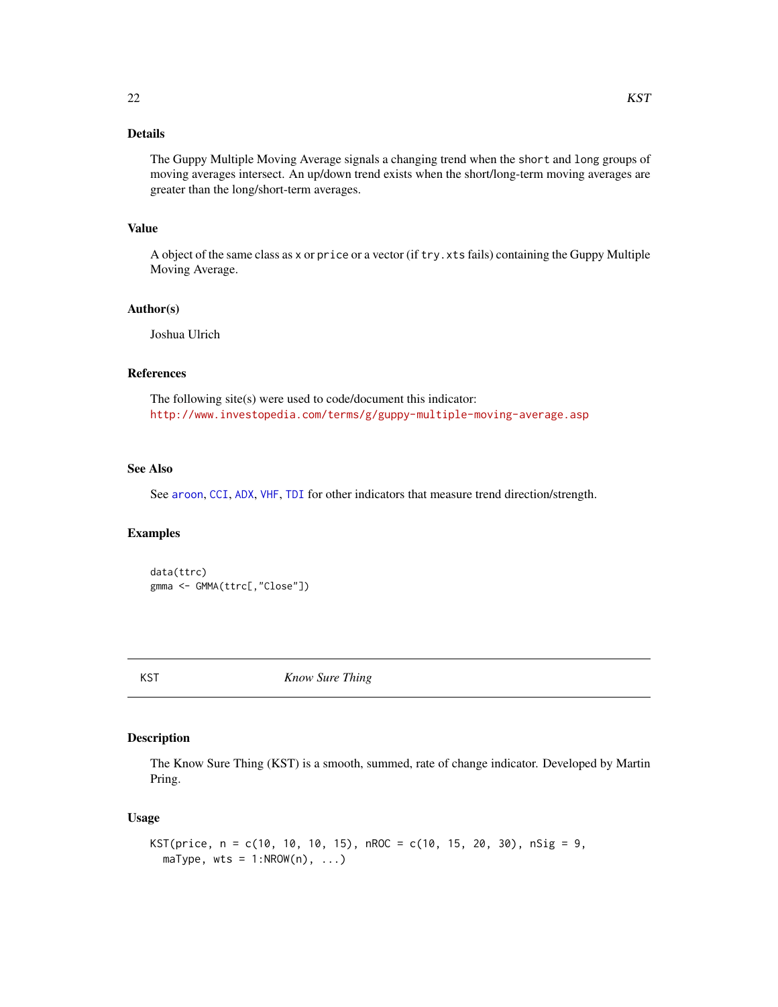# <span id="page-21-0"></span>Details

The Guppy Multiple Moving Average signals a changing trend when the short and long groups of moving averages intersect. An up/down trend exists when the short/long-term moving averages are greater than the long/short-term averages.

#### Value

A object of the same class as x or price or a vector (if try.xts fails) containing the Guppy Multiple Moving Average.

#### Author(s)

Joshua Ulrich

# References

The following site(s) were used to code/document this indicator: <http://www.investopedia.com/terms/g/guppy-multiple-moving-average.asp>

# See Also

See [aroon](#page-4-1), [CCI](#page-8-1), [ADX](#page-2-1), [VHF](#page-51-1), [TDI](#page-45-1) for other indicators that measure trend direction/strength.

#### Examples

```
data(ttrc)
gmma <- GMMA(ttrc[,"Close"])
```
KST *Know Sure Thing*

#### Description

The Know Sure Thing (KST) is a smooth, summed, rate of change indicator. Developed by Martin Pring.

#### Usage

```
KST(price, n = c(10, 10, 10, 15), nROC = c(10, 15, 20, 30), nSig = 9,
  maType, wts = 1:NROW(n), ...
```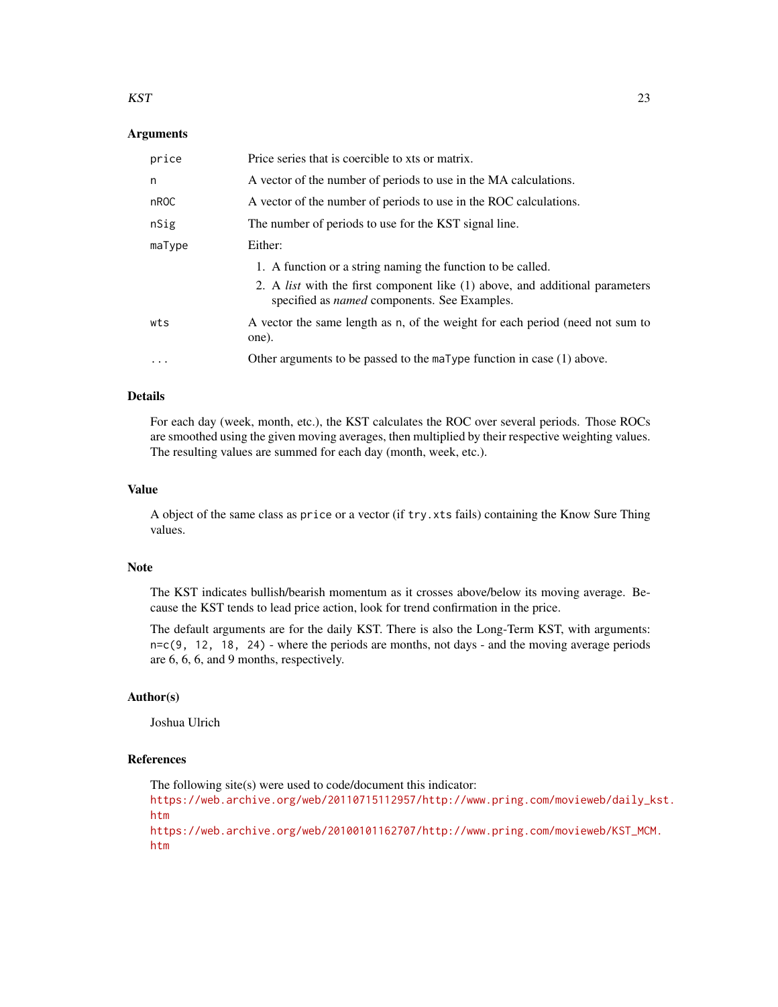#### $KST$  23

#### Arguments

| price   | Price series that is coercible to xts or matrix.                                                                                           |
|---------|--------------------------------------------------------------------------------------------------------------------------------------------|
| n       | A vector of the number of periods to use in the MA calculations.                                                                           |
| nROC    | A vector of the number of periods to use in the ROC calculations.                                                                          |
| nSig    | The number of periods to use for the KST signal line.                                                                                      |
| maType  | Either:                                                                                                                                    |
|         | 1. A function or a string naming the function to be called.                                                                                |
|         | 2. A <i>list</i> with the first component like (1) above, and additional parameters<br>specified as <i>named</i> components. See Examples. |
| wts     | A vector the same length as n, of the weight for each period (need not sum to<br>one).                                                     |
| $\cdot$ | Other arguments to be passed to the maType function in case $(1)$ above.                                                                   |

#### Details

For each day (week, month, etc.), the KST calculates the ROC over several periods. Those ROCs are smoothed using the given moving averages, then multiplied by their respective weighting values. The resulting values are summed for each day (month, week, etc.).

# Value

A object of the same class as price or a vector (if try.xts fails) containing the Know Sure Thing values.

#### Note

The KST indicates bullish/bearish momentum as it crosses above/below its moving average. Because the KST tends to lead price action, look for trend confirmation in the price.

The default arguments are for the daily KST. There is also the Long-Term KST, with arguments: n=c(9, 12, 18, 24) - where the periods are months, not days - and the moving average periods are 6, 6, 6, and 9 months, respectively.

#### Author(s)

Joshua Ulrich

# References

The following site(s) were used to code/document this indicator:

[https://web.archive.org/web/20110715112957/http://www.pring.com/movieweb/daily\\_k](https://web.archive.org/web/20110715112957/http://www.pring.com/movieweb/daily_kst.htm)st. [htm](https://web.archive.org/web/20110715112957/http://www.pring.com/movieweb/daily_kst.htm)

[https://web.archive.org/web/20100101162707/http://www.pring.com/movieweb/KST\\_MCM](https://web.archive.org/web/20100101162707/http://www.pring.com/movieweb/KST_MCM.htm). [htm](https://web.archive.org/web/20100101162707/http://www.pring.com/movieweb/KST_MCM.htm)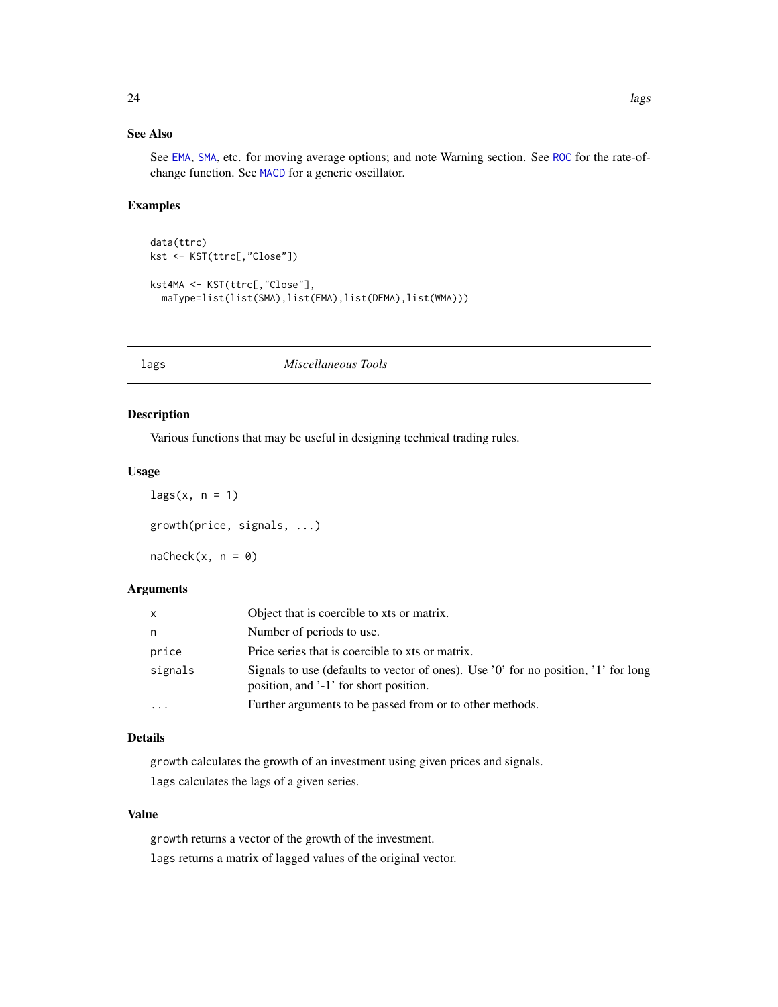# <span id="page-23-0"></span>See Also

See [EMA](#page-37-1), [SMA](#page-37-2), etc. for moving average options; and note Warning section. See [ROC](#page-30-1) for the rate-ofchange function. See [MACD](#page-24-1) for a generic oscillator.

# Examples

```
data(ttrc)
kst <- KST(ttrc[,"Close"])
kst4MA <- KST(ttrc[,"Close"],
  maType=list(list(SMA),list(EMA),list(DEMA),list(WMA)))
```
lags *Miscellaneous Tools*

# Description

Various functions that may be useful in designing technical trading rules.

#### Usage

```
lags(x, n = 1)growth(price, signals, ...)
n = c(k(x, n = 0))
```
# Arguments

| X        | Object that is coercible to xts or matrix.                                                                                   |
|----------|------------------------------------------------------------------------------------------------------------------------------|
| n        | Number of periods to use.                                                                                                    |
| price    | Price series that is coercible to xts or matrix.                                                                             |
| signals  | Signals to use (defaults to vector of ones). Use '0' for no position, '1' for long<br>position, and '-1' for short position. |
| $\cdots$ | Further arguments to be passed from or to other methods.                                                                     |

# Details

growth calculates the growth of an investment using given prices and signals. lags calculates the lags of a given series.

# Value

growth returns a vector of the growth of the investment. lags returns a matrix of lagged values of the original vector.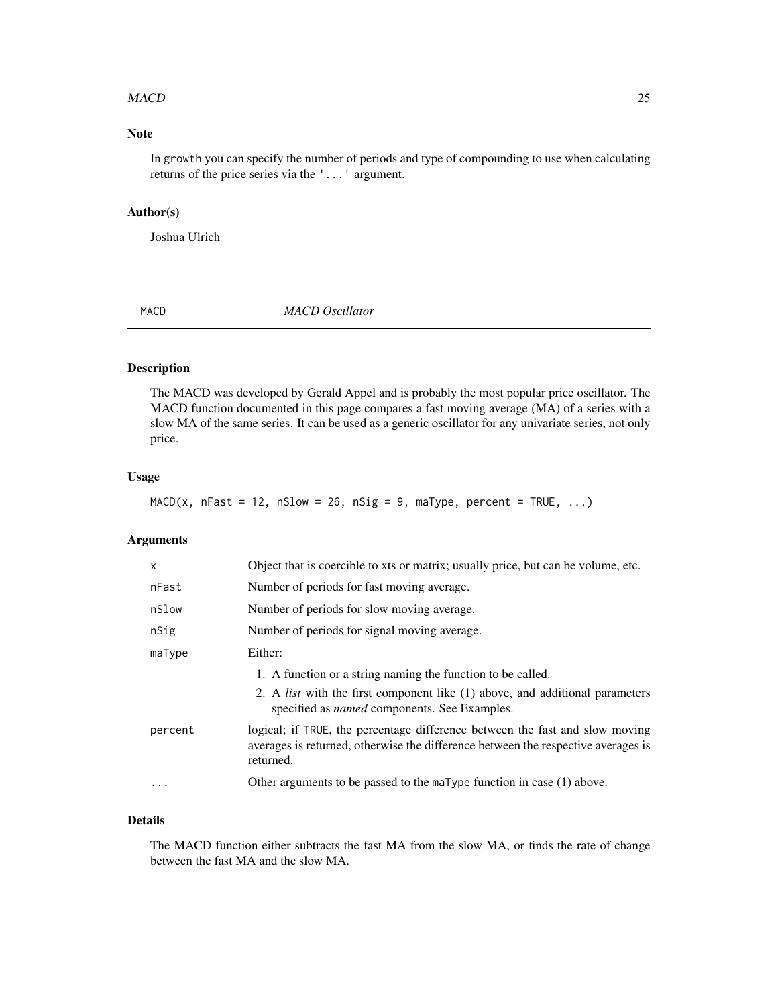#### <span id="page-24-0"></span> $MACD$  25

# Note

In growth you can specify the number of periods and type of compounding to use when calculating returns of the price series via the '...' argument.

# Author(s)

Joshua Ulrich

<span id="page-24-1"></span>MACD *MACD Oscillator*

# Description

The MACD was developed by Gerald Appel and is probably the most popular price oscillator. The MACD function documented in this page compares a fast moving average (MA) of a series with a slow MA of the same series. It can be used as a generic oscillator for any univariate series, not only price.

#### Usage

```
MACD(x, nFast = 12, nSlow = 26, nSig = 9, maType, percent = TRUE, \ldots)
```
#### Arguments

| $\mathsf{x}$ | Object that is coercible to xts or matrix; usually price, but can be volume, etc.                                                                                                                         |
|--------------|-----------------------------------------------------------------------------------------------------------------------------------------------------------------------------------------------------------|
| nFast        | Number of periods for fast moving average.                                                                                                                                                                |
| nSlow        | Number of periods for slow moving average.                                                                                                                                                                |
| nSig         | Number of periods for signal moving average.                                                                                                                                                              |
| maType       | Either:                                                                                                                                                                                                   |
|              | 1. A function or a string naming the function to be called.<br>2. A <i>list</i> with the first component like (1) above, and additional parameters<br>specified as <i>named</i> components. See Examples. |
| percent      | logical; if TRUE, the percentage difference between the fast and slow moving<br>averages is returned, otherwise the difference between the respective averages is<br>returned.                            |
| $\cdot$      | Other arguments to be passed to the maType function in case $(1)$ above.                                                                                                                                  |
|              |                                                                                                                                                                                                           |

# Details

The MACD function either subtracts the fast MA from the slow MA, or finds the rate of change between the fast MA and the slow MA.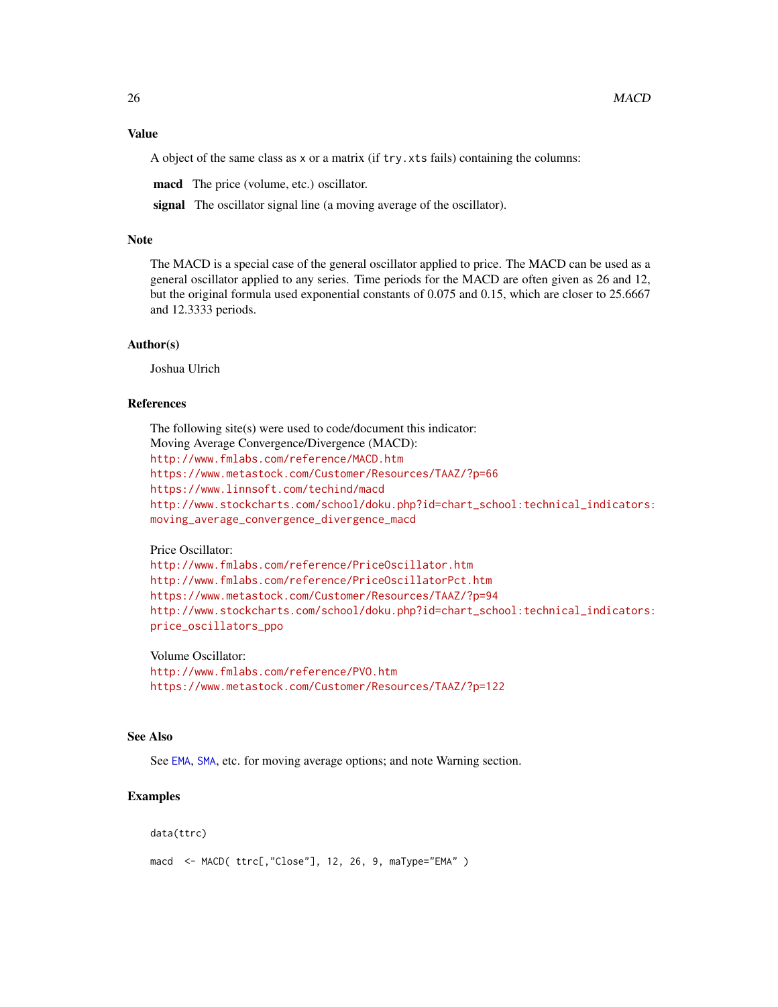<span id="page-25-0"></span>A object of the same class as x or a matrix (if try.xts fails) containing the columns:

macd The price (volume, etc.) oscillator.

signal The oscillator signal line (a moving average of the oscillator).

# Note

The MACD is a special case of the general oscillator applied to price. The MACD can be used as a general oscillator applied to any series. Time periods for the MACD are often given as 26 and 12, but the original formula used exponential constants of 0.075 and 0.15, which are closer to 25.6667 and 12.3333 periods.

#### Author(s)

Joshua Ulrich

#### References

The following site(s) were used to code/document this indicator: Moving Average Convergence/Divergence (MACD): <http://www.fmlabs.com/reference/MACD.htm> <https://www.metastock.com/Customer/Resources/TAAZ/?p=66> <https://www.linnsoft.com/techind/macd> [http://www.stockcharts.com/school/doku.php?id=chart\\_school:technical\\_indicators:](http://www.stockcharts.com/school/doku.php?id=chart_school:technical_indicators:moving_average_convergence_divergence_macd) [moving\\_average\\_convergence\\_divergence\\_macd](http://www.stockcharts.com/school/doku.php?id=chart_school:technical_indicators:moving_average_convergence_divergence_macd)

#### Price Oscillator:

```
http://www.fmlabs.com/reference/PriceOscillator.htm
http://www.fmlabs.com/reference/PriceOscillatorPct.htm
https://www.metastock.com/Customer/Resources/TAAZ/?p=94
http://www.stockcharts.com/school/doku.php?id=chart_school:technical_indicators:
price_oscillators_ppo
```
Volume Oscillator:

<http://www.fmlabs.com/reference/PVO.htm> <https://www.metastock.com/Customer/Resources/TAAZ/?p=122>

#### See Also

See [EMA](#page-37-1), [SMA](#page-37-2), etc. for moving average options; and note Warning section.

# Examples

```
data(ttrc)
```

```
macd <- MACD( ttrc[,"Close"], 12, 26, 9, maType="EMA" )
```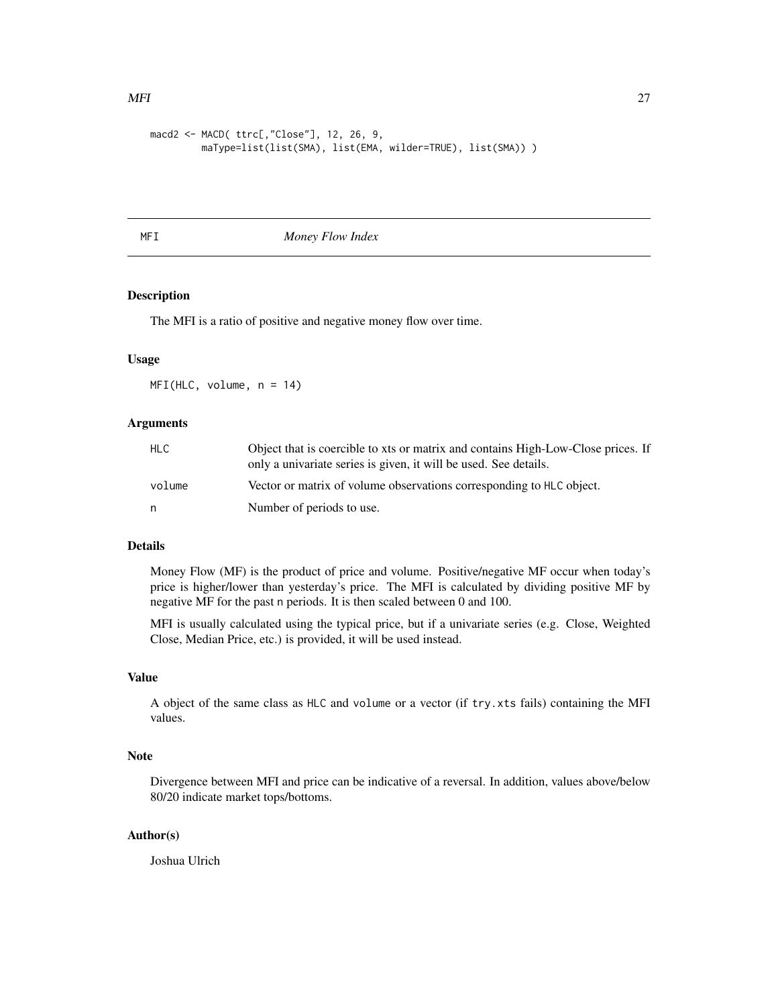```
macd2 <- MACD( ttrc[,"Close"], 12, 26, 9,
        maType=list(list(SMA), list(EMA, wilder=TRUE), list(SMA)) )
```
MFI *Money Flow Index*

# Description

The MFI is a ratio of positive and negative money flow over time.

#### Usage

MFI(HLC, volume, n = 14)

#### Arguments

| HLC.   | Object that is coercible to xts or matrix and contains High-Low-Close prices. If<br>only a univariate series is given, it will be used. See details. |
|--------|------------------------------------------------------------------------------------------------------------------------------------------------------|
| volume | Vector or matrix of volume observations corresponding to HLC object.                                                                                 |
| n      | Number of periods to use.                                                                                                                            |

# Details

Money Flow (MF) is the product of price and volume. Positive/negative MF occur when today's price is higher/lower than yesterday's price. The MFI is calculated by dividing positive MF by negative MF for the past n periods. It is then scaled between 0 and 100.

MFI is usually calculated using the typical price, but if a univariate series (e.g. Close, Weighted Close, Median Price, etc.) is provided, it will be used instead.

# Value

A object of the same class as HLC and volume or a vector (if try.xts fails) containing the MFI values.

# Note

Divergence between MFI and price can be indicative of a reversal. In addition, values above/below 80/20 indicate market tops/bottoms.

#### Author(s)

Joshua Ulrich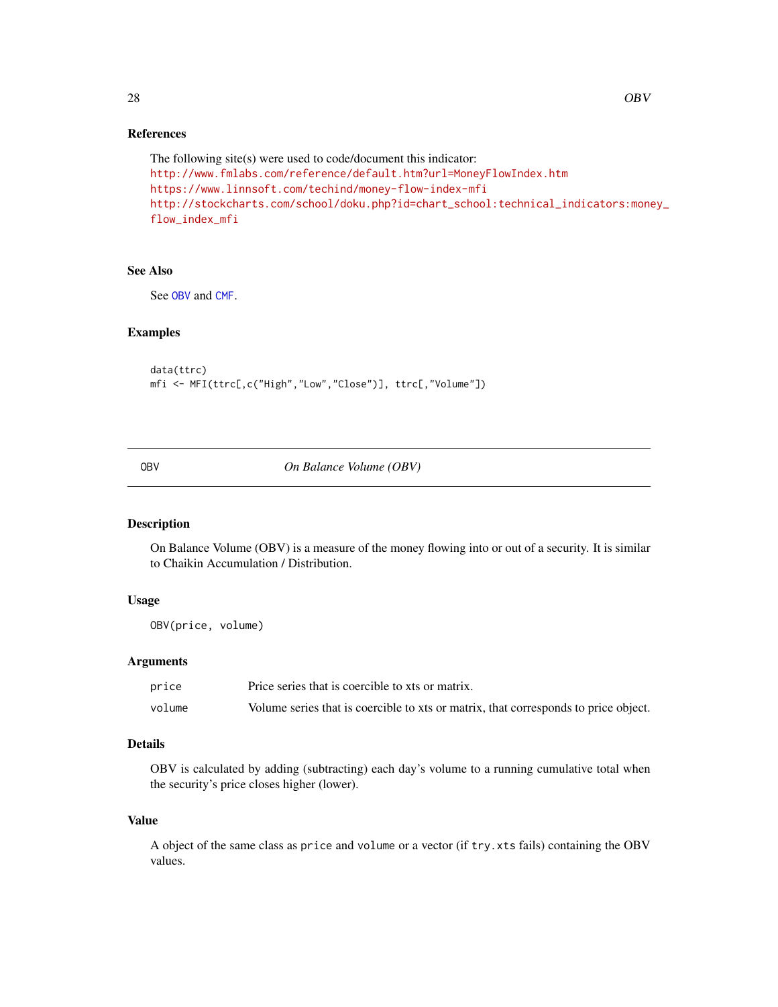# <span id="page-27-0"></span>References

```
The following site(s) were used to code/document this indicator:
http://www.fmlabs.com/reference/default.htm?url=MoneyFlowIndex.htm
https://www.linnsoft.com/techind/money-flow-index-mfi
http://stockcharts.com/school/doku.php?id=chart_school:technical_indicators:money_
flow_index_mfi
```
#### See Also

See [OBV](#page-27-1) and [CMF](#page-13-1).

#### Examples

data(ttrc) mfi <- MFI(ttrc[,c("High","Low","Close")], ttrc[,"Volume"])

<span id="page-27-1"></span>

OBV *On Balance Volume (OBV)*

# Description

On Balance Volume (OBV) is a measure of the money flowing into or out of a security. It is similar to Chaikin Accumulation / Distribution.

# Usage

OBV(price, volume)

#### Arguments

| price  | Price series that is coercible to xts or matrix.                                    |
|--------|-------------------------------------------------------------------------------------|
| volume | Volume series that is coercible to xts or matrix, that corresponds to price object. |

# Details

OBV is calculated by adding (subtracting) each day's volume to a running cumulative total when the security's price closes higher (lower).

# Value

A object of the same class as price and volume or a vector (if try.xts fails) containing the OBV values.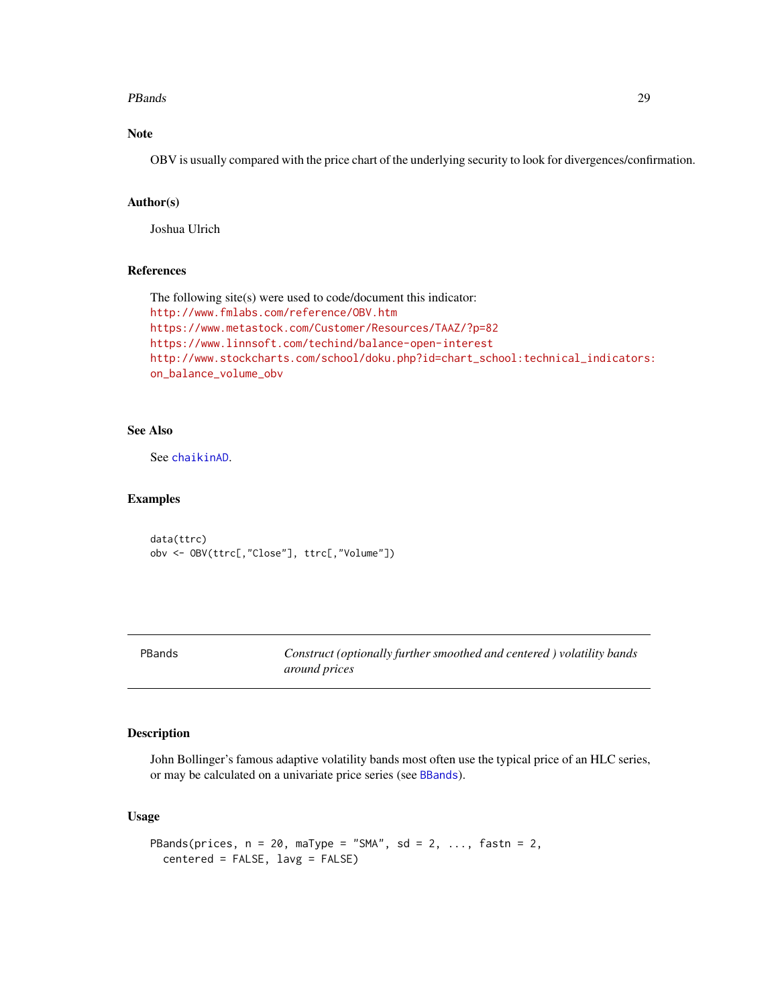#### <span id="page-28-0"></span>**PBands** 29

# Note

OBV is usually compared with the price chart of the underlying security to look for divergences/confirmation.

# Author(s)

Joshua Ulrich

#### References

```
The following site(s) were used to code/document this indicator:
http://www.fmlabs.com/reference/OBV.htm
https://www.metastock.com/Customer/Resources/TAAZ/?p=82
https://www.linnsoft.com/techind/balance-open-interest
http://www.stockcharts.com/school/doku.php?id=chart_school:technical_indicators:
on_balance_volume_obv
```
# See Also

See [chaikinAD](#page-9-1).

#### Examples

data(ttrc) obv <- OBV(ttrc[,"Close"], ttrc[,"Volume"])

PBands *Construct (optionally further smoothed and centered ) volatility bands around prices*

# Description

John Bollinger's famous adaptive volatility bands most often use the typical price of an HLC series, or may be calculated on a univariate price series (see [BBands](#page-6-1)).

# Usage

```
PBands(prices, n = 20, maType = "SMA", sd = 2, ..., fastn = 2,
  centered = FALSE, lavg = FALSE)
```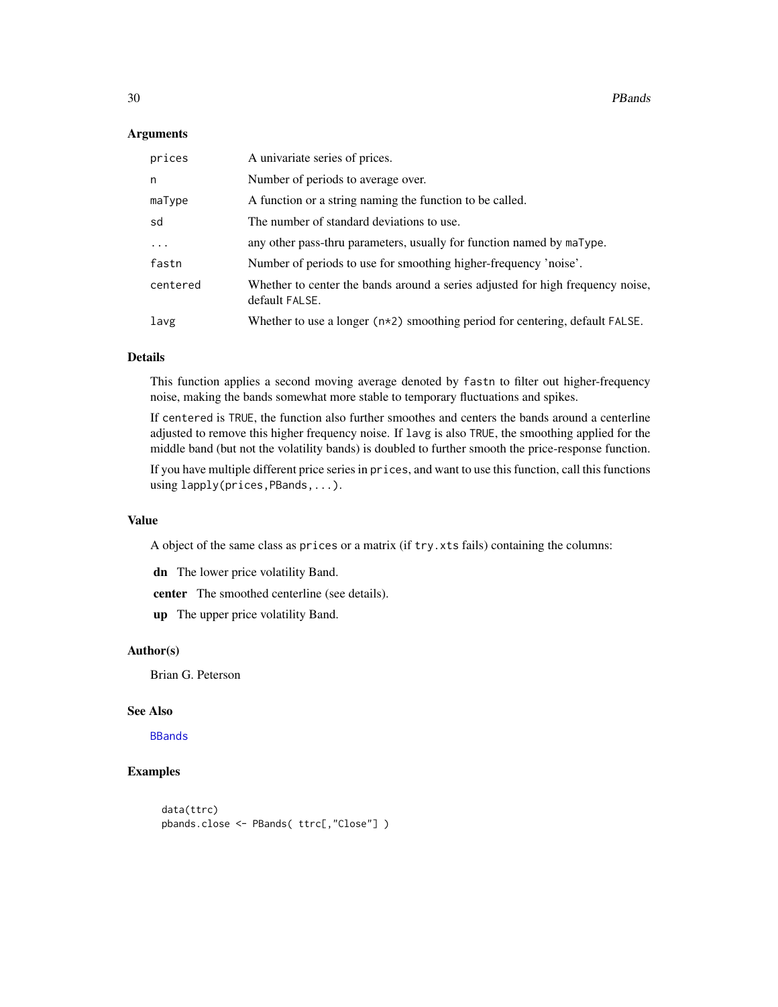#### <span id="page-29-0"></span>Arguments

| prices   | A univariate series of prices.                                                                   |
|----------|--------------------------------------------------------------------------------------------------|
| n        | Number of periods to average over.                                                               |
| maType   | A function or a string naming the function to be called.                                         |
| sd       | The number of standard deviations to use.                                                        |
| .        | any other pass-thru parameters, usually for function named by maType.                            |
| fastn    | Number of periods to use for smoothing higher-frequency 'noise'.                                 |
| centered | Whether to center the bands around a series adjusted for high frequency noise,<br>default FALSE. |
| lavg     | Whether to use a longer $(n \times 2)$ smoothing period for centering, default FALSE.            |

# Details

This function applies a second moving average denoted by fastn to filter out higher-frequency noise, making the bands somewhat more stable to temporary fluctuations and spikes.

If centered is TRUE, the function also further smoothes and centers the bands around a centerline adjusted to remove this higher frequency noise. If lavg is also TRUE, the smoothing applied for the middle band (but not the volatility bands) is doubled to further smooth the price-response function.

If you have multiple different price series in prices, and want to use this function, call this functions using lapply(prices,PBands,...).

### Value

A object of the same class as prices or a matrix (if try.xts fails) containing the columns:

dn The lower price volatility Band.

center The smoothed centerline (see details).

up The upper price volatility Band.

#### Author(s)

Brian G. Peterson

#### See Also

[BBands](#page-6-1)

#### Examples

```
data(ttrc)
pbands.close <- PBands( ttrc[,"Close"] )
```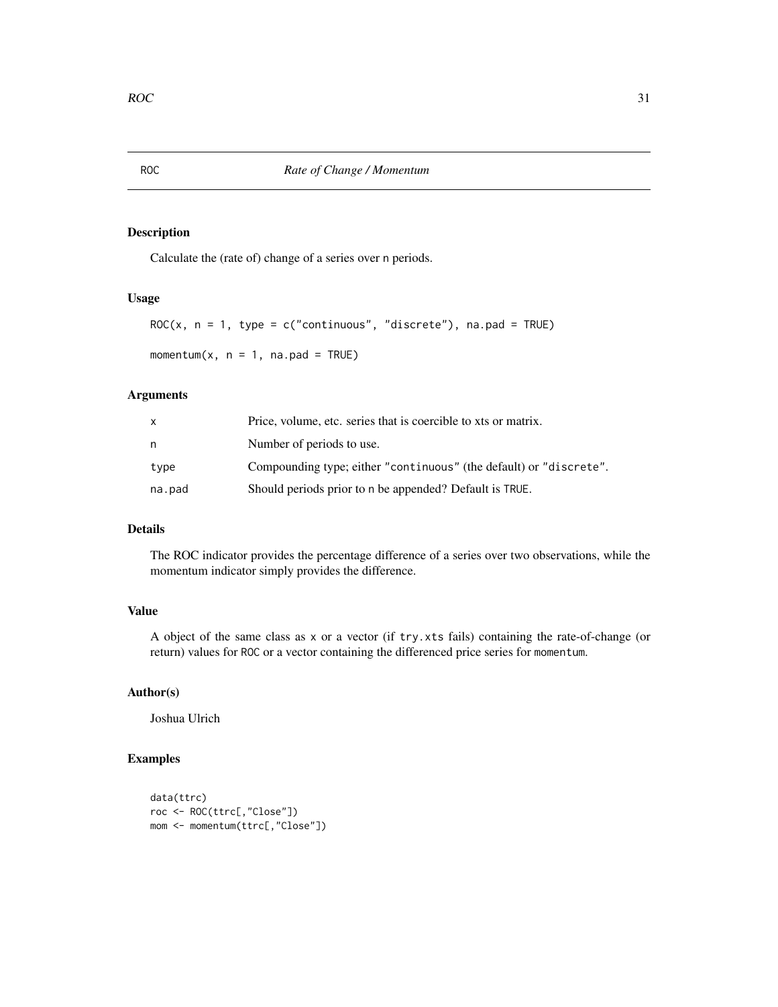# <span id="page-30-2"></span><span id="page-30-1"></span><span id="page-30-0"></span>Description

Calculate the (rate of) change of a series over n periods.

# Usage

```
ROC(x, n = 1, type = c("continuous", "discrete"), na-pad = TRUE)
```
momentum $(x, n = 1, na.pad = TRUE)$ 

# Arguments

| x      | Price, volume, etc. series that is coercible to xts or matrix.     |
|--------|--------------------------------------------------------------------|
| n      | Number of periods to use.                                          |
| type   | Compounding type; either "continuous" (the default) or "discrete". |
| na.pad | Should periods prior to n be appended? Default is TRUE.            |

# Details

The ROC indicator provides the percentage difference of a series over two observations, while the momentum indicator simply provides the difference.

# Value

A object of the same class as x or a vector (if try.xts fails) containing the rate-of-change (or return) values for ROC or a vector containing the differenced price series for momentum.

# Author(s)

Joshua Ulrich

# Examples

```
data(ttrc)
roc <- ROC(ttrc[,"Close"])
mom <- momentum(ttrc[,"Close"])
```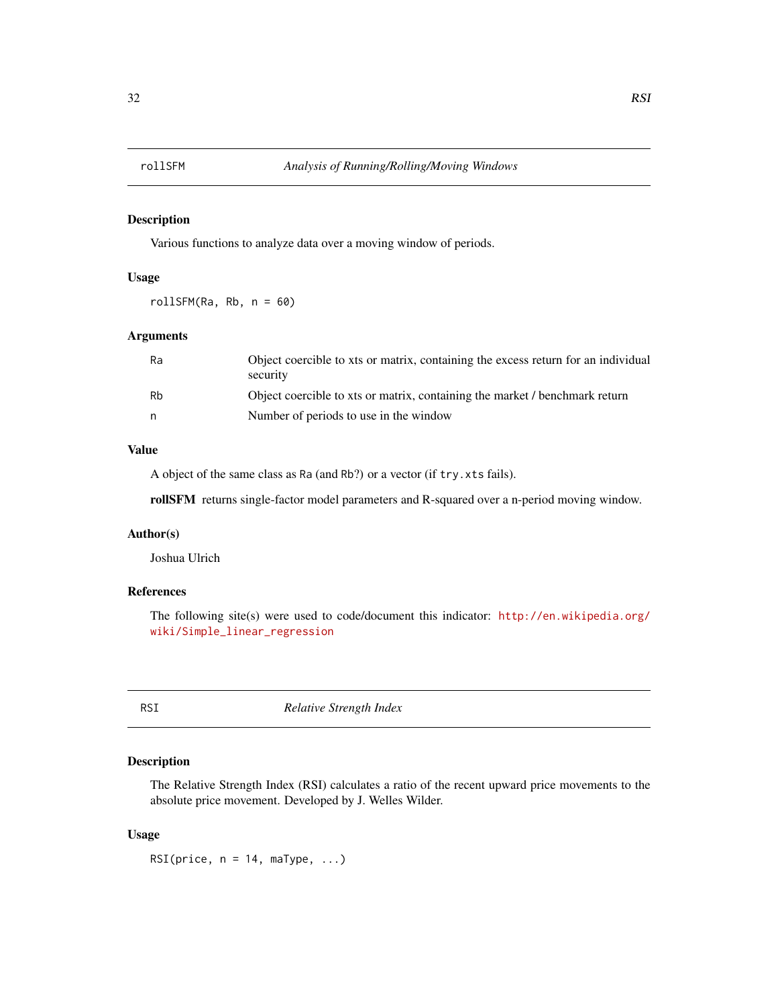<span id="page-31-0"></span>

# Description

Various functions to analyze data over a moving window of periods.

# Usage

rollSFM(Ra, Rb, n = 60)

#### Arguments

| Ra | Object coercible to xts or matrix, containing the excess return for an individual<br>security |
|----|-----------------------------------------------------------------------------------------------|
| Rh | Object coercible to xts or matrix, containing the market / benchmark return                   |
| n  | Number of periods to use in the window                                                        |

#### Value

A object of the same class as Ra (and Rb?) or a vector (if try.xts fails).

rollSFM returns single-factor model parameters and R-squared over a n-period moving window.

#### Author(s)

Joshua Ulrich

# References

The following site(s) were used to code/document this indicator: [http://en.wikipedia.org/](http://en.wikipedia.org/wiki/Simple_linear_regression) [wiki/Simple\\_linear\\_regression](http://en.wikipedia.org/wiki/Simple_linear_regression)

<span id="page-31-1"></span>RSI *Relative Strength Index*

# Description

The Relative Strength Index (RSI) calculates a ratio of the recent upward price movements to the absolute price movement. Developed by J. Welles Wilder.

#### Usage

RSI(price,  $n = 14$ , maType, ...)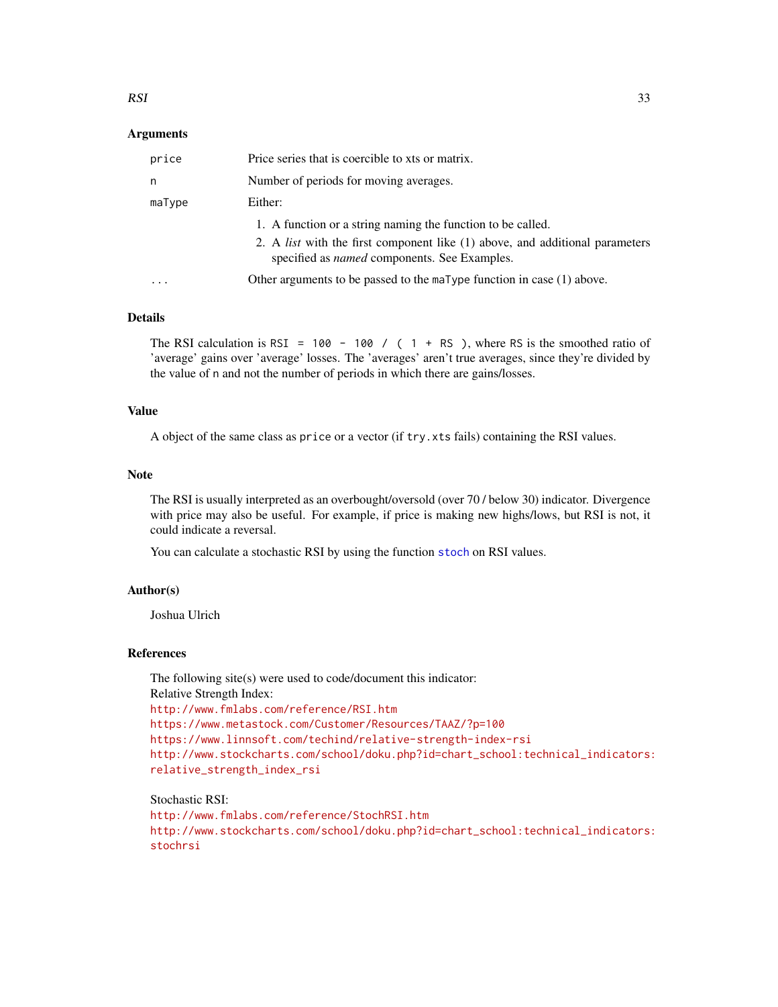#### <span id="page-32-0"></span>Arguments

| price   | Price series that is coercible to xts or matrix.                                                                                           |
|---------|--------------------------------------------------------------------------------------------------------------------------------------------|
| n       | Number of periods for moving averages.                                                                                                     |
| maType  | Either:                                                                                                                                    |
|         | 1. A function or a string naming the function to be called.                                                                                |
|         | 2. A <i>list</i> with the first component like (1) above, and additional parameters<br>specified as <i>named</i> components. See Examples. |
| $\cdot$ | Other arguments to be passed to the $m = T$ function in case (1) above.                                                                    |

#### Details

The RSI calculation is RSI = 100 - 100 / (1 + RS), where RS is the smoothed ratio of 'average' gains over 'average' losses. The 'averages' aren't true averages, since they're divided by the value of n and not the number of periods in which there are gains/losses.

### Value

A object of the same class as price or a vector (if try.xts fails) containing the RSI values.

#### Note

The RSI is usually interpreted as an overbought/oversold (over 70 / below 30) indicator. Divergence with price may also be useful. For example, if price is making new highs/lows, but RSI is not, it could indicate a reversal.

You can calculate a [stoch](#page-41-1)astic RSI by using the function stoch on RSI values.

#### Author(s)

Joshua Ulrich

#### References

The following site(s) were used to code/document this indicator: Relative Strength Index: <http://www.fmlabs.com/reference/RSI.htm> <https://www.metastock.com/Customer/Resources/TAAZ/?p=100> <https://www.linnsoft.com/techind/relative-strength-index-rsi> [http://www.stockcharts.com/school/doku.php?id=chart\\_school:technical\\_indicators:](http://www.stockcharts.com/school/doku.php?id=chart_school:technical_indicators:relative_strength_index_rsi) [relative\\_strength\\_index\\_rsi](http://www.stockcharts.com/school/doku.php?id=chart_school:technical_indicators:relative_strength_index_rsi)

Stochastic RSI: <http://www.fmlabs.com/reference/StochRSI.htm> [http://www.stockcharts.com/school/doku.php?id=chart\\_school:technical\\_indicators:](http://www.stockcharts.com/school/doku.php?id=chart_school:technical_indicators:stochrsi) [stochrsi](http://www.stockcharts.com/school/doku.php?id=chart_school:technical_indicators:stochrsi)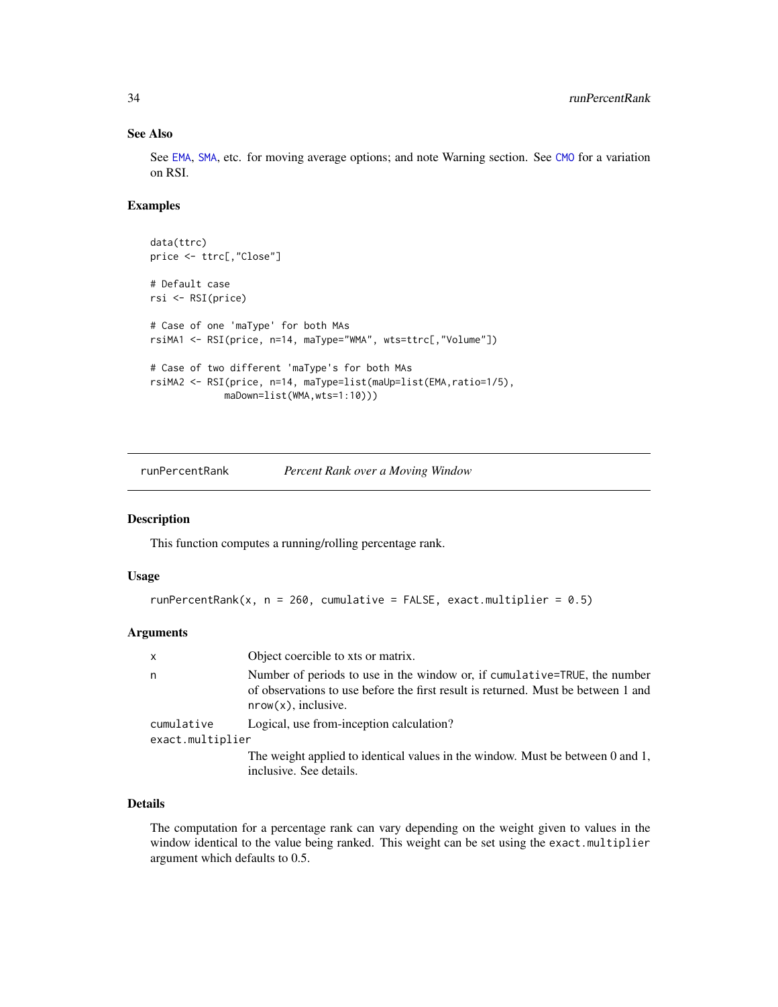# See Also

See [EMA](#page-37-1), [SMA](#page-37-2), etc. for moving average options; and note Warning section. See [CMO](#page-14-1) for a variation on RSI.

# Examples

```
data(ttrc)
price <- ttrc[,"Close"]
# Default case
rsi <- RSI(price)
# Case of one 'maType' for both MAs
rsiMA1 <- RSI(price, n=14, maType="WMA", wts=ttrc[,"Volume"])
# Case of two different 'maType's for both MAs
rsiMA2 <- RSI(price, n=14, maType=list(maUp=list(EMA,ratio=1/5),
             maDown=list(WMA,wts=1:10)))
```
runPercentRank *Percent Rank over a Moving Window*

#### Description

This function computes a running/rolling percentage rank.

#### Usage

```
runPercentRank(x, n = 260, cumulative = FALSE, exact.multiplier = 0.5)
```
#### Arguments

| X                | Object coercible to xts or matrix.                                                                                                                                                       |
|------------------|------------------------------------------------------------------------------------------------------------------------------------------------------------------------------------------|
| n                | Number of periods to use in the window or, if cumulative=TRUE, the number<br>of observations to use before the first result is returned. Must be between 1 and<br>$nrow(x)$ , inclusive. |
| cumulative       | Logical, use from-inception calculation?                                                                                                                                                 |
| exact.multiplier |                                                                                                                                                                                          |
|                  | The weight applied to identical values in the window. Must be between 0 and 1,<br>inclusive. See details.                                                                                |

#### Details

The computation for a percentage rank can vary depending on the weight given to values in the window identical to the value being ranked. This weight can be set using the exact.multiplier argument which defaults to 0.5.

<span id="page-33-0"></span>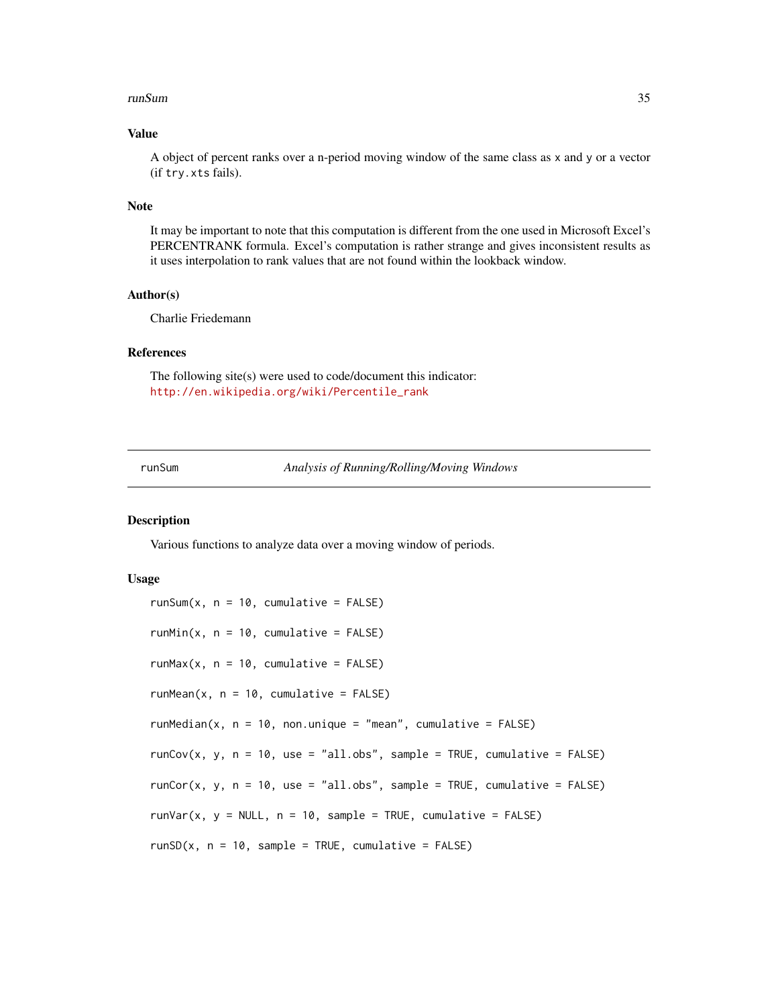#### <span id="page-34-0"></span>runSum 35

# Value

A object of percent ranks over a n-period moving window of the same class as x and y or a vector (if try.xts fails).

#### Note

It may be important to note that this computation is different from the one used in Microsoft Excel's PERCENTRANK formula. Excel's computation is rather strange and gives inconsistent results as it uses interpolation to rank values that are not found within the lookback window.

#### Author(s)

Charlie Friedemann

#### References

The following site(s) were used to code/document this indicator: [http://en.wikipedia.org/wiki/Percentile\\_rank](http://en.wikipedia.org/wiki/Percentile_rank)

runSum *Analysis of Running/Rolling/Moving Windows*

#### <span id="page-34-1"></span>Description

Various functions to analyze data over a moving window of periods.

#### Usage

 $runSum(x, n = 10, cumulative = FALSE)$  $runMin(x, n = 10, cumulative = FALSE)$  $runMax(x, n = 10, cumulative = FALSE)$  $runMean(x, n = 10, cumulative = FALSE)$ runMedian( $x$ ,  $n = 10$ , non.unique = "mean", cumulative = FALSE)  $runCov(x, y, n = 10, use = "all.obs", sample = TRUE, cumulative = FALSE)$ runCor(x, y,  $n = 10$ , use = "all.obs", sample = TRUE, cumulative = FALSE)  $runVar(x, y = NULL, n = 10, sample = TRUE, cumulative = FALSE)$  $runSD(x, n = 10, sample = TRUE, cumulative = FALSE)$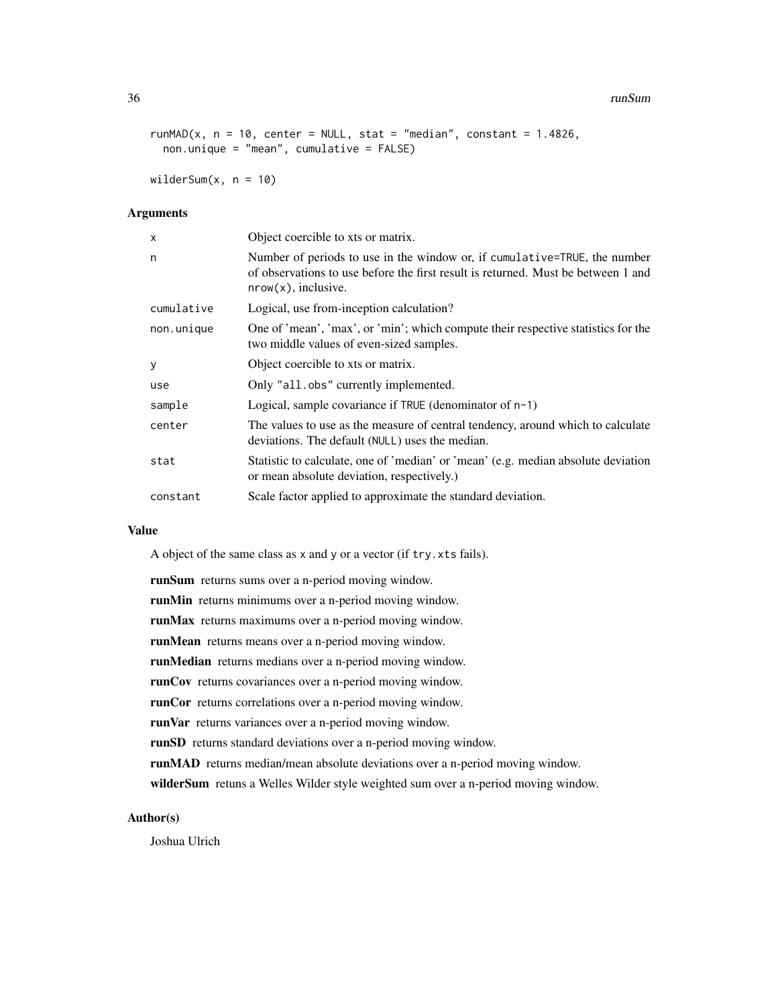#### 36 runSum and the contract of the contract of the contract of the contract of the contract of the contract of the contract of the contract of the contract of the contract of the contract of the contract of the contract of

```
runMAD(x, n = 10, center = NULL, stat = "median", constant = 1.4826,
 non.unique = "mean", cumulative = FALSE)
```
wilderSum $(x, n = 10)$ 

#### Arguments

| $\boldsymbol{\mathsf{x}}$ | Object coercible to xts or matrix.                                                                                                                                                       |
|---------------------------|------------------------------------------------------------------------------------------------------------------------------------------------------------------------------------------|
| n                         | Number of periods to use in the window or, if cumulative=TRUE, the number<br>of observations to use before the first result is returned. Must be between 1 and<br>$nrow(x)$ , inclusive. |
| cumulative                | Logical, use from-inception calculation?                                                                                                                                                 |
| non.unique                | One of 'mean', 'max', or 'min'; which compute their respective statistics for the<br>two middle values of even-sized samples.                                                            |
| y                         | Object coercible to xts or matrix.                                                                                                                                                       |
| use                       | Only "all.obs" currently implemented.                                                                                                                                                    |
| sample                    | Logical, sample covariance if $TRUE$ (denominator of $n-1$ )                                                                                                                             |
| center                    | The values to use as the measure of central tendency, around which to calculate<br>deviations. The default (NULL) uses the median.                                                       |
| stat                      | Statistic to calculate, one of 'median' or 'mean' (e.g. median absolute deviation<br>or mean absolute deviation, respectively.)                                                          |
| constant                  | Scale factor applied to approximate the standard deviation.                                                                                                                              |

# Value

A object of the same class as x and y or a vector (if try.xts fails).

runSum returns sums over a n-period moving window.

runMin returns minimums over a n-period moving window.

runMax returns maximums over a n-period moving window.

runMean returns means over a n-period moving window.

runMedian returns medians over a n-period moving window.

runCov returns covariances over a n-period moving window.

runCor returns correlations over a n-period moving window.

runVar returns variances over a n-period moving window.

runSD returns standard deviations over a n-period moving window.

runMAD returns median/mean absolute deviations over a n-period moving window.

wilderSum retuns a Welles Wilder style weighted sum over a n-period moving window.

# Author(s)

Joshua Ulrich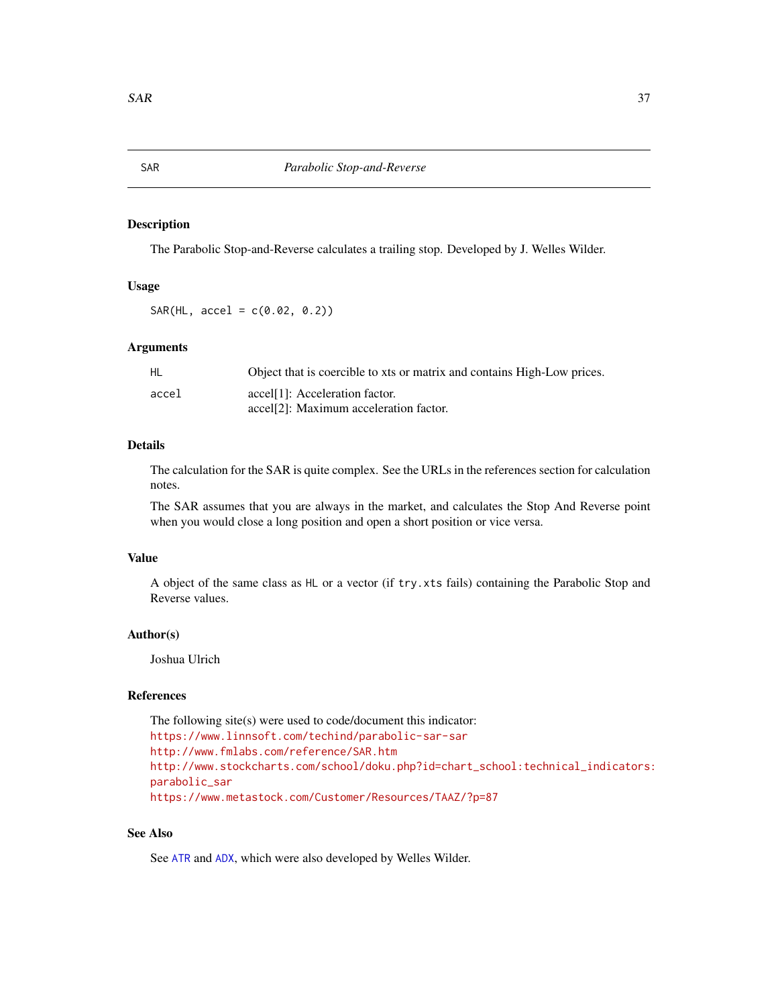# Description

The Parabolic Stop-and-Reverse calculates a trailing stop. Developed by J. Welles Wilder.

# Usage

 $SAR(HL, accel = c(0.02, 0.2))$ 

#### Arguments

| HL    | Object that is coercible to xts or matrix and contains High-Low prices. |
|-------|-------------------------------------------------------------------------|
| accel | accel <sup>[1]</sup> : Acceleration factor.                             |
|       | accel <sup>[2]</sup> : Maximum acceleration factor.                     |

#### Details

The calculation for the SAR is quite complex. See the URLs in the references section for calculation notes.

The SAR assumes that you are always in the market, and calculates the Stop And Reverse point when you would close a long position and open a short position or vice versa.

# Value

A object of the same class as HL or a vector (if try.xts fails) containing the Parabolic Stop and Reverse values.

#### Author(s)

Joshua Ulrich

# References

The following site(s) were used to code/document this indicator: <https://www.linnsoft.com/techind/parabolic-sar-sar> <http://www.fmlabs.com/reference/SAR.htm> [http://www.stockcharts.com/school/doku.php?id=chart\\_school:technical\\_indicators:](http://www.stockcharts.com/school/doku.php?id=chart_school:technical_indicators:parabolic_sar) [parabolic\\_sar](http://www.stockcharts.com/school/doku.php?id=chart_school:technical_indicators:parabolic_sar) <https://www.metastock.com/Customer/Resources/TAAZ/?p=87>

# See Also

See [ATR](#page-5-1) and [ADX](#page-2-1), which were also developed by Welles Wilder.

<span id="page-36-0"></span>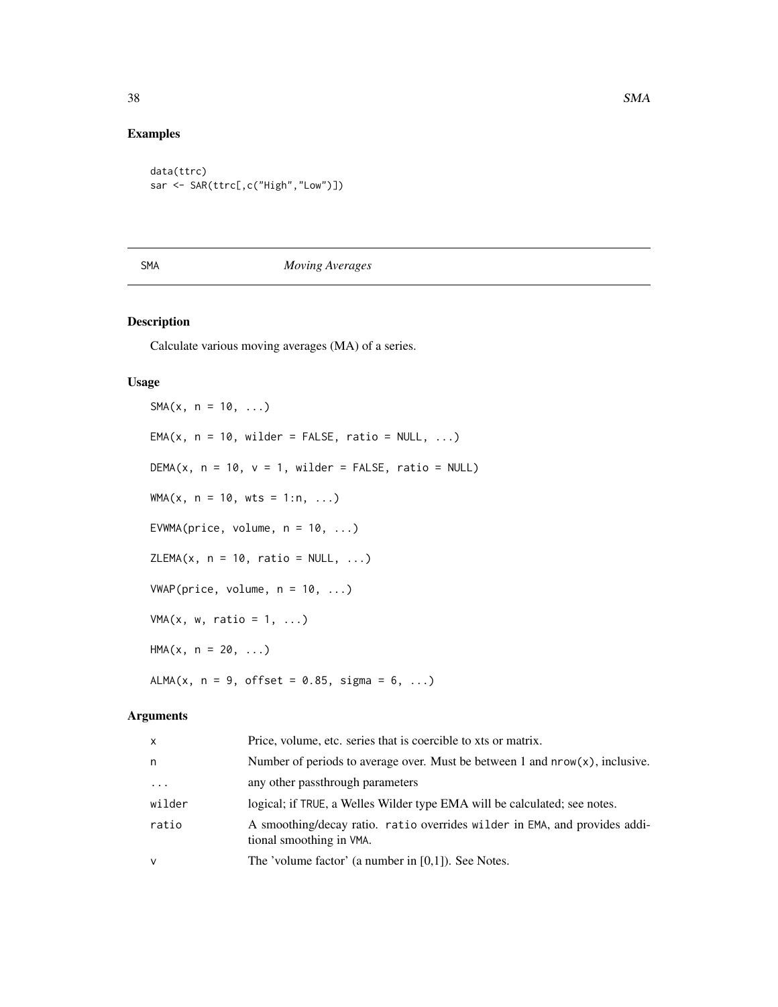# Examples

```
data(ttrc)
sar <- SAR(ttrc[,c("High","Low")])
```
# <span id="page-37-2"></span>SMA *Moving Averages*

# <span id="page-37-1"></span>Description

Calculate various moving averages (MA) of a series.

#### Usage

 $SMA(x, n = 10, ...)$  $EMA(x, n = 10, wilder = FALSE, ratio = NULL, ...)$ DEMA(x,  $n = 10$ ,  $v = 1$ , wilder = FALSE, ratio = NULL)  $WMA(x, n = 10, wts = 1:n, ...)$ EVWMA(price, volume,  $n = 10, ...$ )  $ZLEMA(x, n = 10, ratio = NULL, ...)$  $VWAP(price, volume, n = 10, ...)$  $VMA(x, w, ratio = 1, ...)$  $HMA(x, n = 20, ...)$ ALMA(x,  $n = 9$ , offset = 0.85, sigma = 6, ...)

# Arguments

| X        | Price, volume, etc. series that is coercible to xts or matrix.                                         |
|----------|--------------------------------------------------------------------------------------------------------|
| n        | Number of periods to average over. Must be between 1 and $nrow(x)$ , inclusive.                        |
| $\ddots$ | any other passthrough parameters                                                                       |
| wilder   | logical; if TRUE, a Welles Wilder type EMA will be calculated; see notes.                              |
| ratio    | A smoothing/decay ratio. ratio overrides wilder in EMA, and provides addi-<br>tional smoothing in VMA. |
| v        | The 'volume factor' (a number in [0,1]). See Notes.                                                    |

<span id="page-37-0"></span>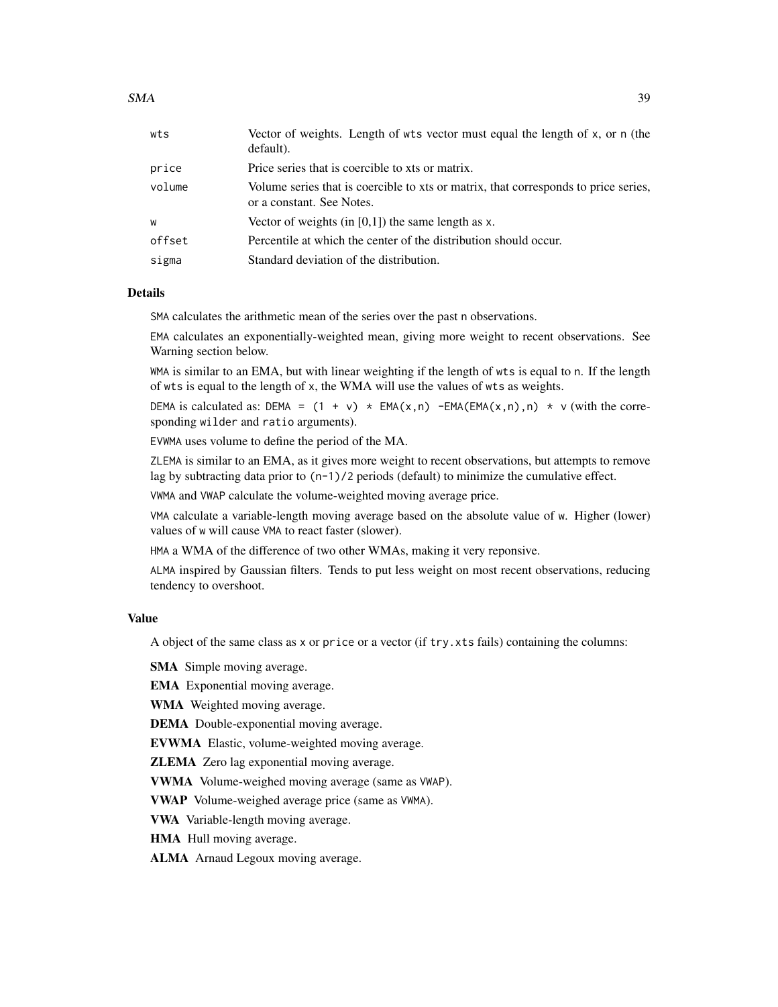| wts    | Vector of weights. Length of wts vector must equal the length of x, or n (the<br>default).                       |
|--------|------------------------------------------------------------------------------------------------------------------|
| price  | Price series that is coercible to xts or matrix.                                                                 |
| volume | Volume series that is coercible to xts or matrix, that corresponds to price series,<br>or a constant. See Notes. |
| W      | Vector of weights (in $[0,1]$ ) the same length as x.                                                            |
| offset | Percentile at which the center of the distribution should occur.                                                 |
| sigma  | Standard deviation of the distribution.                                                                          |
|        |                                                                                                                  |

# Details

SMA calculates the arithmetic mean of the series over the past n observations.

EMA calculates an exponentially-weighted mean, giving more weight to recent observations. See Warning section below.

WMA is similar to an EMA, but with linear weighting if the length of wts is equal to n. If the length of wts is equal to the length of x, the WMA will use the values of wts as weights.

DEMA is calculated as: DEMA =  $(1 + v) * EMA(x, n) - EMA(EMA(x, n), n) * v$  (with the corresponding wilder and ratio arguments).

EVWMA uses volume to define the period of the MA.

ZLEMA is similar to an EMA, as it gives more weight to recent observations, but attempts to remove lag by subtracting data prior to  $(n-1)/2$  periods (default) to minimize the cumulative effect.

VWMA and VWAP calculate the volume-weighted moving average price.

VMA calculate a variable-length moving average based on the absolute value of w. Higher (lower) values of w will cause VMA to react faster (slower).

HMA a WMA of the difference of two other WMAs, making it very reponsive.

ALMA inspired by Gaussian filters. Tends to put less weight on most recent observations, reducing tendency to overshoot.

# Value

A object of the same class as x or price or a vector (if try.xts fails) containing the columns:

SMA Simple moving average.

EMA Exponential moving average.

WMA Weighted moving average.

DEMA Double-exponential moving average.

EVWMA Elastic, volume-weighted moving average.

ZLEMA Zero lag exponential moving average.

VWMA Volume-weighed moving average (same as VWAP).

VWAP Volume-weighed average price (same as VWMA).

VWA Variable-length moving average.

HMA Hull moving average.

ALMA Arnaud Legoux moving average.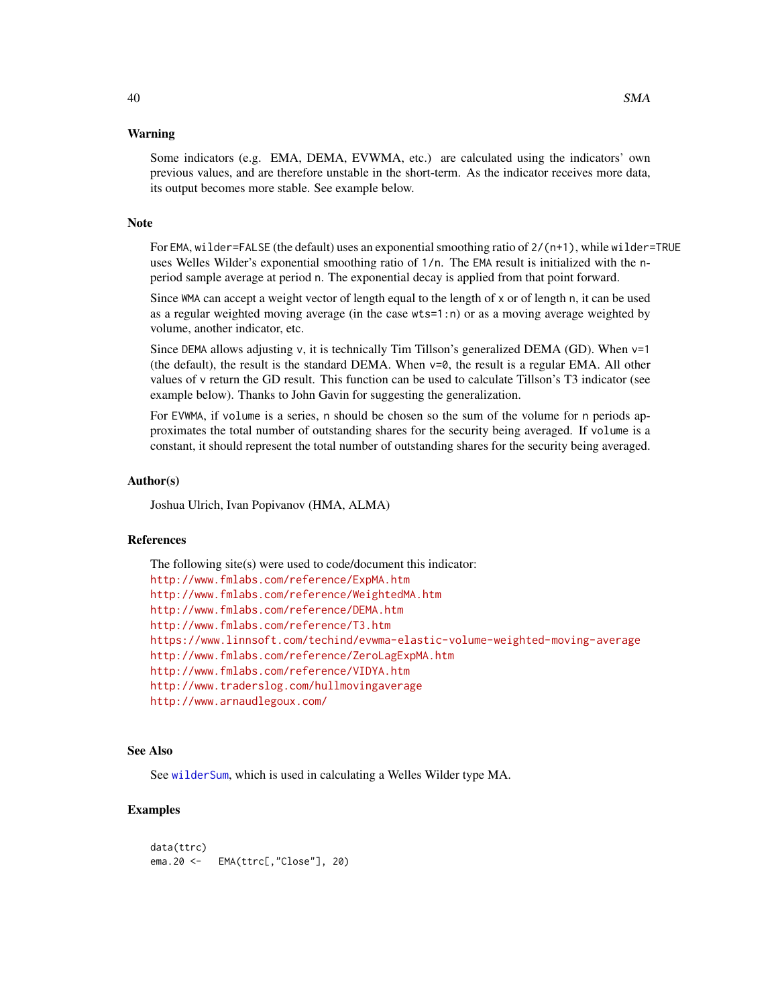#### <span id="page-39-0"></span>Warning

Some indicators (e.g. EMA, DEMA, EVWMA, etc.) are calculated using the indicators' own previous values, and are therefore unstable in the short-term. As the indicator receives more data, its output becomes more stable. See example below.

# Note

For EMA, wilder=FALSE (the default) uses an exponential smoothing ratio of 2/(n+1), while wilder=TRUE uses Welles Wilder's exponential smoothing ratio of 1/n. The EMA result is initialized with the nperiod sample average at period n. The exponential decay is applied from that point forward.

Since WMA can accept a weight vector of length equal to the length of x or of length n, it can be used as a regular weighted moving average (in the case wts=1:n) or as a moving average weighted by volume, another indicator, etc.

Since DEMA allows adjusting v, it is technically Tim Tillson's generalized DEMA (GD). When v=1 (the default), the result is the standard DEMA. When  $v=0$ , the result is a regular EMA. All other values of v return the GD result. This function can be used to calculate Tillson's T3 indicator (see example below). Thanks to John Gavin for suggesting the generalization.

For EVWMA, if volume is a series, n should be chosen so the sum of the volume for n periods approximates the total number of outstanding shares for the security being averaged. If volume is a constant, it should represent the total number of outstanding shares for the security being averaged.

### Author(s)

Joshua Ulrich, Ivan Popivanov (HMA, ALMA)

#### References

```
The following site(s) were used to code/document this indicator:
http://www.fmlabs.com/reference/ExpMA.htm
http://www.fmlabs.com/reference/WeightedMA.htm
http://www.fmlabs.com/reference/DEMA.htm
http://www.fmlabs.com/reference/T3.htm
https://www.linnsoft.com/techind/evwma-elastic-volume-weighted-moving-average
http://www.fmlabs.com/reference/ZeroLagExpMA.htm
http://www.fmlabs.com/reference/VIDYA.htm
http://www.traderslog.com/hullmovingaverage
http://www.arnaudlegoux.com/
```
#### See Also

See [wilderSum](#page-34-1), which is used in calculating a Welles Wilder type MA.

# Examples

```
data(ttrc)
ema.20 <- EMA(ttrc[,"Close"], 20)
```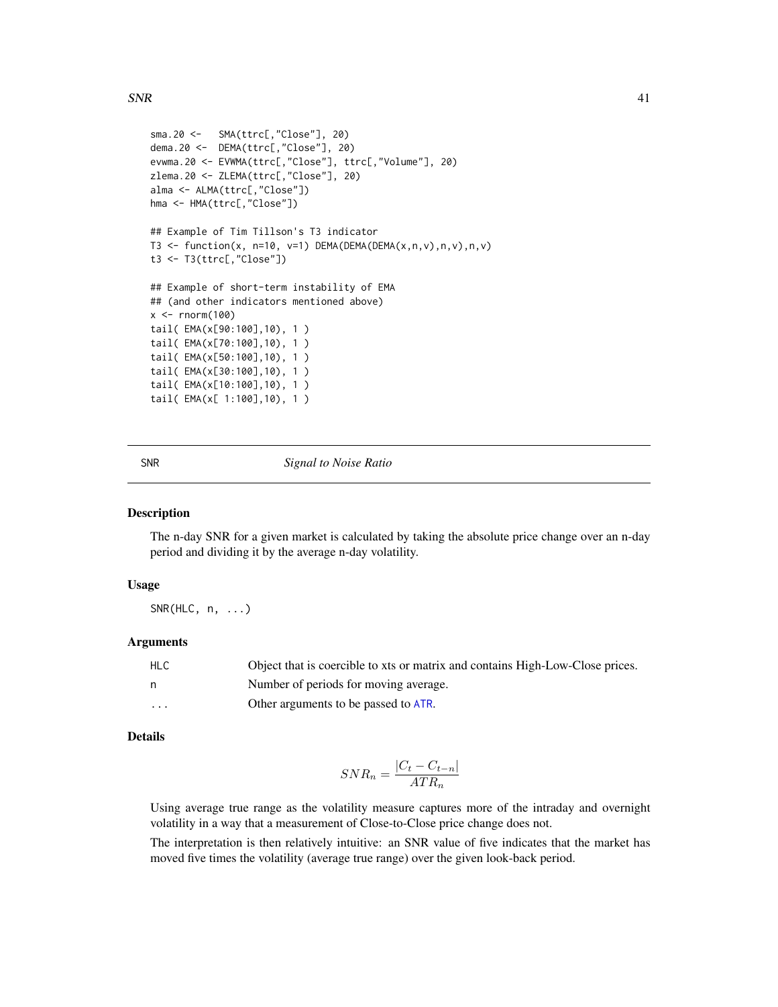```
sma.20 <- SMA(ttrc[,"Close"], 20)
dema.20 <- DEMA(ttrc[,"Close"], 20)
evwma.20 <- EVWMA(ttrc[,"Close"], ttrc[,"Volume"], 20)
zlema.20 <- ZLEMA(ttrc[,"Close"], 20)
alma <- ALMA(ttrc[,"Close"])
hma <- HMA(ttrc[,"Close"])
## Example of Tim Tillson's T3 indicator
T3 <- function(x, n=10, v=1) DEMA(DEMA(DEMA(x,n,v),n,v),n,v)
t3 <- T3(ttrc[,"Close"])
## Example of short-term instability of EMA
## (and other indicators mentioned above)
x < - rnorm(100)
tail( EMA(x[90:100],10), 1 )
tail( EMA(x[70:100],10), 1 )
tail( EMA(x[50:100],10), 1 )
tail( EMA(x[30:100],10), 1 )
tail( EMA(x[10:100],10), 1 )
tail( EMA(x[ 1:100],10), 1 )
```
SNR *Signal to Noise Ratio*

#### Description

The n-day SNR for a given market is calculated by taking the absolute price change over an n-day period and dividing it by the average n-day volatility.

#### Usage

 $SNR(HLC, n, ...)$ 

#### Arguments

| <b>HLC</b>              | Object that is coercible to xts or matrix and contains High-Low-Close prices. |
|-------------------------|-------------------------------------------------------------------------------|
| n,                      | Number of periods for moving average.                                         |
| $\cdot$ $\cdot$ $\cdot$ | Other arguments to be passed to ATR.                                          |

# Details

$$
SNR_n = \frac{|C_t - C_{t-n}|}{ATR_n}
$$

Using average true range as the volatility measure captures more of the intraday and overnight volatility in a way that a measurement of Close-to-Close price change does not.

The interpretation is then relatively intuitive: an SNR value of five indicates that the market has moved five times the volatility (average true range) over the given look-back period.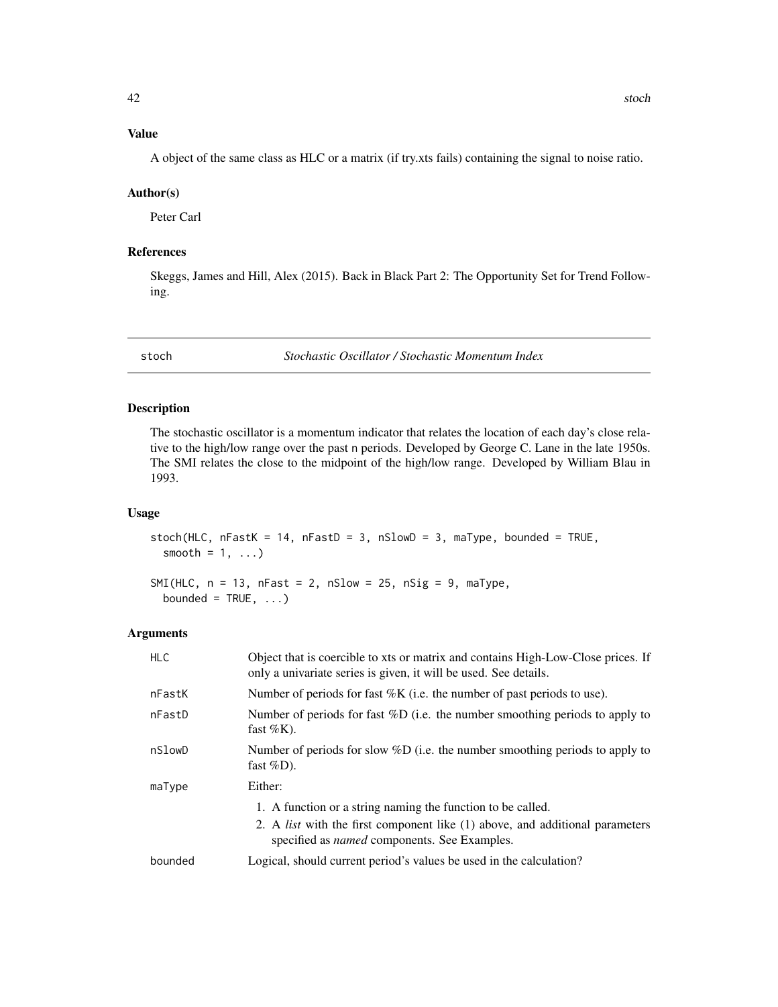<span id="page-41-0"></span>A object of the same class as HLC or a matrix (if try.xts fails) containing the signal to noise ratio.

#### Author(s)

Peter Carl

# References

Skeggs, James and Hill, Alex (2015). Back in Black Part 2: The Opportunity Set for Trend Following.

<span id="page-41-1"></span>stoch *Stochastic Oscillator / Stochastic Momentum Index*

#### Description

The stochastic oscillator is a momentum indicator that relates the location of each day's close relative to the high/low range over the past n periods. Developed by George C. Lane in the late 1950s. The SMI relates the close to the midpoint of the high/low range. Developed by William Blau in 1993.

#### Usage

stoch(HLC,  $nFastK = 14$ ,  $nFastD = 3$ ,  $nSlowD = 3$ ,  $maType$ , bounded = TRUE, smooth =  $1, ...$ )

```
SMI(HLC, n = 13, nFast = 2, nSlow = 25, nSig = 9, maType,
 bounded = TRUE, ...)
```
#### Arguments

| <b>HLC</b> | Object that is coercible to xts or matrix and contains High-Low-Close prices. If<br>only a univariate series is given, it will be used. See details. |
|------------|------------------------------------------------------------------------------------------------------------------------------------------------------|
| nFastK     | Number of periods for fast $%K$ (i.e. the number of past periods to use).                                                                            |
| nFastD     | Number of periods for fast $\%D$ (i.e. the number smoothing periods to apply to<br>fast $%K$ ).                                                      |
| nSlowD     | Number of periods for slow $\%D$ (i.e. the number smoothing periods to apply to<br>fast $\%D$ ).                                                     |
| maType     | Either:                                                                                                                                              |
|            | 1. A function or a string naming the function to be called.                                                                                          |
|            | 2. A <i>list</i> with the first component like (1) above, and additional parameters<br>specified as <i>named</i> components. See Examples.           |
| bounded    | Logical, should current period's values be used in the calculation?                                                                                  |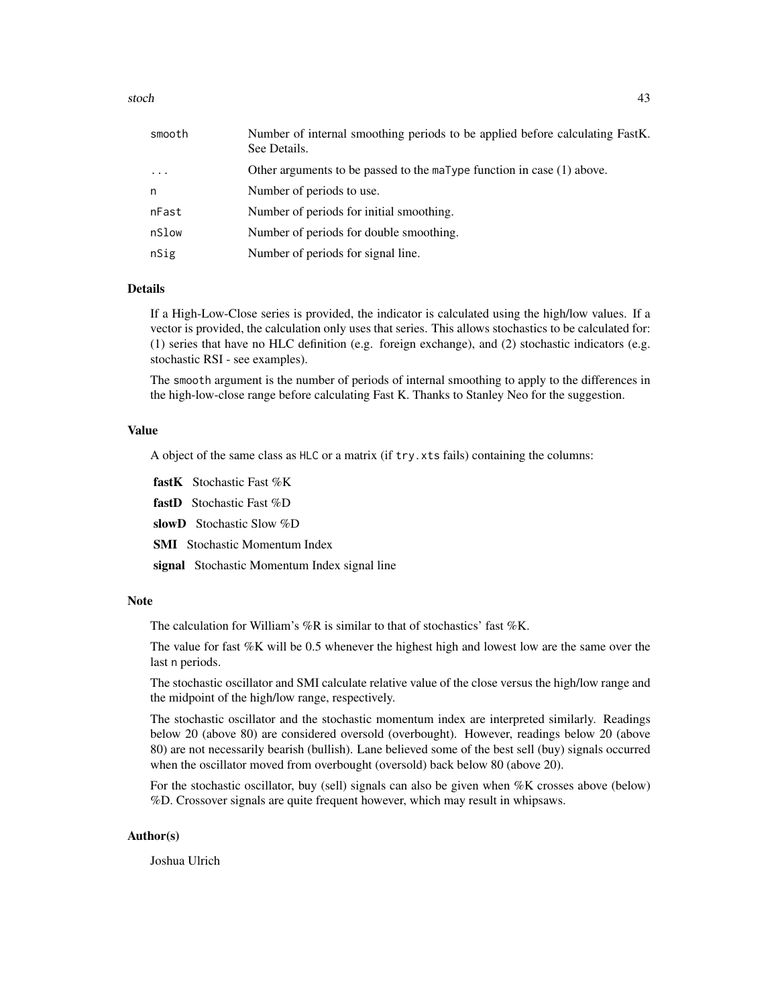#### stoch and the stoch and the stoch and the stoch and the stoch and the stoch and the stoch and the stoch and the stoch and the stoch and the stoch and the stoch and the stoch and the stoch and the stoch and the stochastic s

# Details

If a High-Low-Close series is provided, the indicator is calculated using the high/low values. If a vector is provided, the calculation only uses that series. This allows stochastics to be calculated for: (1) series that have no HLC definition (e.g. foreign exchange), and (2) stochastic indicators (e.g. stochastic RSI - see examples).

The smooth argument is the number of periods of internal smoothing to apply to the differences in the high-low-close range before calculating Fast K. Thanks to Stanley Neo for the suggestion.

#### Value

A object of the same class as HLC or a matrix (if try.xts fails) containing the columns:

fastK Stochastic Fast %K

fastD Stochastic Fast %D

slowD Stochastic Slow %D

SMI Stochastic Momentum Index

signal Stochastic Momentum Index signal line

#### Note

The calculation for William's  $%R$  is similar to that of stochastics' fast  $%K$ .

The value for fast %K will be 0.5 whenever the highest high and lowest low are the same over the last n periods.

The stochastic oscillator and SMI calculate relative value of the close versus the high/low range and the midpoint of the high/low range, respectively.

The stochastic oscillator and the stochastic momentum index are interpreted similarly. Readings below 20 (above 80) are considered oversold (overbought). However, readings below 20 (above 80) are not necessarily bearish (bullish). Lane believed some of the best sell (buy) signals occurred when the oscillator moved from overbought (oversold) back below 80 (above 20).

For the stochastic oscillator, buy (sell) signals can also be given when %K crosses above (below) %D. Crossover signals are quite frequent however, which may result in whipsaws.

#### Author(s)

Joshua Ulrich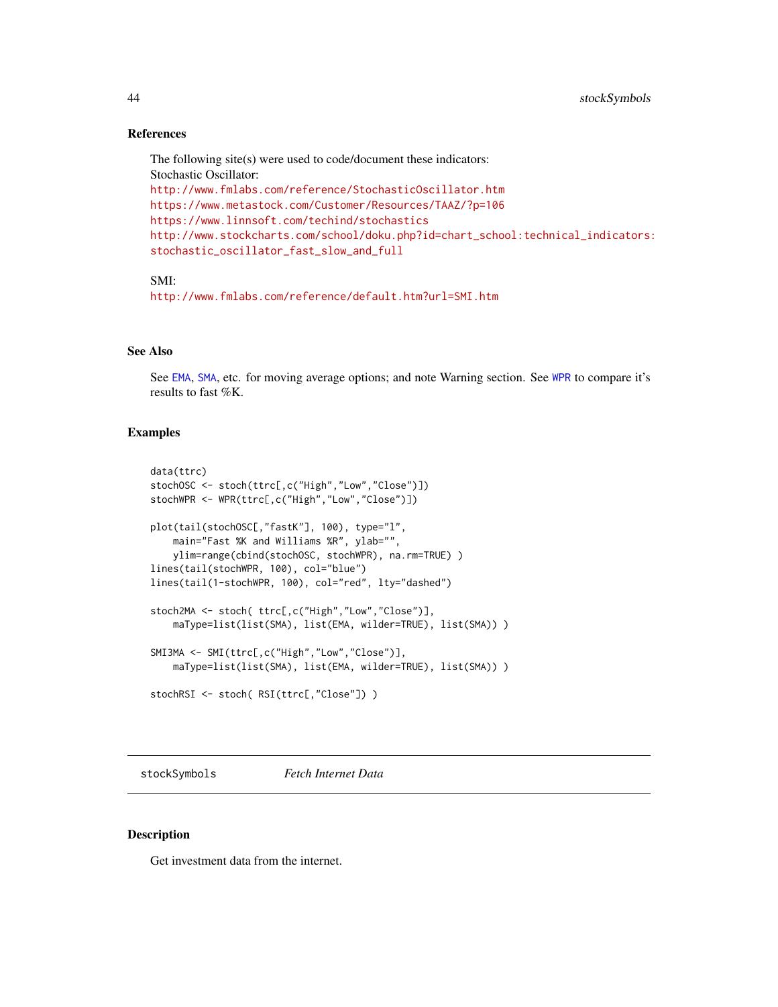#### References

The following site(s) were used to code/document these indicators: Stochastic Oscillator: <http://www.fmlabs.com/reference/StochasticOscillator.htm> <https://www.metastock.com/Customer/Resources/TAAZ/?p=106> <https://www.linnsoft.com/techind/stochastics> [http://www.stockcharts.com/school/doku.php?id=chart\\_school:technical\\_indicators:](http://www.stockcharts.com/school/doku.php?id=chart_school:technical_indicators:stochastic_oscillator_fast_slow_and_full) [stochastic\\_oscillator\\_fast\\_slow\\_and\\_full](http://www.stockcharts.com/school/doku.php?id=chart_school:technical_indicators:stochastic_oscillator_fast_slow_and_full)

# SMI:

<http://www.fmlabs.com/reference/default.htm?url=SMI.htm>

#### See Also

See [EMA](#page-37-1), [SMA](#page-37-2), etc. for moving average options; and note Warning section. See [WPR](#page-56-1) to compare it's results to fast %K.

# Examples

```
data(ttrc)
stochOSC <- stoch(ttrc[,c("High","Low","Close")])
stochWPR <- WPR(ttrc[,c("High","Low","Close")])
plot(tail(stochOSC[,"fastK"], 100), type="l",
   main="Fast %K and Williams %R", ylab="",
   ylim=range(cbind(stochOSC, stochWPR), na.rm=TRUE) )
lines(tail(stochWPR, 100), col="blue")
lines(tail(1-stochWPR, 100), col="red", lty="dashed")
stoch2MA <- stoch( ttrc[,c("High","Low","Close")],
    maType=list(list(SMA), list(EMA, wilder=TRUE), list(SMA)) )
SMI3MA <- SMI(ttrc[,c("High","Low","Close")],
   maType=list(list(SMA), list(EMA, wilder=TRUE), list(SMA)) )
stochRSI <- stoch( RSI(ttrc[,"Close"]) )
```
stockSymbols *Fetch Internet Data*

#### <span id="page-43-1"></span>**Description**

Get investment data from the internet.

<span id="page-43-0"></span>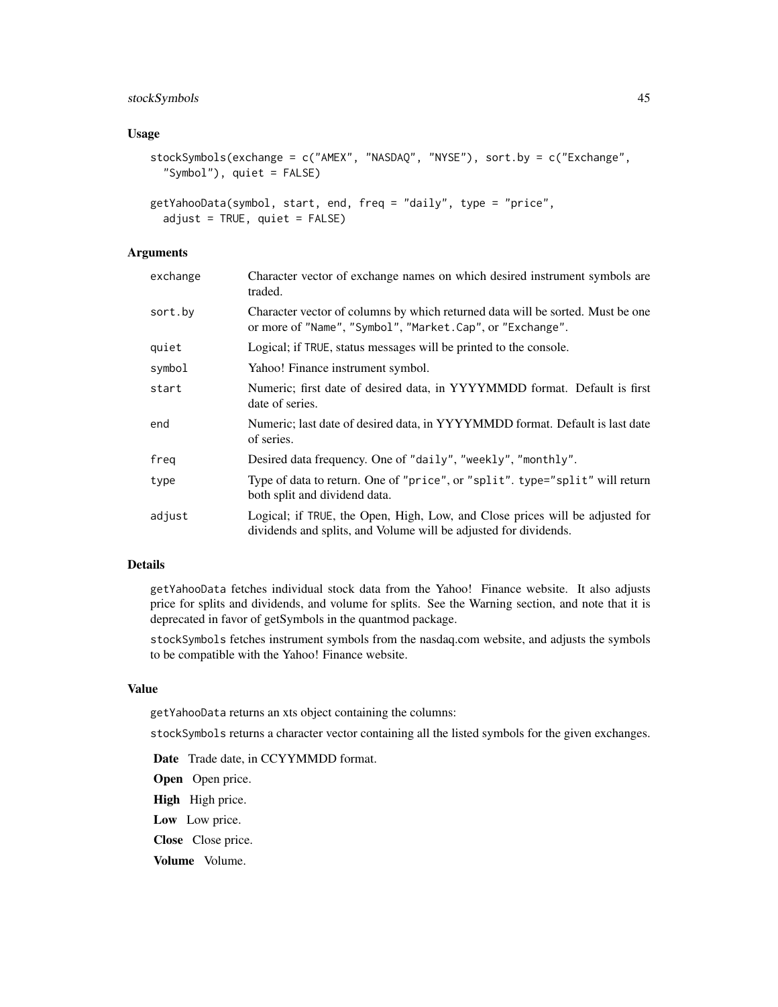# stockSymbols 45

#### Usage

```
stockSymbols(exchange = c("AMEX", "NASDAQ", "NYSE"), sort.by = c("Exchange",
  "Symbol"), quiet = FALSE)
```

```
getYahooData(symbol, start, end, freq = "daily", type = "price",
  adjust = TRUE, quiet = FALSE)
```
# Arguments

| exchange | Character vector of exchange names on which desired instrument symbols are<br>traded.                                                            |
|----------|--------------------------------------------------------------------------------------------------------------------------------------------------|
| sort.bv  | Character vector of columns by which returned data will be sorted. Must be one<br>or more of "Name", "Symbol", "Market.Cap", or "Exchange".      |
| quiet    | Logical; if TRUE, status messages will be printed to the console.                                                                                |
| svmbol   | Yahoo! Finance instrument symbol.                                                                                                                |
| start    | Numeric; first date of desired data, in YYYYMMDD format. Default is first<br>date of series.                                                     |
| end      | Numeric; last date of desired data, in YYYYMMDD format. Default is last date<br>of series.                                                       |
| freg     | Desired data frequency. One of "daily", "weekly", "monthly".                                                                                     |
| type     | Type of data to return. One of "price", or "split". type="split" will return<br>both split and dividend data.                                    |
| adjust   | Logical; if TRUE, the Open, High, Low, and Close prices will be adjusted for<br>dividends and splits, and Volume will be adjusted for dividends. |

# Details

getYahooData fetches individual stock data from the Yahoo! Finance website. It also adjusts price for splits and dividends, and volume for splits. See the Warning section, and note that it is deprecated in favor of getSymbols in the quantmod package.

stockSymbols fetches instrument symbols from the nasdaq.com website, and adjusts the symbols to be compatible with the Yahoo! Finance website.

#### Value

getYahooData returns an xts object containing the columns:

stockSymbols returns a character vector containing all the listed symbols for the given exchanges.

- Date Trade date, in CCYYMMDD format.
- Open Open price.
- High High price.
- Low Low price.
- Close Close price.
- Volume Volume.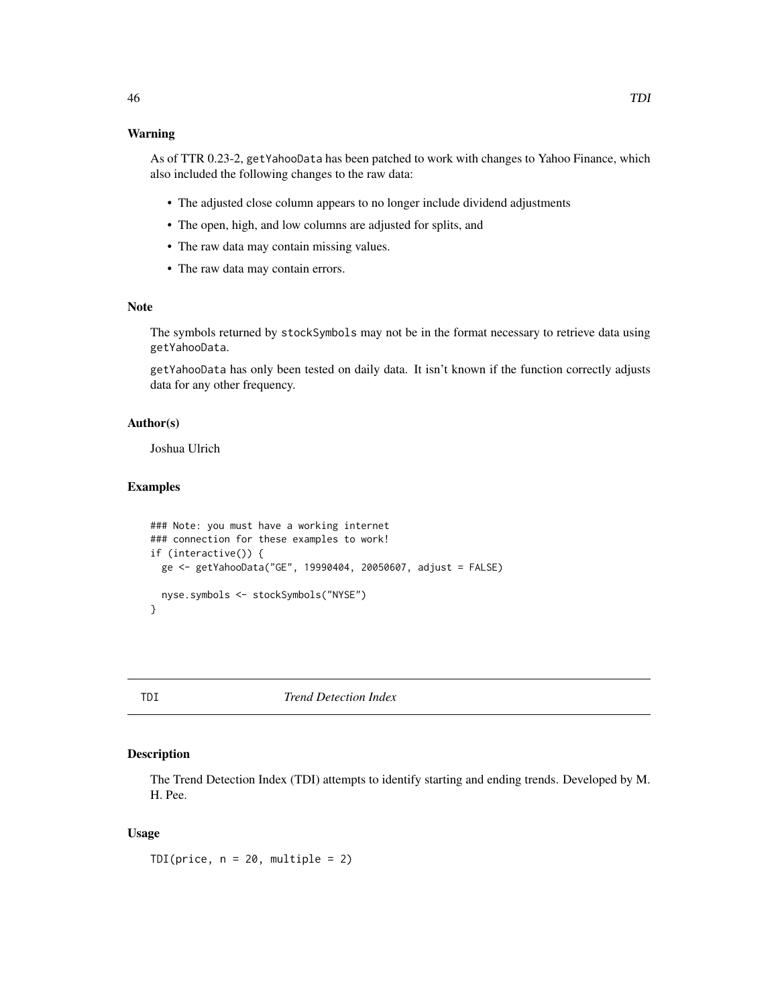As of TTR 0.23-2, getYahooData has been patched to work with changes to Yahoo Finance, which also included the following changes to the raw data:

- The adjusted close column appears to no longer include dividend adjustments
- The open, high, and low columns are adjusted for splits, and
- The raw data may contain missing values.
- The raw data may contain errors.

#### Note

The symbols returned by stockSymbols may not be in the format necessary to retrieve data using getYahooData.

getYahooData has only been tested on daily data. It isn't known if the function correctly adjusts data for any other frequency.

#### Author(s)

Joshua Ulrich

#### Examples

```
### Note: you must have a working internet
### connection for these examples to work!
if (interactive()) {
 ge <- getYahooData("GE", 19990404, 20050607, adjust = FALSE)
 nyse.symbols <- stockSymbols("NYSE")
}
```
<span id="page-45-1"></span>

TDI *Trend Detection Index*

# Description

The Trend Detection Index (TDI) attempts to identify starting and ending trends. Developed by M. H. Pee.

# Usage

TDI(price,  $n = 20$ , multiple = 2)

<span id="page-45-0"></span>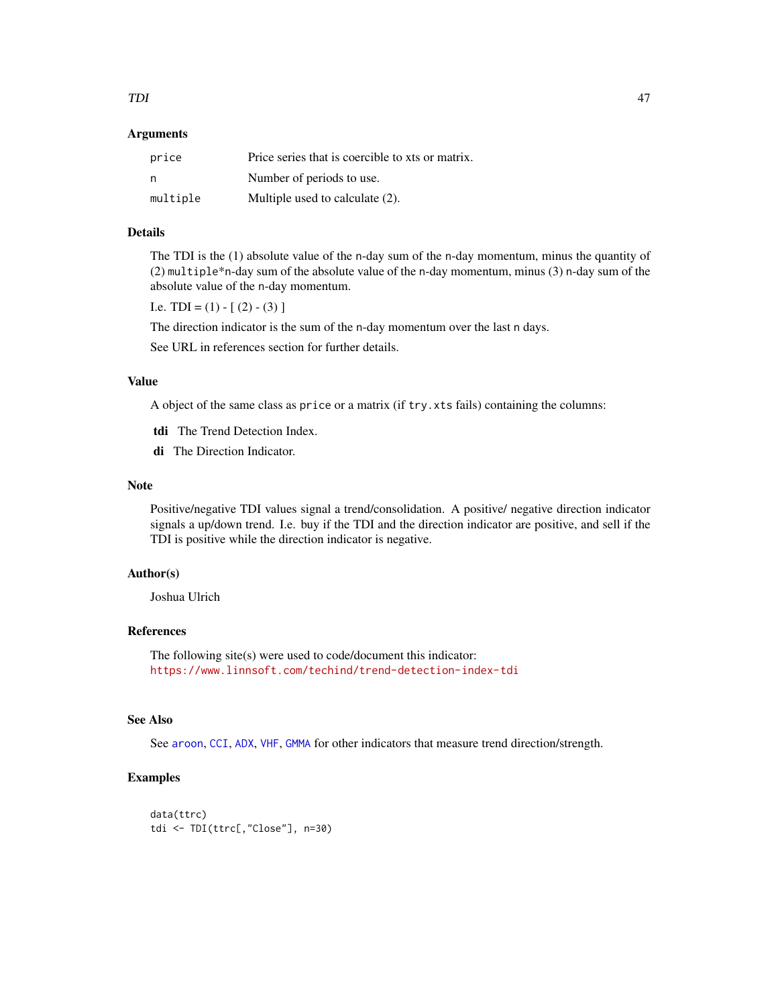#### <span id="page-46-0"></span>TDI  $^{47}$

#### Arguments

| price    | Price series that is coercible to xts or matrix. |
|----------|--------------------------------------------------|
| n        | Number of periods to use.                        |
| multiple | Multiple used to calculate (2).                  |

# Details

The TDI is the (1) absolute value of the n-day sum of the n-day momentum, minus the quantity of (2) multiple\*n-day sum of the absolute value of the n-day momentum, minus (3) n-day sum of the absolute value of the n-day momentum.

I.e. TDI =  $(1) - [(2) - (3)]$ 

The direction indicator is the sum of the n-day momentum over the last n days.

See URL in references section for further details.

# Value

A object of the same class as price or a matrix (if try.xts fails) containing the columns:

- tdi The Trend Detection Index.
- di The Direction Indicator.

#### Note

Positive/negative TDI values signal a trend/consolidation. A positive/ negative direction indicator signals a up/down trend. I.e. buy if the TDI and the direction indicator are positive, and sell if the TDI is positive while the direction indicator is negative.

# Author(s)

Joshua Ulrich

# References

The following site(s) were used to code/document this indicator: <https://www.linnsoft.com/techind/trend-detection-index-tdi>

# See Also

See [aroon](#page-4-1), [CCI](#page-8-1), [ADX](#page-2-1), [VHF](#page-51-1), [GMMA](#page-20-1) for other indicators that measure trend direction/strength.

#### Examples

```
data(ttrc)
tdi <- TDI(ttrc[,"Close"], n=30)
```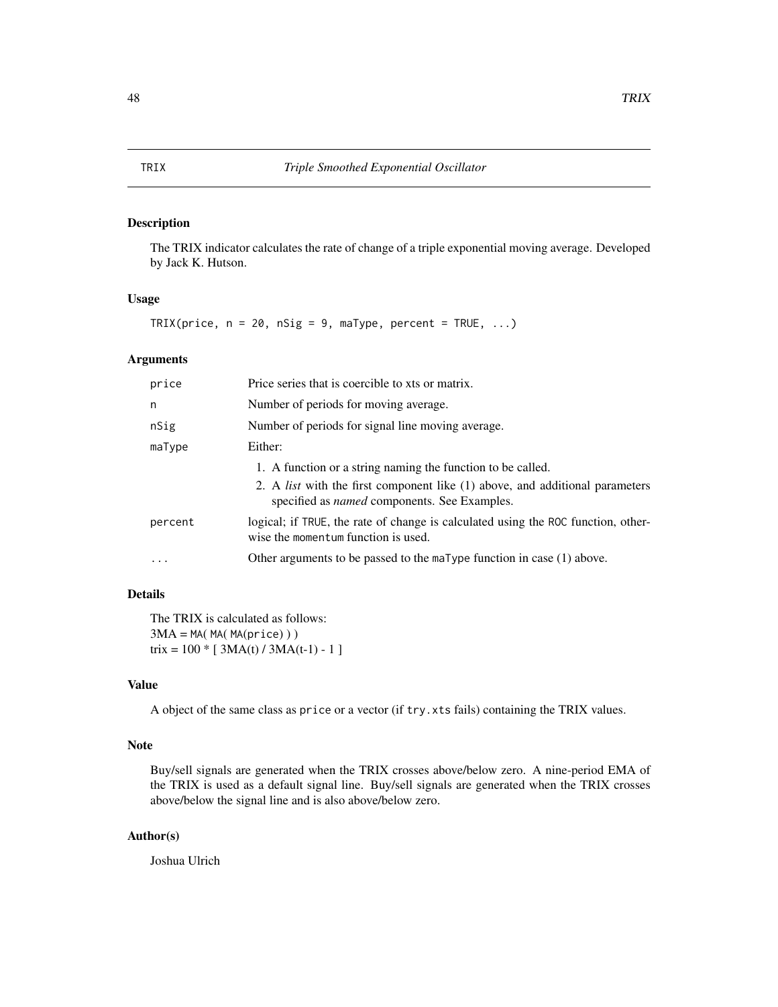# <span id="page-47-0"></span>Description

The TRIX indicator calculates the rate of change of a triple exponential moving average. Developed by Jack K. Hutson.

#### Usage

```
TRIX(price, n = 20, nSig = 9, marype, percent = TRUE, ...)
```
# Arguments

| price   | Price series that is coercible to xts or matrix.                                                                                           |
|---------|--------------------------------------------------------------------------------------------------------------------------------------------|
| n       | Number of periods for moving average.                                                                                                      |
| nSig    | Number of periods for signal line moving average.                                                                                          |
| maType  | Either:                                                                                                                                    |
|         | 1. A function or a string naming the function to be called.                                                                                |
|         | 2. A <i>list</i> with the first component like (1) above, and additional parameters<br>specified as <i>named</i> components. See Examples. |
| percent | logical; if TRUE, the rate of change is calculated using the ROC function, other-<br>wise the momentum function is used.                   |
| .       | Other arguments to be passed to the $m = T$ function in case (1) above.                                                                    |

# Details

The TRIX is calculated as follows:  $3MA = MA(MA(MA(price)))$ trix =  $100 * [3MA(t)/3MA(t-1) - 1]$ 

# Value

A object of the same class as price or a vector (if try.xts fails) containing the TRIX values.

#### Note

Buy/sell signals are generated when the TRIX crosses above/below zero. A nine-period EMA of the TRIX is used as a default signal line. Buy/sell signals are generated when the TRIX crosses above/below the signal line and is also above/below zero.

# Author(s)

Joshua Ulrich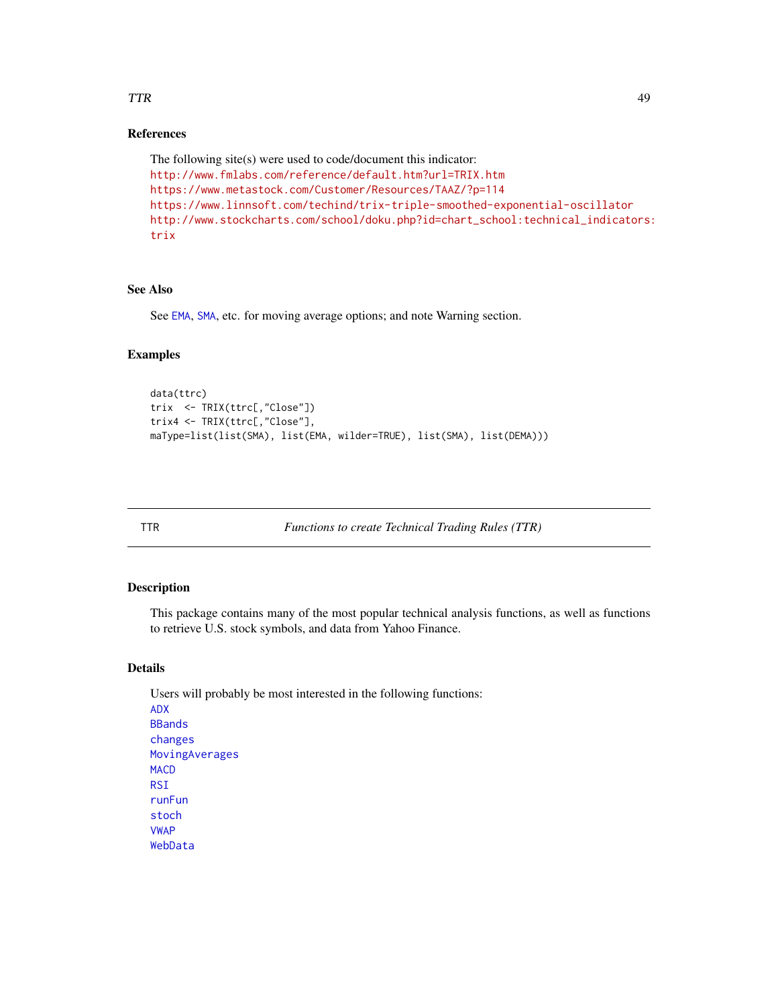# <span id="page-48-0"></span>TTR 49

# References

```
The following site(s) were used to code/document this indicator:
http://www.fmlabs.com/reference/default.htm?url=TRIX.htm
https://www.metastock.com/Customer/Resources/TAAZ/?p=114
https://www.linnsoft.com/techind/trix-triple-smoothed-exponential-oscillator
http://www.stockcharts.com/school/doku.php?id=chart_school:technical_indicators:
trix
```
# See Also

See [EMA](#page-37-1), [SMA](#page-37-2), etc. for moving average options; and note Warning section.

#### Examples

```
data(ttrc)
trix <- TRIX(ttrc[,"Close"])
trix4 <- TRIX(ttrc[,"Close"],
maType=list(list(SMA), list(EMA, wilder=TRUE), list(SMA), list(DEMA)))
```
TTR *Functions to create Technical Trading Rules (TTR)*

# Description

This package contains many of the most popular technical analysis functions, as well as functions to retrieve U.S. stock symbols, and data from Yahoo Finance.

#### Details

Users will probably be most interested in the following functions: [ADX](#page-2-1) [BBands](#page-6-1) [changes](#page-30-2) [MovingAverages](#page-37-1) **[MACD](#page-24-1) [RSI](#page-31-1)** [runFun](#page-34-1) [stoch](#page-41-1) [VWAP](#page-37-1) [WebData](#page-43-1)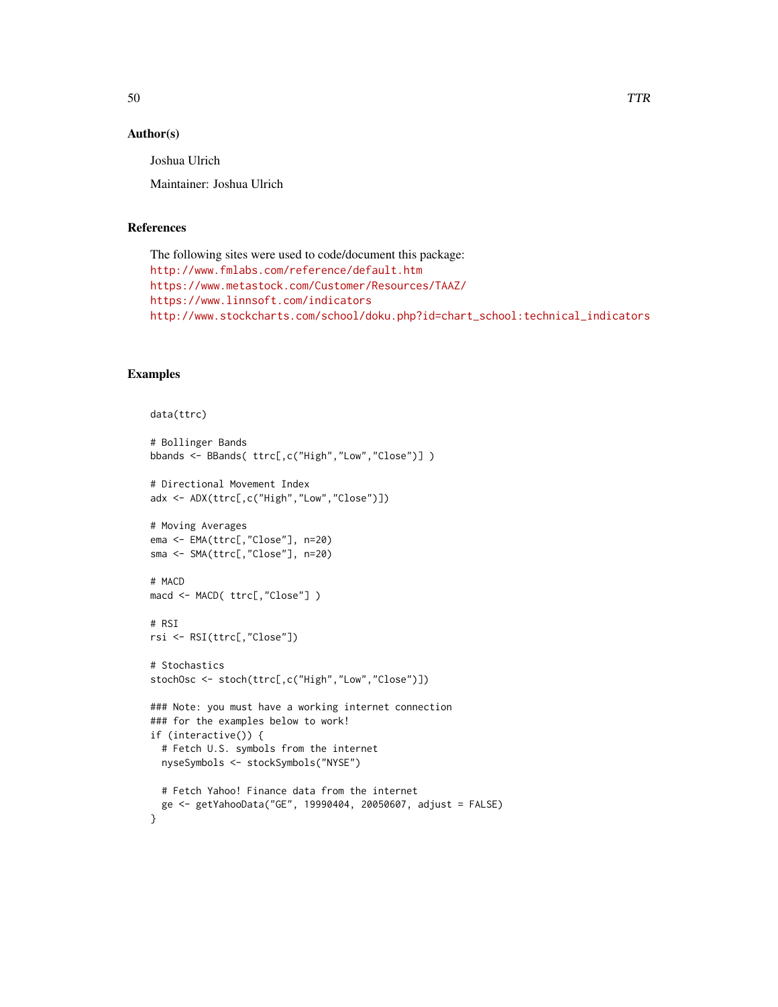#### Author(s)

Joshua Ulrich

Maintainer: Joshua Ulrich

#### References

```
The following sites were used to code/document this package:
http://www.fmlabs.com/reference/default.htm
https://www.metastock.com/Customer/Resources/TAAZ/
https://www.linnsoft.com/indicators
http://www.stockcharts.com/school/doku.php?id=chart_school:technical_indicators
```
#### Examples

```
data(ttrc)
# Bollinger Bands
bbands <- BBands( ttrc[,c("High","Low","Close")] )
# Directional Movement Index
adx <- ADX(ttrc[,c("High","Low","Close")])
# Moving Averages
ema <- EMA(ttrc[,"Close"], n=20)
sma <- SMA(ttrc[,"Close"], n=20)
# MACD
macd <- MACD( ttrc[,"Close"] )
# RSI
rsi <- RSI(ttrc[,"Close"])
# Stochastics
stochOsc <- stoch(ttrc[,c("High","Low","Close")])
### Note: you must have a working internet connection
### for the examples below to work!
if (interactive()) {
  # Fetch U.S. symbols from the internet
  nyseSymbols <- stockSymbols("NYSE")
  # Fetch Yahoo! Finance data from the internet
  ge <- getYahooData("GE", 19990404, 20050607, adjust = FALSE)
}
```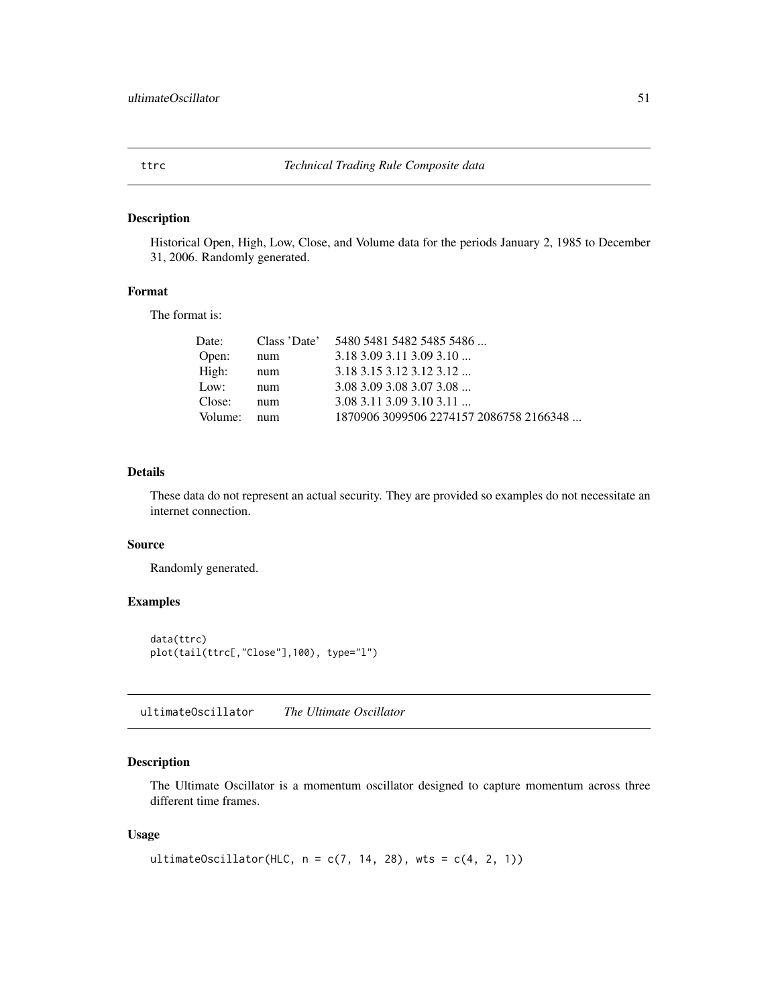<span id="page-50-0"></span>

# Description

Historical Open, High, Low, Close, and Volume data for the periods January 2, 1985 to December 31, 2006. Randomly generated.

#### Format

The format is:

| 1870906 3099506 2274157 2086758 2166348 |
|-----------------------------------------|
|                                         |

#### Details

These data do not represent an actual security. They are provided so examples do not necessitate an internet connection.

# Source

Randomly generated.

# Examples

```
data(ttrc)
plot(tail(ttrc[,"Close"],100), type="l")
```
ultimateOscillator *The Ultimate Oscillator*

# Description

The Ultimate Oscillator is a momentum oscillator designed to capture momentum across three different time frames.

#### Usage

```
ultimateOscillator(HLC, n = c(7, 14, 28), wts = c(4, 2, 1))
```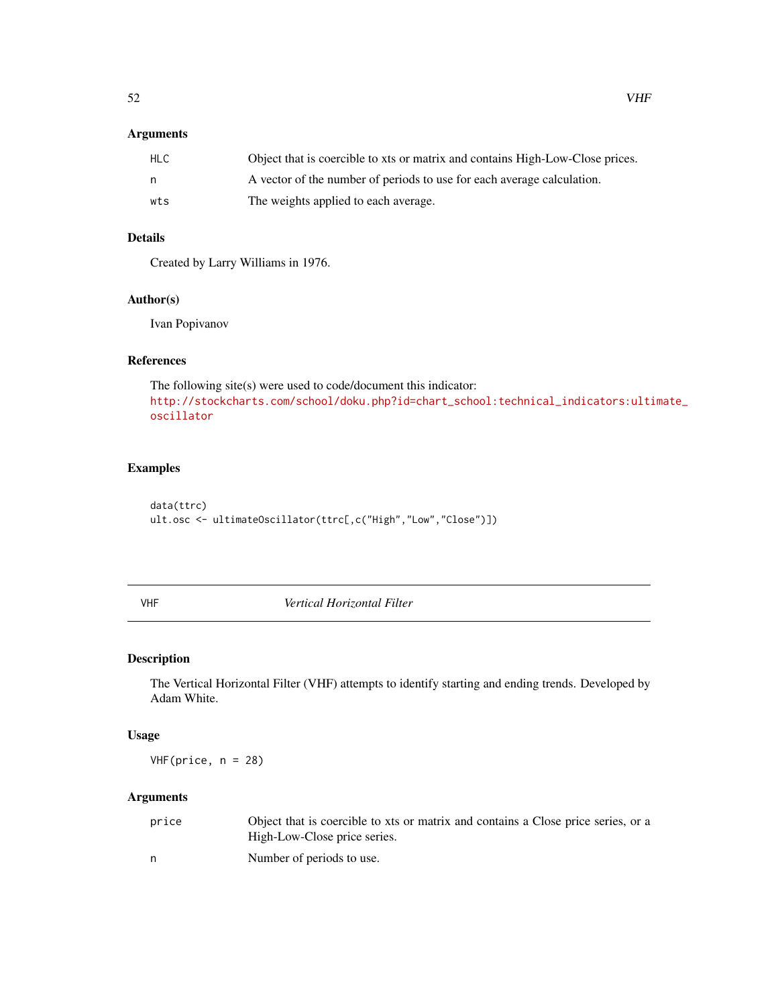# <span id="page-51-0"></span>Arguments

| HLC | Object that is coercible to xts or matrix and contains High-Low-Close prices. |
|-----|-------------------------------------------------------------------------------|
| n.  | A vector of the number of periods to use for each average calculation.        |
| wts | The weights applied to each average.                                          |

# Details

Created by Larry Williams in 1976.

#### Author(s)

Ivan Popivanov

# References

The following site(s) were used to code/document this indicator: [http://stockcharts.com/school/doku.php?id=chart\\_school:technical\\_indicators:ulti](http://stockcharts.com/school/doku.php?id=chart_school:technical_indicators:ultimate_oscillator)mate\_ [oscillator](http://stockcharts.com/school/doku.php?id=chart_school:technical_indicators:ultimate_oscillator)

# Examples

data(ttrc) ult.osc <- ultimateOscillator(ttrc[,c("High","Low","Close")])

<span id="page-51-1"></span>VHF *Vertical Horizontal Filter*

# Description

The Vertical Horizontal Filter (VHF) attempts to identify starting and ending trends. Developed by Adam White.

# Usage

 $VHF(price, n = 28)$ 

# Arguments

| price | Object that is coercible to xts or matrix and contains a Close price series, or a |
|-------|-----------------------------------------------------------------------------------|
|       | High-Low-Close price series.                                                      |
|       | Number of periods to use.                                                         |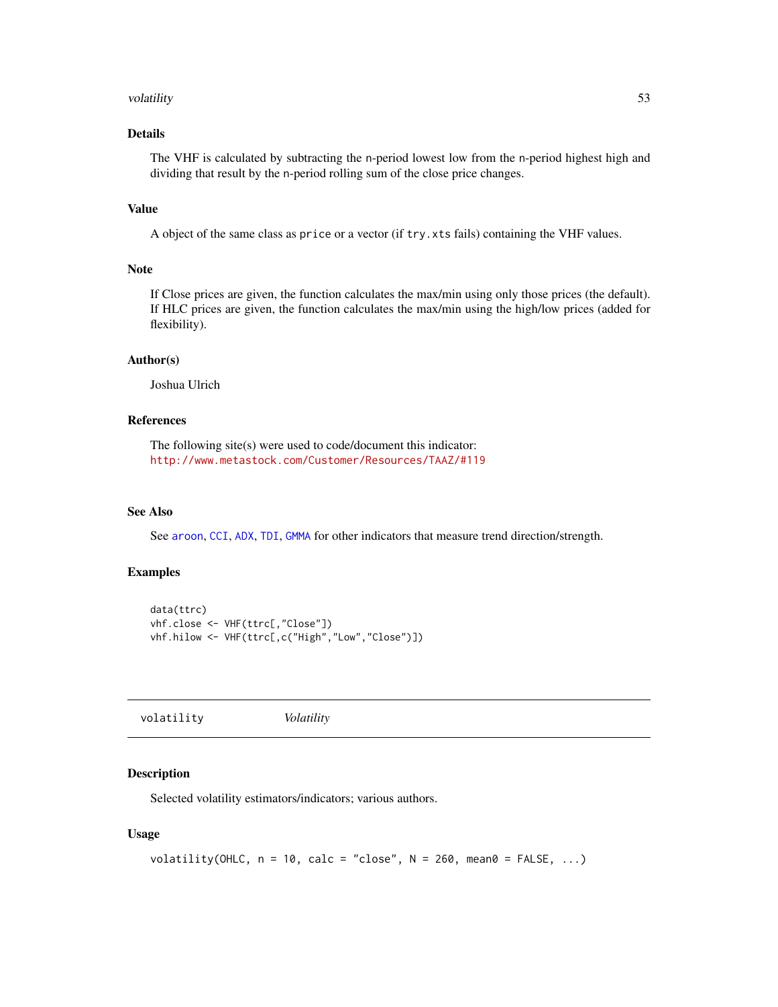#### <span id="page-52-0"></span>volatility 53

# Details

The VHF is calculated by subtracting the n-period lowest low from the n-period highest high and dividing that result by the n-period rolling sum of the close price changes.

# Value

A object of the same class as price or a vector (if try.xts fails) containing the VHF values.

#### Note

If Close prices are given, the function calculates the max/min using only those prices (the default). If HLC prices are given, the function calculates the max/min using the high/low prices (added for flexibility).

#### Author(s)

Joshua Ulrich

# References

The following site(s) were used to code/document this indicator: <http://www.metastock.com/Customer/Resources/TAAZ/#119>

# See Also

See [aroon](#page-4-1), [CCI](#page-8-1), [ADX](#page-2-1), [TDI](#page-45-1), [GMMA](#page-20-1) for other indicators that measure trend direction/strength.

#### Examples

```
data(ttrc)
vhf.close <- VHF(ttrc[,"Close"])
vhf.hilow <- VHF(ttrc[,c("High","Low","Close")])
```
volatility *Volatility*

#### Description

Selected volatility estimators/indicators; various authors.

#### Usage

```
volatility(OHLC, n = 10, calc = "close", N = 260, mean0 = FALSE, ...)
```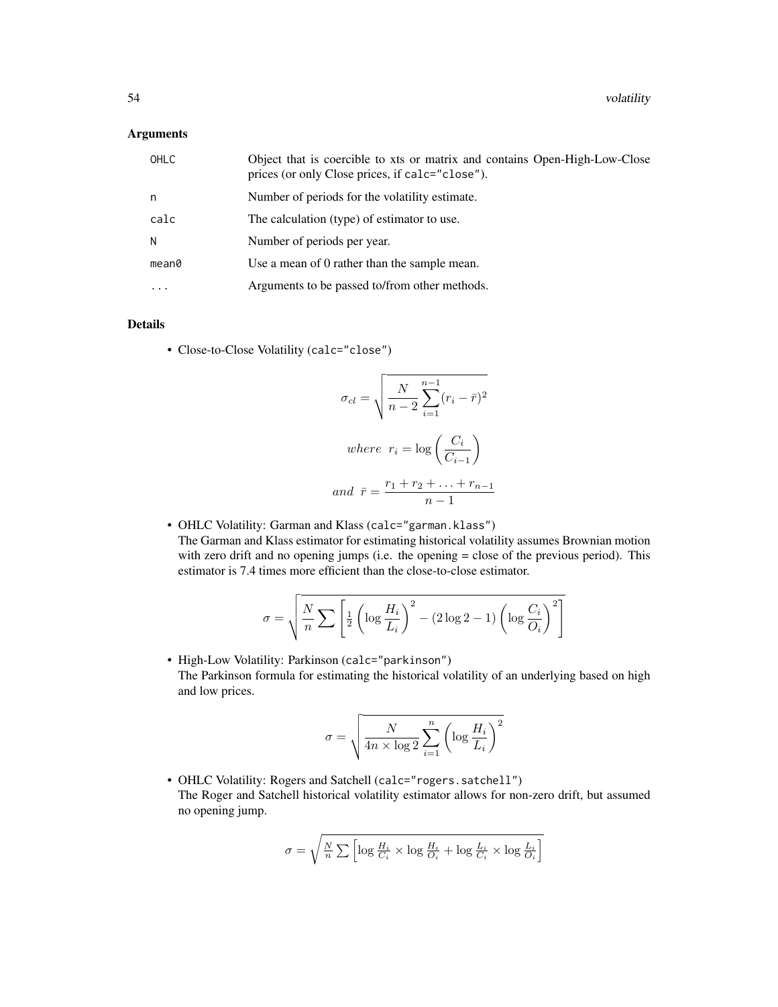# Arguments

| OHLC              | Object that is coercible to xts or matrix and contains Open-High-Low-Close<br>prices (or only Close prices, if calc="close"). |
|-------------------|-------------------------------------------------------------------------------------------------------------------------------|
| n                 | Number of periods for the volatility estimate.                                                                                |
| calc              | The calculation (type) of estimator to use.                                                                                   |
| N                 | Number of periods per year.                                                                                                   |
| mean <sub>0</sub> | Use a mean of 0 rather than the sample mean.                                                                                  |
| $\ddotsc$         | Arguments to be passed to/from other methods.                                                                                 |

# Details

• Close-to-Close Volatility (calc="close")

$$
\sigma_{cl} = \sqrt{\frac{N}{n-2} \sum_{i=1}^{n-1} (r_i - \bar{r})^2}
$$
  
where  $r_i = \log \left(\frac{C_i}{C_{i-1}}\right)$   
and  $\bar{r} = \frac{r_1 + r_2 + \ldots + r_{n-1}}{n-1}$ 

• OHLC Volatility: Garman and Klass (calc="garman.klass") The Garman and Klass estimator for estimating historical volatility assumes Brownian motion with zero drift and no opening jumps (i.e. the opening = close of the previous period). This estimator is 7.4 times more efficient than the close-to-close estimator.

$$
\sigma = \sqrt{\frac{N}{n} \sum \left[ \frac{1}{2} \left( \log \frac{H_i}{L_i} \right)^2 - (2 \log 2 - 1) \left( \log \frac{C_i}{O_i} \right)^2 \right]}
$$

• High-Low Volatility: Parkinson (calc="parkinson") The Parkinson formula for estimating the historical volatility of an underlying based on high and low prices.

$$
\sigma = \sqrt{\frac{N}{4n \times \log 2} \sum_{i=1}^{n} \left( \log \frac{H_i}{L_i} \right)^2}
$$

• OHLC Volatility: Rogers and Satchell (calc="rogers.satchell") The Roger and Satchell historical volatility estimator allows for non-zero drift, but assumed no opening jump.

$$
\sigma = \sqrt{\frac{N}{n}\sum\left[\log \frac{H_i}{C_i} \times \log \frac{H_i}{O_i} + \log \frac{L_i}{C_i} \times \log \frac{L_i}{O_i}\right]}
$$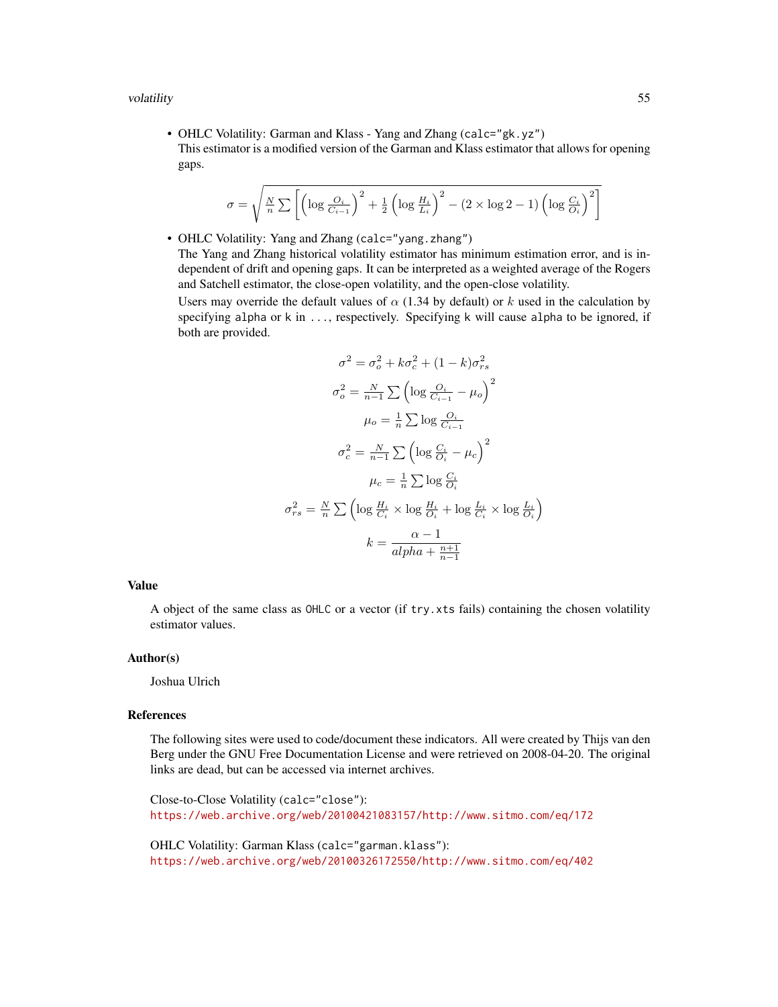• OHLC Volatility: Garman and Klass - Yang and Zhang (calc="gk.yz") This estimator is a modified version of the Garman and Klass estimator that allows for opening gaps.

$$
\sigma = \sqrt{\frac{N}{n} \sum \left[ \left( \log \frac{O_i}{C_{i-1}} \right)^2 + \frac{1}{2} \left( \log \frac{H_i}{L_i} \right)^2 - (2 \times \log 2 - 1) \left( \log \frac{C_i}{O_i} \right)^2 \right]}
$$

• OHLC Volatility: Yang and Zhang (calc="yang.zhang") The Yang and Zhang historical volatility estimator has minimum estimation error, and is independent of drift and opening gaps. It can be interpreted as a weighted average of the Rogers and Satchell estimator, the close-open volatility, and the open-close volatility.

Users may override the default values of  $\alpha$  (1.34 by default) or k used in the calculation by specifying alpha or k in ..., respectively. Specifying k will cause alpha to be ignored, if both are provided.

$$
\sigma^2 = \sigma_o^2 + k\sigma_c^2 + (1 - k)\sigma_{rs}^2
$$

$$
\sigma_o^2 = \frac{N}{n-1} \sum \left( \log \frac{O_i}{C_{i-1}} - \mu_o \right)^2
$$

$$
\mu_o = \frac{1}{n} \sum \log \frac{O_i}{C_{i-1}}
$$

$$
\sigma_c^2 = \frac{N}{n-1} \sum \left( \log \frac{C_i}{O_i} - \mu_c \right)^2
$$

$$
\mu_c = \frac{1}{n} \sum \log \frac{C_i}{O_i}
$$

$$
\sigma_{rs}^2 = \frac{N}{n} \sum \left( \log \frac{H_i}{C_i} \times \log \frac{H_i}{O_i} + \log \frac{L_i}{C_i} \times \log \frac{L_i}{O_i} \right)
$$

$$
k = \frac{\alpha - 1}{alpha + \frac{n+1}{n-1}}
$$

#### Value

A object of the same class as OHLC or a vector (if try.xts fails) containing the chosen volatility estimator values.

#### Author(s)

Joshua Ulrich

#### References

The following sites were used to code/document these indicators. All were created by Thijs van den Berg under the GNU Free Documentation License and were retrieved on 2008-04-20. The original links are dead, but can be accessed via internet archives.

Close-to-Close Volatility (calc="close"): <https://web.archive.org/web/20100421083157/http://www.sitmo.com/eq/172>

OHLC Volatility: Garman Klass (calc="garman.klass"): <https://web.archive.org/web/20100326172550/http://www.sitmo.com/eq/402>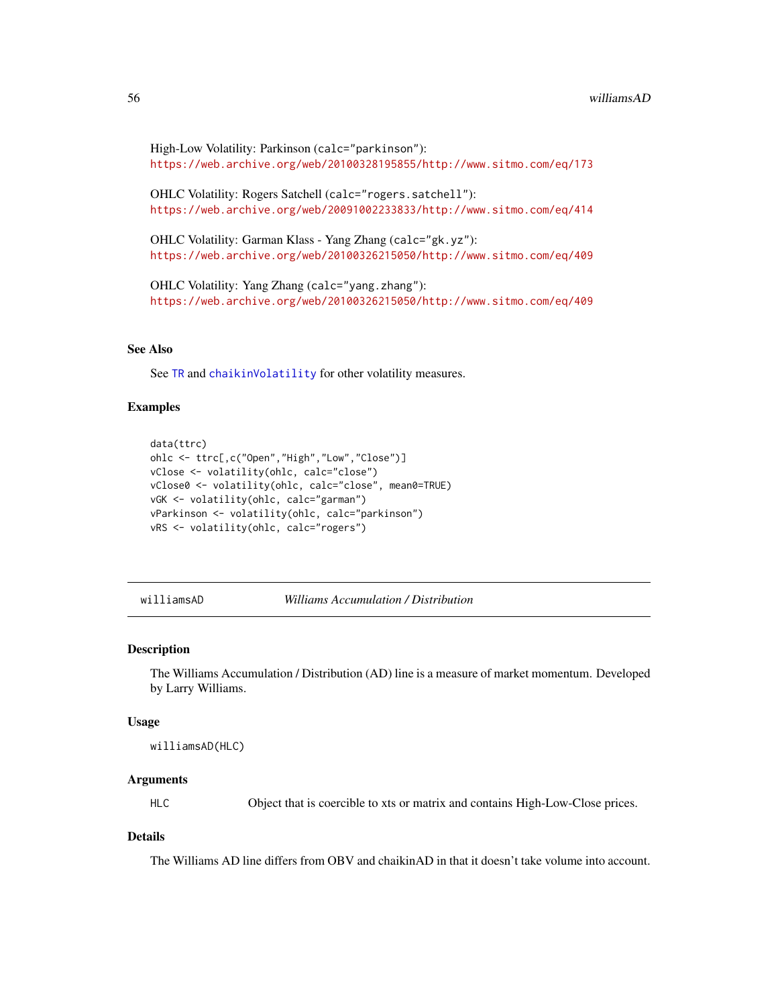```
High-Low Volatility: Parkinson (calc="parkinson"):
https://web.archive.org/web/20100328195855/http://www.sitmo.com/eq/173
```
OHLC Volatility: Rogers Satchell (calc="rogers.satchell"): <https://web.archive.org/web/20091002233833/http://www.sitmo.com/eq/414>

OHLC Volatility: Garman Klass - Yang Zhang (calc="gk.yz"): <https://web.archive.org/web/20100326215050/http://www.sitmo.com/eq/409>

OHLC Volatility: Yang Zhang (calc="yang.zhang"): <https://web.archive.org/web/20100326215050/http://www.sitmo.com/eq/409>

# See Also

See [TR](#page-5-2) and [chaikinVolatility](#page-10-1) for other volatility measures.

# **Examples**

```
data(ttrc)
ohlc <- ttrc[,c("Open","High","Low","Close")]
vClose <- volatility(ohlc, calc="close")
vClose0 <- volatility(ohlc, calc="close", mean0=TRUE)
vGK <- volatility(ohlc, calc="garman")
vParkinson <- volatility(ohlc, calc="parkinson")
vRS <- volatility(ohlc, calc="rogers")
```
#### williamsAD *Williams Accumulation / Distribution*

#### Description

The Williams Accumulation / Distribution (AD) line is a measure of market momentum. Developed by Larry Williams.

#### Usage

williamsAD(HLC)

#### Arguments

HLC Object that is coercible to xts or matrix and contains High-Low-Close prices.

### **Details**

The Williams AD line differs from OBV and chaikinAD in that it doesn't take volume into account.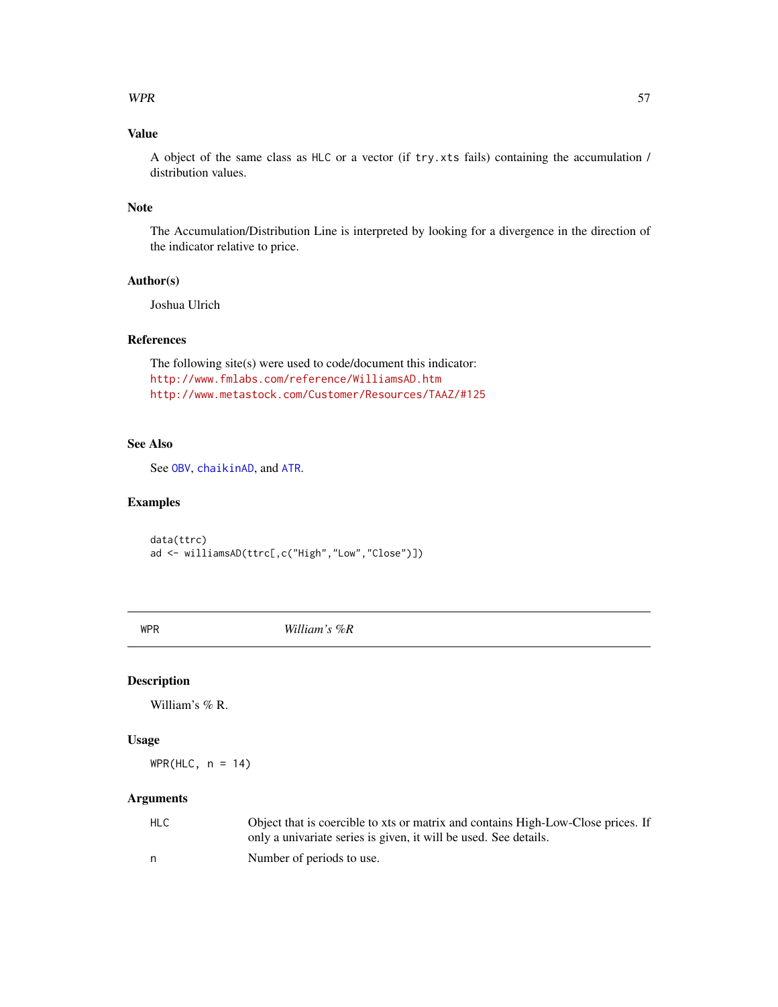#### <span id="page-56-0"></span> $WPR$  57

# Value

A object of the same class as HLC or a vector (if try.xts fails) containing the accumulation / distribution values.

#### Note

The Accumulation/Distribution Line is interpreted by looking for a divergence in the direction of the indicator relative to price.

# Author(s)

Joshua Ulrich

# References

The following site(s) were used to code/document this indicator: <http://www.fmlabs.com/reference/WilliamsAD.htm> <http://www.metastock.com/Customer/Resources/TAAZ/#125>

# See Also

See [OBV](#page-27-1), [chaikinAD](#page-9-1), and [ATR](#page-5-1).

# Examples

data(ttrc) ad <- williamsAD(ttrc[,c("High","Low","Close")])

<span id="page-56-1"></span>WPR *William's %R*

#### Description

William's % R.

#### Usage

 $WPR(HLC, n = 14)$ 

# Arguments

| HLC | Object that is coercible to xts or matrix and contains High-Low-Close prices. If<br>only a univariate series is given, it will be used. See details. |
|-----|------------------------------------------------------------------------------------------------------------------------------------------------------|
| n.  | Number of periods to use.                                                                                                                            |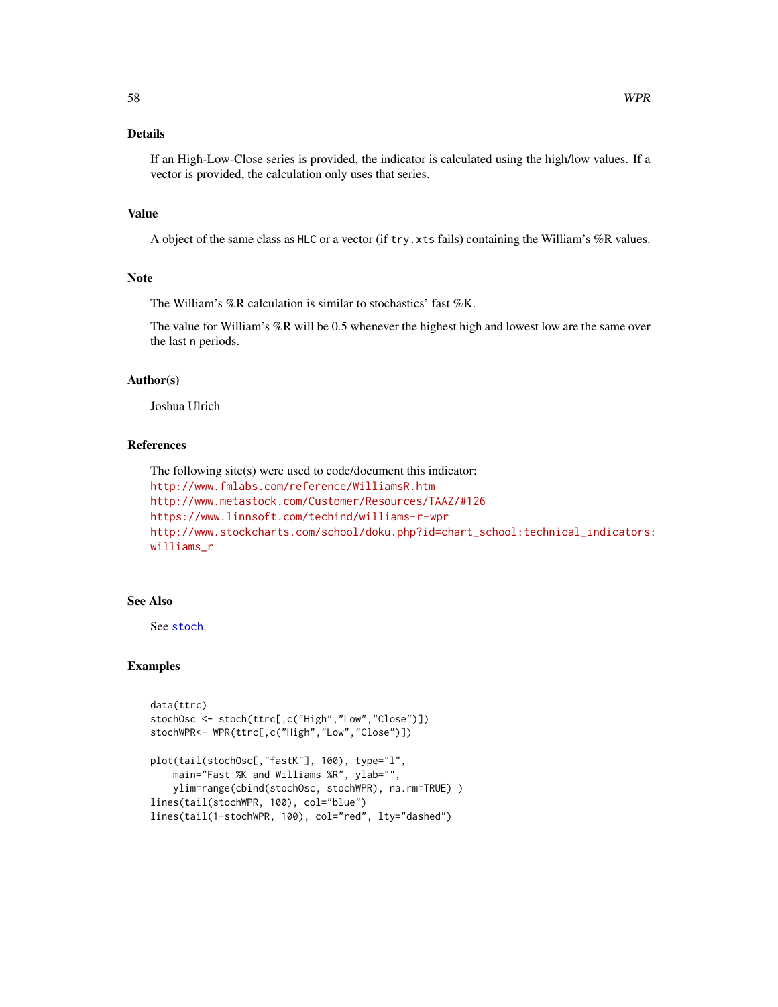# <span id="page-57-0"></span>Details

If an High-Low-Close series is provided, the indicator is calculated using the high/low values. If a vector is provided, the calculation only uses that series.

# Value

A object of the same class as HLC or a vector (if try.xts fails) containing the William's %R values.

#### Note

The William's %R calculation is similar to stochastics' fast %K.

The value for William's %R will be 0.5 whenever the highest high and lowest low are the same over the last n periods.

#### Author(s)

Joshua Ulrich

#### References

```
The following site(s) were used to code/document this indicator:
http://www.fmlabs.com/reference/WilliamsR.htm
http://www.metastock.com/Customer/Resources/TAAZ/#126
https://www.linnsoft.com/techind/williams-r-wpr
http://www.stockcharts.com/school/doku.php?id=chart_school:technical_indicators:
williams_r
```
# See Also

See [stoch](#page-41-1).

# Examples

```
data(ttrc)
stochOsc <- stoch(ttrc[,c("High","Low","Close")])
stochWPR<- WPR(ttrc[,c("High","Low","Close")])
plot(tail(stochOsc[,"fastK"], 100), type="l",
   main="Fast %K and Williams %R", ylab="",
   ylim=range(cbind(stochOsc, stochWPR), na.rm=TRUE) )
lines(tail(stochWPR, 100), col="blue")
lines(tail(1-stochWPR, 100), col="red", lty="dashed")
```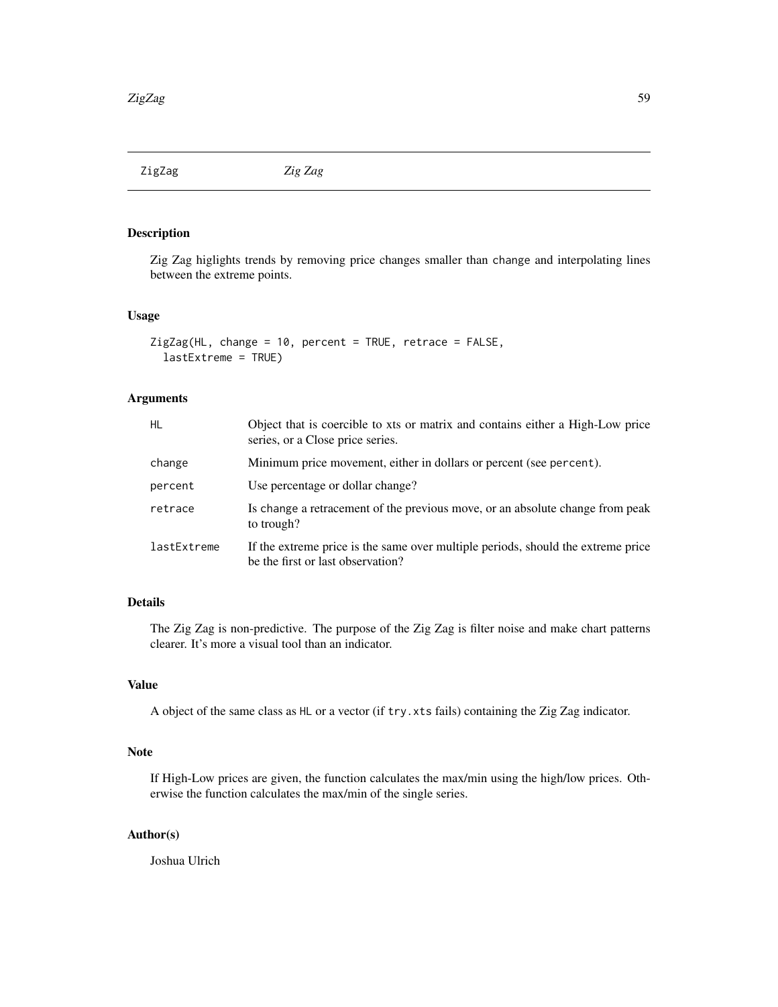<span id="page-58-0"></span>ZigZag *Zig Zag*

# Description

Zig Zag higlights trends by removing price changes smaller than change and interpolating lines between the extreme points.

# Usage

```
ZigZag(HL, change = 10, percent = TRUE, retrace = FALSE,
  lastExtreme = TRUE)
```
# Arguments

| <b>HL</b>   | Object that is coercible to xts or matrix and contains either a High-Low price<br>series, or a Close price series.    |
|-------------|-----------------------------------------------------------------------------------------------------------------------|
| change      | Minimum price movement, either in dollars or percent (see percent).                                                   |
| percent     | Use percentage or dollar change?                                                                                      |
| retrace     | Is change a retracement of the previous move, or an absolute change from peak<br>to trough?                           |
| lastExtreme | If the extreme price is the same over multiple periods, should the extreme price<br>be the first or last observation? |

# Details

The Zig Zag is non-predictive. The purpose of the Zig Zag is filter noise and make chart patterns clearer. It's more a visual tool than an indicator.

# Value

A object of the same class as HL or a vector (if try.xts fails) containing the Zig Zag indicator.

#### Note

If High-Low prices are given, the function calculates the max/min using the high/low prices. Otherwise the function calculates the max/min of the single series.

# Author(s)

Joshua Ulrich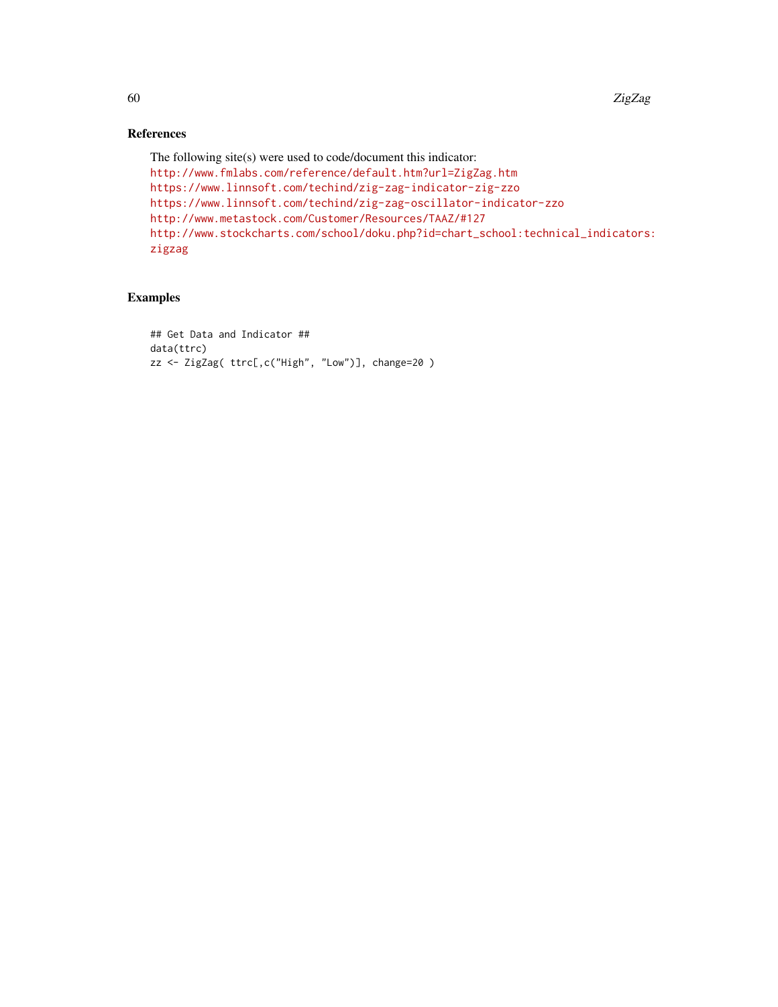# References

```
The following site(s) were used to code/document this indicator:
http://www.fmlabs.com/reference/default.htm?url=ZigZag.htm
https://www.linnsoft.com/techind/zig-zag-indicator-zig-zzo
https://www.linnsoft.com/techind/zig-zag-oscillator-indicator-zzo
http://www.metastock.com/Customer/Resources/TAAZ/#127
http://www.stockcharts.com/school/doku.php?id=chart_school:technical_indicators:
zigzag
```
# Examples

```
## Get Data and Indicator ##
data(ttrc)
zz <- ZigZag( ttrc[,c("High", "Low")], change=20 )
```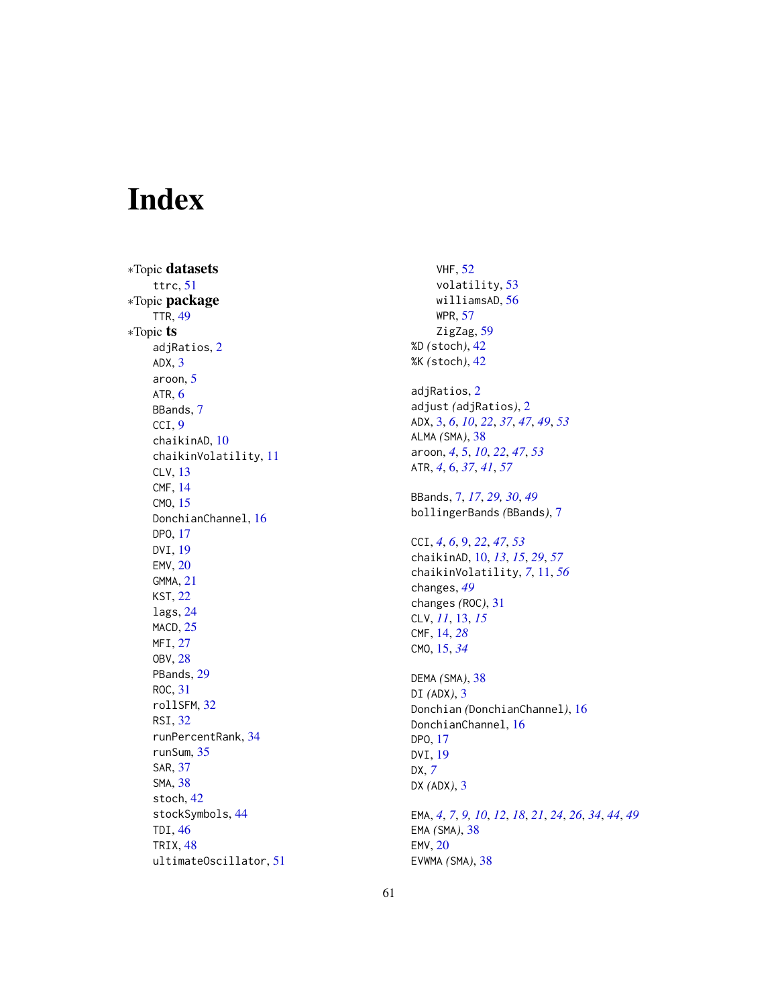# <span id="page-60-0"></span>Index

∗Topic datasets ttrc , [51](#page-50-0) ∗Topic package TTR , [49](#page-48-0) ∗Topic ts adjRatios , [2](#page-1-0) ADX , [3](#page-2-0) aroon , [5](#page-4-0) ATR,  $6$ BBands , [7](#page-6-0) CCI , [9](#page-8-0) chaikinAD , [10](#page-9-0) chaikinVolatility , [11](#page-10-0) CLV , [13](#page-12-0) CMF , [14](#page-13-0) CMO , [15](#page-14-0) DonchianChannel, [16](#page-15-0) DPO , [17](#page-16-0) DVI , [19](#page-18-0) EMV , [20](#page-19-0) GMMA , [21](#page-20-0) KST , [22](#page-21-0) lags , [24](#page-23-0) MACD, [25](#page-24-0) MFI, [27](#page-26-0) OBV , [28](#page-27-0) PBands, [29](#page-28-0) ROC , [31](#page-30-0) rollSFM , [32](#page-31-0) RSI , [32](#page-31-0) runPercentRank , [34](#page-33-0) runSum , [35](#page-34-0) SAR , [37](#page-36-0) SMA , [38](#page-37-0) stoch , [42](#page-41-0) stockSymbols , [44](#page-43-0) TDI , [46](#page-45-0) TRIX , [48](#page-47-0) ultimateOscillator , [51](#page-50-0)

VHF , [52](#page-51-0) volatility , [53](#page-52-0) williamsAD, $56\,$  $56\,$ WPR , [57](#page-56-0) ZigZag, [59](#page-58-0) %D *(*stoch *)* , [42](#page-41-0) %K *(*stoch *)* , [42](#page-41-0) adjRatios , [2](#page-1-0) adjust *(*adjRatios *)* , [2](#page-1-0) ADX , [3](#page-2-0) , *[6](#page-5-0)* , *[10](#page-9-0)* , *[22](#page-21-0)* , *[37](#page-36-0)* , *[47](#page-46-0)* , *[49](#page-48-0)* , *[53](#page-52-0)* ALMA *(*SMA *)* , [38](#page-37-0) aroon , *[4](#page-3-0)* , [5](#page-4-0) , *[10](#page-9-0)* , *[22](#page-21-0)* , *[47](#page-46-0)* , *[53](#page-52-0)* ATR , *[4](#page-3-0)* , [6](#page-5-0) , *[37](#page-36-0)* , *[41](#page-40-0)* , *[57](#page-56-0)* BBands , [7](#page-6-0) , *[17](#page-16-0)* , *[29](#page-28-0) , [30](#page-29-0)* , *[49](#page-48-0)* bollingerBands *(*BBands *)* , [7](#page-6-0) CCI , *[4](#page-3-0)* , *[6](#page-5-0)* , [9](#page-8-0) , *[22](#page-21-0)* , *[47](#page-46-0)* , *[53](#page-52-0)* chaikinAD , [10](#page-9-0) , *[13](#page-12-0)* , *[15](#page-14-0)* , *[29](#page-28-0)* , *[57](#page-56-0)* chaikinVolatility , *[7](#page-6-0)* , [11](#page-10-0) , *[56](#page-55-0)* changes , *[49](#page-48-0)* changes *(*ROC *)* , [31](#page-30-0) CLV , *[11](#page-10-0)* , [13](#page-12-0) , *[15](#page-14-0)* CMF , [14](#page-13-0) , *[28](#page-27-0)* CMO , [15](#page-14-0) , *[34](#page-33-0)* DEMA *(*SMA *)* , [38](#page-37-0) DI *(*ADX *)* , [3](#page-2-0) Donchian *(*DonchianChannel *)* , [16](#page-15-0) DonchianChannel, [16](#page-15-0) DPO , [17](#page-16-0) DVI , [19](#page-18-0) DX , *[7](#page-6-0)* DX *(*ADX *)* , [3](#page-2-0) EMA , *[4](#page-3-0)* , *[7](#page-6-0)* , *[9](#page-8-0) , [10](#page-9-0)* , *[12](#page-11-0)* , *[18](#page-17-0)* , *[21](#page-20-0)* , *[24](#page-23-0)* , *[26](#page-25-0)* , *[34](#page-33-0)* , *[44](#page-43-0)* , *[49](#page-48-0)* EMA *(*SMA *)* , [38](#page-37-0) EMV, [20](#page-19-0) EVWMA *(*SMA *)* , [38](#page-37-0)